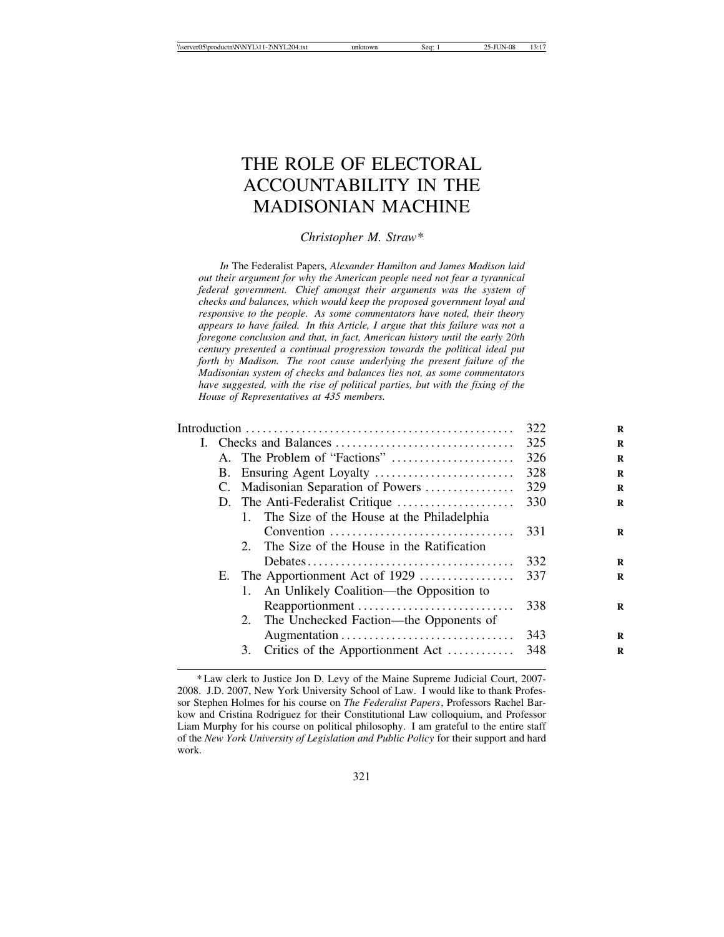# THE ROLE OF ELECTORAL ACCOUNTABILITY IN THE MADISONIAN MACHINE

*Christopher M. Straw\**

*In* The Federalist Papers*, Alexander Hamilton and James Madison laid out their argument for why the American people need not fear a tyrannical federal government. Chief amongst their arguments was the system of checks and balances, which would keep the proposed government loyal and responsive to the people. As some commentators have noted, their theory appears to have failed. In this Article, I argue that this failure was not a foregone conclusion and that, in fact, American history until the early 20th century presented a continual progression towards the political ideal put forth by Madison. The root cause underlying the present failure of the Madisonian system of checks and balances lies not, as some commentators have suggested, with the rise of political parties, but with the fixing of the House of Representatives at 435 members.*

|  | 322                          |                                                      |     |
|--|------------------------------|------------------------------------------------------|-----|
|  |                              |                                                      | 325 |
|  | A. The Problem of "Factions" | 326                                                  |     |
|  |                              | 328                                                  |     |
|  |                              | C. Madisonian Separation of Powers                   | 329 |
|  |                              |                                                      | 330 |
|  |                              | 1. The Size of the House at the Philadelphia         |     |
|  |                              | Convention                                           | 331 |
|  |                              | The Size of the House in the Ratification<br>$2^{2}$ |     |
|  |                              |                                                      | 332 |
|  |                              | E. The Apportionment Act of 1929                     | 337 |
|  |                              | An Unlikely Coalition—the Opposition to<br>1.        |     |
|  |                              | Reapportionment                                      | 338 |
|  |                              | 2. The Unchecked Faction—the Opponents of            |     |
|  |                              |                                                      | 343 |
|  |                              | Critics of the Apportionment Act<br>3.               | 348 |
|  |                              |                                                      |     |

<sup>\*</sup> Law clerk to Justice Jon D. Levy of the Maine Supreme Judicial Court, 2007- 2008. J.D. 2007, New York University School of Law. I would like to thank Professor Stephen Holmes for his course on *The Federalist Papers*, Professors Rachel Barkow and Cristina Rodriguez for their Constitutional Law colloquium, and Professor Liam Murphy for his course on political philosophy. I am grateful to the entire staff of the *New York University of Legislation and Public Policy* for their support and hard work.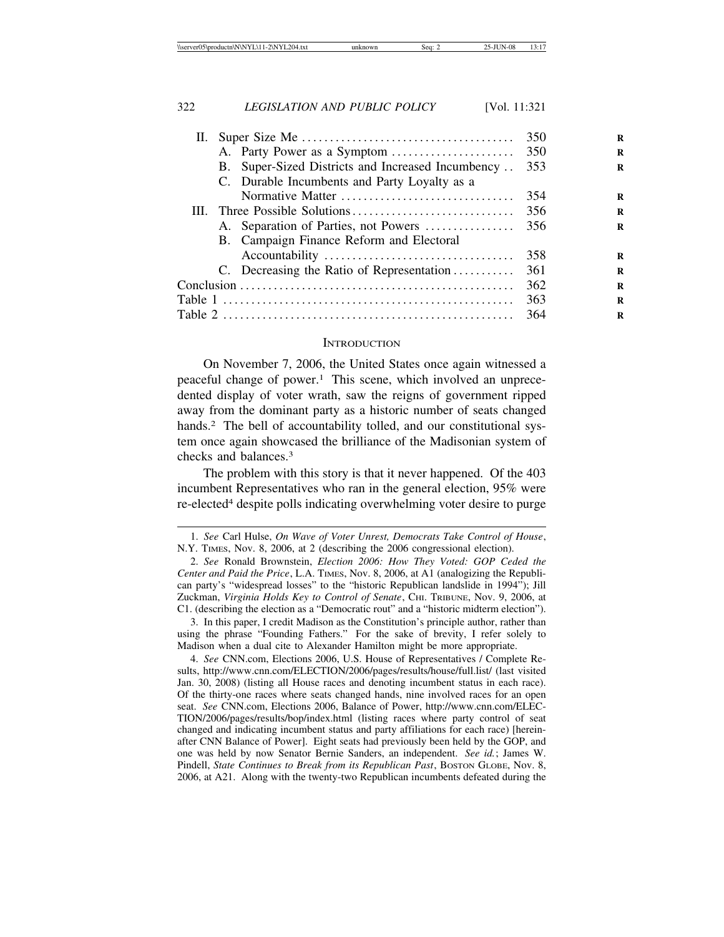| II. |                                                   | 350 |
|-----|---------------------------------------------------|-----|
|     |                                                   |     |
|     | B. Super-Sized Districts and Increased Incumbency | 353 |
|     | C. Durable Incumbents and Party Loyalty as a      |     |
|     | Normative Matter                                  | 354 |
|     |                                                   | 356 |
|     | A. Separation of Parties, not Powers              | 356 |
|     | B. Campaign Finance Reform and Electoral          |     |
|     |                                                   | 358 |
|     | C. Decreasing the Ratio of Representation         | 361 |
|     | 362                                               |     |
|     |                                                   | 363 |
|     |                                                   | 364 |
|     |                                                   |     |

### **INTRODUCTION**

On November 7, 2006, the United States once again witnessed a peaceful change of power.1 This scene, which involved an unprecedented display of voter wrath, saw the reigns of government ripped away from the dominant party as a historic number of seats changed hands.<sup>2</sup> The bell of accountability tolled, and our constitutional system once again showcased the brilliance of the Madisonian system of checks and balances.3

The problem with this story is that it never happened. Of the 403 incumbent Representatives who ran in the general election, 95% were re-elected4 despite polls indicating overwhelming voter desire to purge

<sup>1.</sup> *See* Carl Hulse, *On Wave of Voter Unrest, Democrats Take Control of House*, N.Y. TIMES, Nov. 8, 2006, at 2 (describing the 2006 congressional election).

<sup>2.</sup> *See* Ronald Brownstein, *Election 2006: How They Voted: GOP Ceded the Center and Paid the Price*, L.A. TIMES, Nov. 8, 2006, at A1 (analogizing the Republican party's "widespread losses" to the "historic Republican landslide in 1994"); Jill Zuckman, *Virginia Holds Key to Control of Senate*, CHI. TRIBUNE, Nov. 9, 2006, at C1. (describing the election as a "Democratic rout" and a "historic midterm election").

<sup>3.</sup> In this paper, I credit Madison as the Constitution's principle author, rather than using the phrase "Founding Fathers." For the sake of brevity, I refer solely to Madison when a dual cite to Alexander Hamilton might be more appropriate.

<sup>4.</sup> *See* CNN.com, Elections 2006, U.S. House of Representatives / Complete Results, http://www.cnn.com/ELECTION/2006/pages/results/house/full.list/ (last visited Jan. 30, 2008) (listing all House races and denoting incumbent status in each race). Of the thirty-one races where seats changed hands, nine involved races for an open seat. *See* CNN.com, Elections 2006, Balance of Power, http://www.cnn.com/ELEC-TION/2006/pages/results/bop/index.html (listing races where party control of seat changed and indicating incumbent status and party affiliations for each race) [hereinafter CNN Balance of Power]. Eight seats had previously been held by the GOP, and one was held by now Senator Bernie Sanders, an independent. *See id.*; James W. Pindell, *State Continues to Break from its Republican Past*, Boston GLOBE, Nov. 8, 2006, at A21. Along with the twenty-two Republican incumbents defeated during the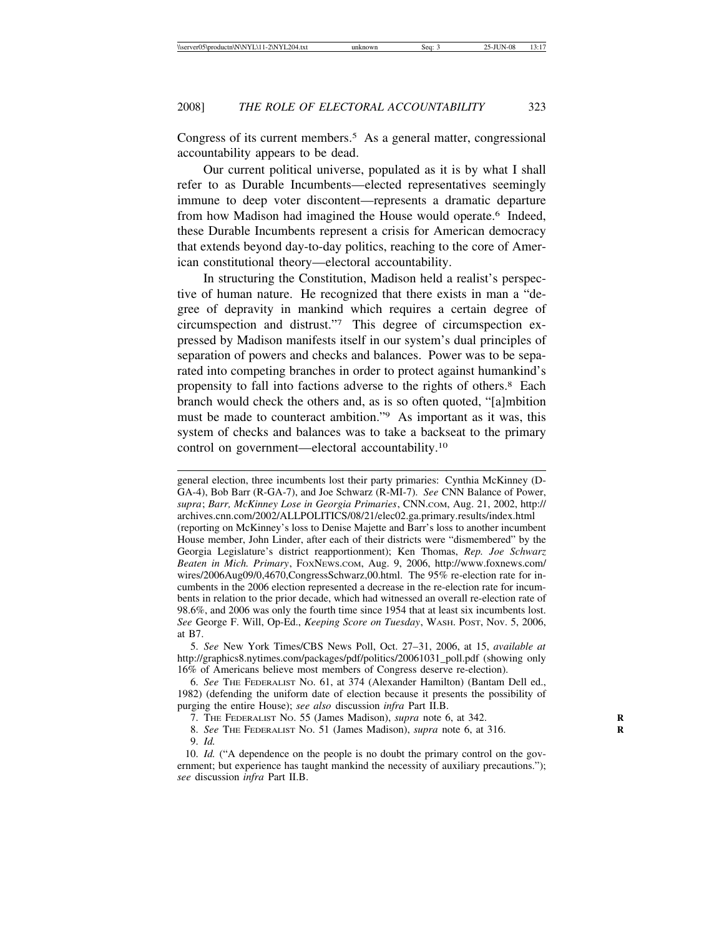Congress of its current members.<sup>5</sup> As a general matter, congressional accountability appears to be dead.

Our current political universe, populated as it is by what I shall refer to as Durable Incumbents—elected representatives seemingly immune to deep voter discontent—represents a dramatic departure from how Madison had imagined the House would operate.<sup>6</sup> Indeed, these Durable Incumbents represent a crisis for American democracy that extends beyond day-to-day politics, reaching to the core of American constitutional theory—electoral accountability.

In structuring the Constitution, Madison held a realist's perspective of human nature. He recognized that there exists in man a "degree of depravity in mankind which requires a certain degree of circumspection and distrust."7 This degree of circumspection expressed by Madison manifests itself in our system's dual principles of separation of powers and checks and balances. Power was to be separated into competing branches in order to protect against humankind's propensity to fall into factions adverse to the rights of others.8 Each branch would check the others and, as is so often quoted, "[a]mbition must be made to counteract ambition."9 As important as it was, this system of checks and balances was to take a backseat to the primary control on government—electoral accountability.10

general election, three incumbents lost their party primaries: Cynthia McKinney (D-GA-4), Bob Barr (R-GA-7), and Joe Schwarz (R-MI-7). *See* CNN Balance of Power, *supra*; *Barr, McKinney Lose in Georgia Primaries*, CNN.COM, Aug. 21, 2002, http:// archives.cnn.com/2002/ALLPOLITICS/08/21/elec02.ga.primary.results/index.html (reporting on McKinney's loss to Denise Majette and Barr's loss to another incumbent House member, John Linder, after each of their districts were "dismembered" by the Georgia Legislature's district reapportionment); Ken Thomas, *Rep. Joe Schwarz Beaten in Mich. Primary*, FOXNEWS.COM, Aug. 9, 2006, http://www.foxnews.com/ wires/2006Aug09/0,4670,CongressSchwarz,00.html. The 95% re-election rate for incumbents in the 2006 election represented a decrease in the re-election rate for incumbents in relation to the prior decade, which had witnessed an overall re-election rate of 98.6%, and 2006 was only the fourth time since 1954 that at least six incumbents lost. *See* George F. Will, Op-Ed., *Keeping Score on Tuesday*, WASH. POST, Nov. 5, 2006, at B7.

5. *See* New York Times/CBS News Poll, Oct. 27–31, 2006, at 15, *available at* http://graphics8.nytimes.com/packages/pdf/politics/20061031\_poll.pdf (showing only 16% of Americans believe most members of Congress deserve re-election).

6. *See* THE FEDERALIST NO. 61, at 374 (Alexander Hamilton) (Bantam Dell ed., 1982) (defending the uniform date of election because it presents the possibility of purging the entire House); *see also* discussion *infra* Part II.B.

7. THE FEDERALIST NO. 55 (James Madison), *supra* note 6, at 342. **R**

8. *See* THE FEDERALIST NO. 51 (James Madison), *supra* note 6, at 316. **R**

9. *Id.*

<sup>10.</sup> *Id.* ("A dependence on the people is no doubt the primary control on the government; but experience has taught mankind the necessity of auxiliary precautions."); *see* discussion *infra* Part II.B.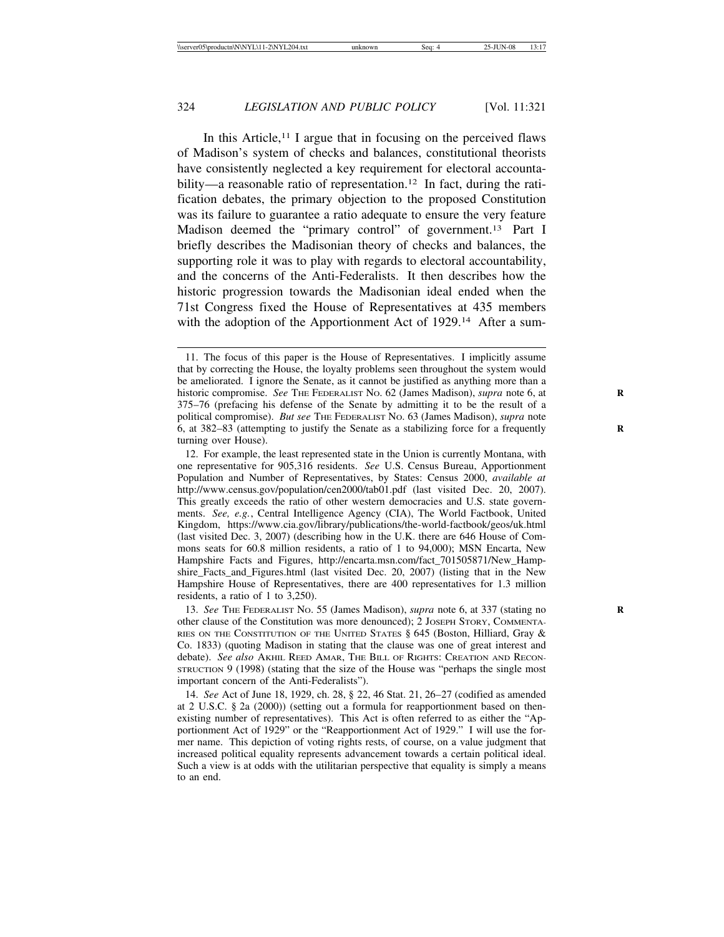In this Article,<sup>11</sup> I argue that in focusing on the perceived flaws of Madison's system of checks and balances, constitutional theorists have consistently neglected a key requirement for electoral accountability—a reasonable ratio of representation.<sup>12</sup> In fact, during the ratification debates, the primary objection to the proposed Constitution was its failure to guarantee a ratio adequate to ensure the very feature Madison deemed the "primary control" of government.13 Part I briefly describes the Madisonian theory of checks and balances, the supporting role it was to play with regards to electoral accountability, and the concerns of the Anti-Federalists. It then describes how the historic progression towards the Madisonian ideal ended when the 71st Congress fixed the House of Representatives at 435 members with the adoption of the Apportionment Act of 1929.<sup>14</sup> After a sum-

13. *See* THE FEDERALIST NO. 55 (James Madison), *supra* note 6, at 337 (stating no **R** other clause of the Constitution was more denounced); 2 JOSEPH STORY, COMMENTA-RIES ON THE CONSTITUTION OF THE UNITED STATES § 645 (Boston, Hilliard, Gray & Co. 1833) (quoting Madison in stating that the clause was one of great interest and debate). *See also* AKHIL REED AMAR, THE BILL OF RIGHTS: CREATION AND RECON-STRUCTION 9 (1998) (stating that the size of the House was "perhaps the single most important concern of the Anti-Federalists").

14. *See* Act of June 18, 1929, ch. 28, § 22, 46 Stat. 21, 26–27 (codified as amended at 2 U.S.C. § 2a (2000)) (setting out a formula for reapportionment based on thenexisting number of representatives). This Act is often referred to as either the "Apportionment Act of 1929" or the "Reapportionment Act of 1929." I will use the former name. This depiction of voting rights rests, of course, on a value judgment that increased political equality represents advancement towards a certain political ideal. Such a view is at odds with the utilitarian perspective that equality is simply a means to an end.

<sup>11.</sup> The focus of this paper is the House of Representatives. I implicitly assume that by correcting the House, the loyalty problems seen throughout the system would be ameliorated. I ignore the Senate, as it cannot be justified as anything more than a historic compromise. *See* The Federal Stranger No. 62 (James Madison), *supra* note 6, at 375–76 (prefacing his defense of the Senate by admitting it to be the result of a political compromise). *But see* THE FEDERALIST NO. 63 (James Madison), *supra* note 6, at 382–83 (attempting to justify the Senate as a stabilizing force for a frequently **R** turning over House).

<sup>12.</sup> For example, the least represented state in the Union is currently Montana, with one representative for 905,316 residents. *See* U.S. Census Bureau, Apportionment Population and Number of Representatives, by States: Census 2000, *available at* http://www.census.gov/population/cen2000/tab01.pdf (last visited Dec. 20, 2007). This greatly exceeds the ratio of other western democracies and U.S. state governments. *See, e.g.*, Central Intelligence Agency (CIA), The World Factbook, United Kingdom, https://www.cia.gov/library/publications/the-world-factbook/geos/uk.html (last visited Dec. 3, 2007) (describing how in the U.K. there are 646 House of Commons seats for 60.8 million residents, a ratio of 1 to 94,000); MSN Encarta, New Hampshire Facts and Figures, http://encarta.msn.com/fact\_701505871/New\_Hampshire\_Facts\_and\_Figures.html (last visited Dec. 20, 2007) (listing that in the New Hampshire House of Representatives, there are 400 representatives for 1.3 million residents, a ratio of 1 to 3,250).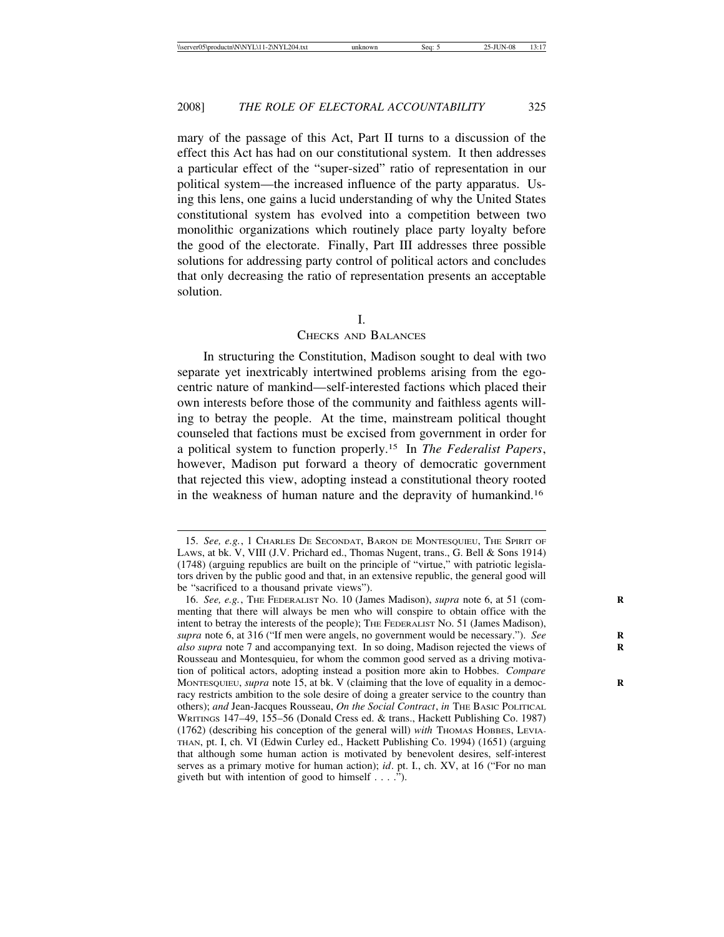mary of the passage of this Act, Part II turns to a discussion of the effect this Act has had on our constitutional system. It then addresses a particular effect of the "super-sized" ratio of representation in our political system—the increased influence of the party apparatus. Using this lens, one gains a lucid understanding of why the United States constitutional system has evolved into a competition between two monolithic organizations which routinely place party loyalty before the good of the electorate. Finally, Part III addresses three possible solutions for addressing party control of political actors and concludes that only decreasing the ratio of representation presents an acceptable solution.

### I.

# CHECKS AND BALANCES

In structuring the Constitution, Madison sought to deal with two separate yet inextricably intertwined problems arising from the egocentric nature of mankind—self-interested factions which placed their own interests before those of the community and faithless agents willing to betray the people. At the time, mainstream political thought counseled that factions must be excised from government in order for a political system to function properly.15 In *The Federalist Papers*, however, Madison put forward a theory of democratic government that rejected this view, adopting instead a constitutional theory rooted in the weakness of human nature and the depravity of humankind.16

<sup>15.</sup> *See, e.g.*, 1 CHARLES DE SECONDAT, BARON DE MONTESQUIEU, THE SPIRIT OF LAWS, at bk. V, VIII (J.V. Prichard ed., Thomas Nugent, trans., G. Bell & Sons 1914) (1748) (arguing republics are built on the principle of "virtue," with patriotic legislators driven by the public good and that, in an extensive republic, the general good will be "sacrificed to a thousand private views").

<sup>16.</sup> *See, e.g.*, THE FEDERALIST No. 10 (James Madison), *supra* note 6, at 51 (commenting that there will always be men who will conspire to obtain office with the intent to betray the interests of the people); THE FEDERALIST NO. 51 (James Madison), *supra* note 6, at 316 ("If men were angels, no government would be necessary."). See *also supra* note 7 and accompanying text. In so doing, Madison rejected the views of **R** Rousseau and Montesquieu, for whom the common good served as a driving motivation of political actors, adopting instead a position more akin to Hobbes. *Compare* MONTESQUIEU, *supra* note 15, at bk. V (claiming that the love of equality in a democracy restricts ambition to the sole desire of doing a greater service to the country than others); *and* Jean-Jacques Rousseau, *On the Social Contract*, *in* THE BASIC POLITICAL WRITINGS 147–49, 155–56 (Donald Cress ed. & trans., Hackett Publishing Co. 1987) (1762) (describing his conception of the general will) *with* Thomas Hobbes, Levia-THAN, pt. I, ch. VI (Edwin Curley ed., Hackett Publishing Co. 1994) (1651) (arguing that although some human action is motivated by benevolent desires, self-interest serves as a primary motive for human action); *id*. pt. I., ch. XV, at 16 ("For no man giveth but with intention of good to himself  $\dots$  .").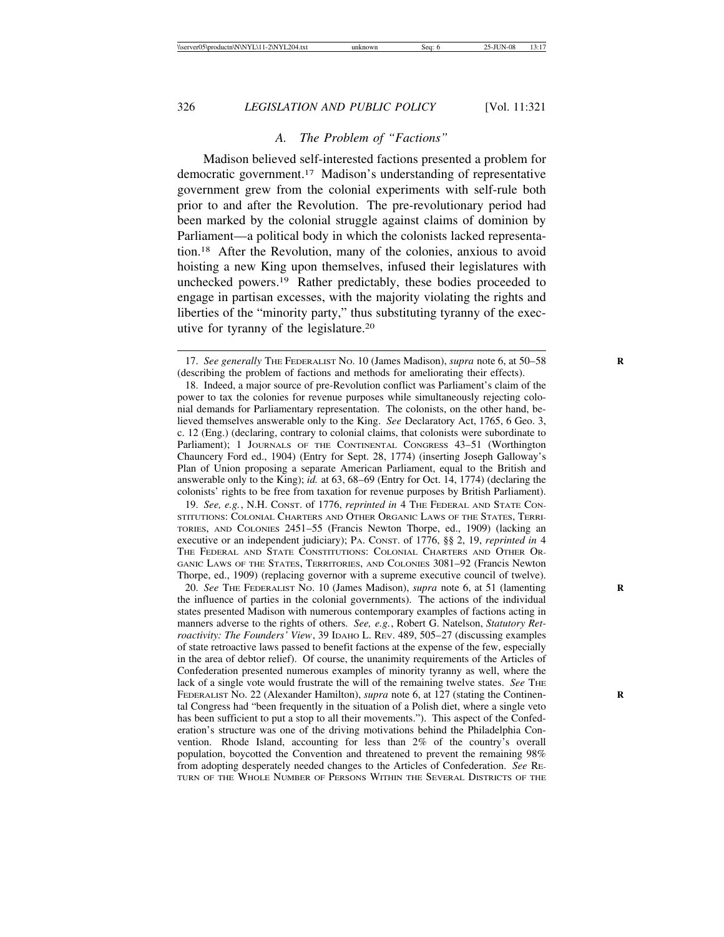# *A. The Problem of "Factions"*

Madison believed self-interested factions presented a problem for democratic government.17 Madison's understanding of representative government grew from the colonial experiments with self-rule both prior to and after the Revolution. The pre-revolutionary period had been marked by the colonial struggle against claims of dominion by Parliament—a political body in which the colonists lacked representation.18 After the Revolution, many of the colonies, anxious to avoid hoisting a new King upon themselves, infused their legislatures with unchecked powers.19 Rather predictably, these bodies proceeded to engage in partisan excesses, with the majority violating the rights and liberties of the "minority party," thus substituting tyranny of the executive for tyranny of the legislature.20

19. *See, e.g.*, N.H. CONST. of 1776, *reprinted in* 4 THE FEDERAL AND STATE CON-STITUTIONS: COLONIAL CHARTERS AND OTHER ORGANIC LAWS OF THE STATES, TERRI-TORIES, AND COLONIES 2451–55 (Francis Newton Thorpe, ed., 1909) (lacking an executive or an independent judiciary); PA. CONST. of 1776, §§ 2, 19, *reprinted in* 4 THE FEDERAL AND STATE CONSTITUTIONS: COLONIAL CHARTERS AND OTHER OR-GANIC LAWS OF THE STATES, TERRITORIES, AND COLONIES 3081–92 (Francis Newton Thorpe, ed., 1909) (replacing governor with a supreme executive council of twelve).

20. *See* THE FEDERALIST NO. 10 (James Madison), *supra* note 6, at 51 (lamenting **R** the influence of parties in the colonial governments). The actions of the individual states presented Madison with numerous contemporary examples of factions acting in manners adverse to the rights of others. *See, e.g.*, Robert G. Natelson, *Statutory Retroactivity: The Founders' View*, 39 IDAHO L. REV. 489, 505–27 (discussing examples of state retroactive laws passed to benefit factions at the expense of the few, especially in the area of debtor relief). Of course, the unanimity requirements of the Articles of Confederation presented numerous examples of minority tyranny as well, where the lack of a single vote would frustrate the will of the remaining twelve states. *See* THE FEDERALIST No. 22 (Alexander Hamilton), *supra* note 6, at 127 (stating the Continental Congress had "been frequently in the situation of a Polish diet, where a single veto has been sufficient to put a stop to all their movements."). This aspect of the Confederation's structure was one of the driving motivations behind the Philadelphia Convention. Rhode Island, accounting for less than 2% of the country's overall population, boycotted the Convention and threatened to prevent the remaining 98% from adopting desperately needed changes to the Articles of Confederation. *See* RE-TURN OF THE WHOLE NUMBER OF PERSONS WITHIN THE SEVERAL DISTRICTS OF THE

<sup>17.</sup> *See generally* THE FEDERALIST No. 10 (James Madison), *supra* note 6, at 50–58 (describing the problem of factions and methods for ameliorating their effects).

<sup>18.</sup> Indeed, a major source of pre-Revolution conflict was Parliament's claim of the power to tax the colonies for revenue purposes while simultaneously rejecting colonial demands for Parliamentary representation. The colonists, on the other hand, believed themselves answerable only to the King. *See* Declaratory Act, 1765, 6 Geo. 3, c. 12 (Eng.) (declaring, contrary to colonial claims, that colonists were subordinate to Parliament); 1 JOURNALS OF THE CONTINENTAL CONGRESS 43-51 (Worthington Chauncery Ford ed., 1904) (Entry for Sept. 28, 1774) (inserting Joseph Galloway's Plan of Union proposing a separate American Parliament, equal to the British and answerable only to the King); *id.* at 63, 68–69 (Entry for Oct. 14, 1774) (declaring the colonists' rights to be free from taxation for revenue purposes by British Parliament).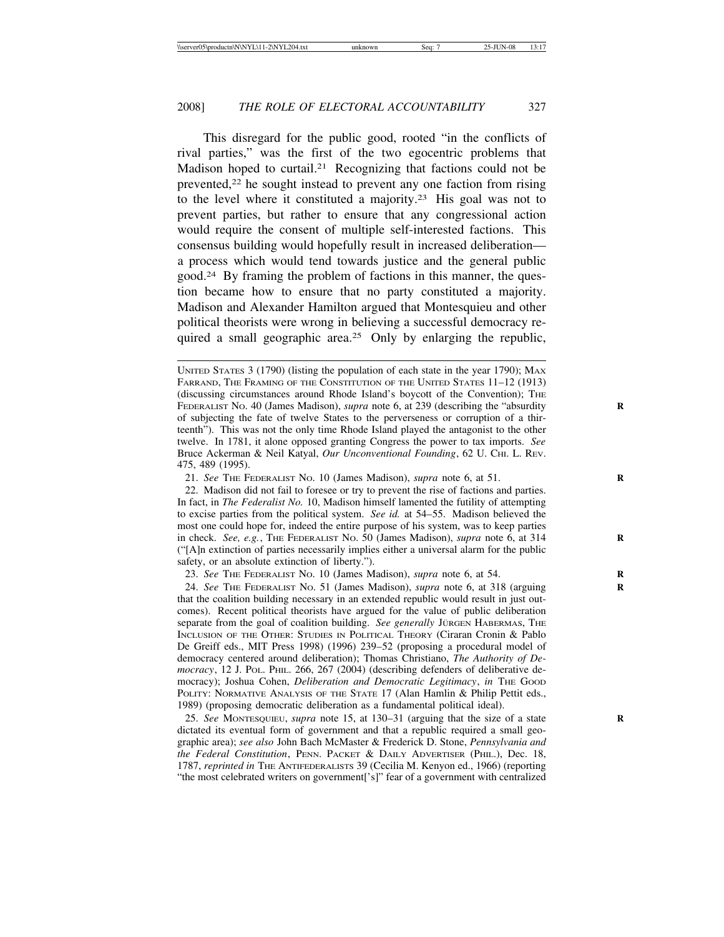This disregard for the public good, rooted "in the conflicts of rival parties," was the first of the two egocentric problems that Madison hoped to curtail.<sup>21</sup> Recognizing that factions could not be prevented,22 he sought instead to prevent any one faction from rising to the level where it constituted a majority.23 His goal was not to prevent parties, but rather to ensure that any congressional action would require the consent of multiple self-interested factions. This consensus building would hopefully result in increased deliberation a process which would tend towards justice and the general public good.24 By framing the problem of factions in this manner, the question became how to ensure that no party constituted a majority. Madison and Alexander Hamilton argued that Montesquieu and other political theorists were wrong in believing a successful democracy required a small geographic area.<sup>25</sup> Only by enlarging the republic,

22. Madison did not fail to foresee or try to prevent the rise of factions and parties. In fact, in *The Federalist No.* 10, Madison himself lamented the futility of attempting to excise parties from the political system. *See id.* at 54–55. Madison believed the most one could hope for, indeed the entire purpose of his system, was to keep parties in check. *See, e.g.*, THE FEDERALIST No. 50 (James Madison), *supra* note 6, at 314 ("[A]n extinction of parties necessarily implies either a universal alarm for the public safety, or an absolute extinction of liberty.").

23. *See* THE FEDERALIST NO. 10 (James Madison), *supra* note 6, at 54. **R**

24. *See* THE FEDERALIST NO. 51 (James Madison), *supra* note 6, at 318 (arguing **R** that the coalition building necessary in an extended republic would result in just outcomes). Recent political theorists have argued for the value of public deliberation separate from the goal of coalition building. See generally JURGEN HABERMAS, THE INCLUSION OF THE OTHER: STUDIES IN POLITICAL THEORY (Ciraran Cronin & Pablo De Greiff eds., MIT Press 1998) (1996) 239–52 (proposing a procedural model of democracy centered around deliberation); Thomas Christiano, *The Authority of Democracy*, 12 J. POL. PHIL. 266, 267 (2004) (describing defenders of deliberative democracy); Joshua Cohen, *Deliberation and Democratic Legitimacy*, *in* THE GOOD POLITY: NORMATIVE ANALYSIS OF THE STATE 17 (Alan Hamlin & Philip Pettit eds., 1989) (proposing democratic deliberation as a fundamental political ideal).

25. *See* MONTESQUIEU, *supra* note 15, at 130–31 (arguing that the size of a state **R** dictated its eventual form of government and that a republic required a small geographic area); *see also* John Bach McMaster & Frederick D. Stone, *Pennsylvania and the Federal Constitution*, PENN. PACKET & DAILY ADVERTISER (PHIL.), Dec. 18, 1787, *reprinted in* THE ANTIFEDERALISTS 39 (Cecilia M. Kenyon ed., 1966) (reporting "the most celebrated writers on government['s]" fear of a government with centralized

UNITED STATES 3 (1790) (listing the population of each state in the year 1790); MAX FARRAND, THE FRAMING OF THE CONSTITUTION OF THE UNITED STATES 11–12 (1913) (discussing circumstances around Rhode Island's boycott of the Convention); THE FEDERALIST NO. 40 (James Madison), *supra* note 6, at 239 (describing the "absurdity **R** of subjecting the fate of twelve States to the perverseness or corruption of a thirteenth"). This was not the only time Rhode Island played the antagonist to the other twelve. In 1781, it alone opposed granting Congress the power to tax imports. *See* Bruce Ackerman & Neil Katyal, *Our Unconventional Founding*, 62 U. CHI. L. REV. 475, 489 (1995).

<sup>21.</sup> *See* THE FEDERALIST NO. 10 (James Madison), *supra* note 6, at 51. **R**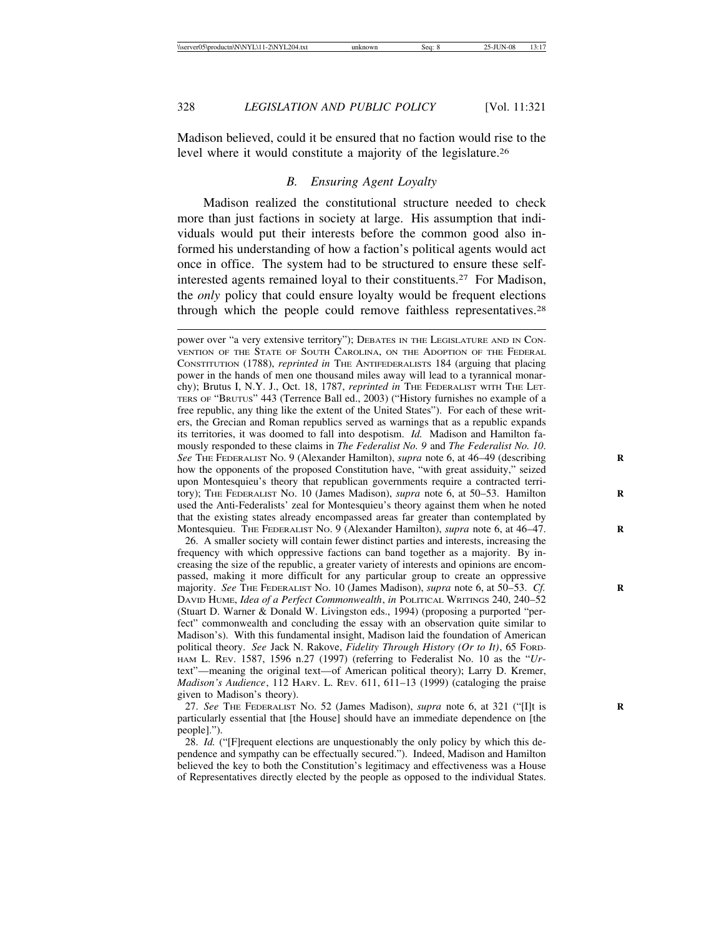Madison believed, could it be ensured that no faction would rise to the level where it would constitute a majority of the legislature.26

# *B. Ensuring Agent Loyalty*

Madison realized the constitutional structure needed to check more than just factions in society at large. His assumption that individuals would put their interests before the common good also informed his understanding of how a faction's political agents would act once in office. The system had to be structured to ensure these selfinterested agents remained loyal to their constituents.27 For Madison, the *only* policy that could ensure loyalty would be frequent elections through which the people could remove faithless representatives.28

power over "a very extensive territory"); DEBATES IN THE LEGISLATURE AND IN CON-VENTION OF THE STATE OF SOUTH CAROLINA, ON THE ADOPTION OF THE FEDERAL CONSTITUTION (1788), *reprinted in* THE ANTIFEDERALISTS 184 (arguing that placing power in the hands of men one thousand miles away will lead to a tyrannical monarchy); Brutus I, N.Y. J., Oct. 18, 1787, *reprinted in* THE FEDERALIST WITH THE LET-TERS OF "BRUTUS" 443 (Terrence Ball ed., 2003) ("History furnishes no example of a free republic, any thing like the extent of the United States"). For each of these writers, the Grecian and Roman republics served as warnings that as a republic expands its territories, it was doomed to fall into despotism. *Id.* Madison and Hamilton famously responded to these claims in *The Federalist No. 9* and *The Federalist No. 10*. *See* THE FEDERALIST NO. 9 (Alexander Hamilton), *supra* note 6, at 46–49 (describing **R** how the opponents of the proposed Constitution have, "with great assiduity," seized upon Montesquieu's theory that republican governments require a contracted territory); THE FEDERALIST NO. 10 (James Madison), *supra* note 6, at 50–53. Hamilton **R** used the Anti-Federalists' zeal for Montesquieu's theory against them when he noted that the existing states already encompassed areas far greater than contemplated by Montesquieu. THE FEDERALIST No. 9 (Alexander Hamilton), *supra* note 6, at 46–47.

26. A smaller society will contain fewer distinct parties and interests, increasing the frequency with which oppressive factions can band together as a majority. By increasing the size of the republic, a greater variety of interests and opinions are encompassed, making it more difficult for any particular group to create an oppressive majority. *See* THE FEDERALIST NO. 10 (James Madison), *supra* note 6, at 50–53. *Cf.* **R** DAVID HUME, *Idea of a Perfect Commonwealth*, *in* POLITICAL WRITINGS 240, 240–52 (Stuart D. Warner & Donald W. Livingston eds., 1994) (proposing a purported "perfect" commonwealth and concluding the essay with an observation quite similar to Madison's). With this fundamental insight, Madison laid the foundation of American political theory. *See* Jack N. Rakove, *Fidelity Through History (Or to It)*, 65 FORD-HAM L. REV. 1587, 1596 n.27 (1997) (referring to Federalist No. 10 as the "*Ur*text"—meaning the original text—of American political theory); Larry D. Kremer, *Madison's Audience*, 112 HARV. L. REV. 611, 611–13 (1999) (cataloging the praise given to Madison's theory).

27. *See* THE FEDERALIST NO. 52 (James Madison), *supra* note 6, at 321 ("[I]t is **R** particularly essential that [the House] should have an immediate dependence on [the people].").

28. *Id.* ("[F]requent elections are unquestionably the only policy by which this dependence and sympathy can be effectually secured."). Indeed, Madison and Hamilton believed the key to both the Constitution's legitimacy and effectiveness was a House of Representatives directly elected by the people as opposed to the individual States.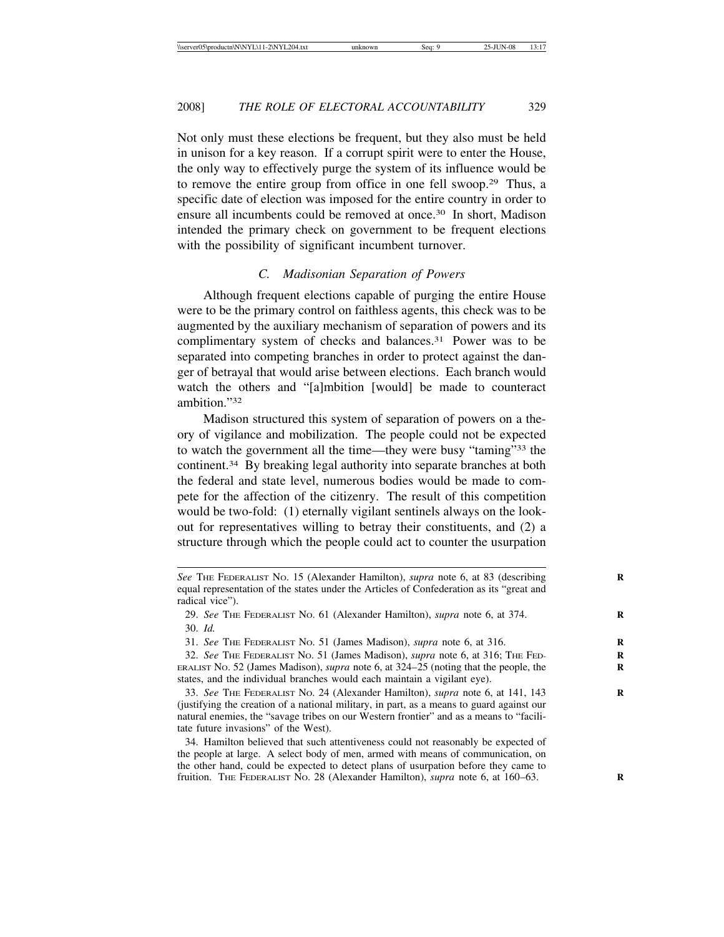Not only must these elections be frequent, but they also must be held in unison for a key reason. If a corrupt spirit were to enter the House, the only way to effectively purge the system of its influence would be to remove the entire group from office in one fell swoop.29 Thus, a specific date of election was imposed for the entire country in order to ensure all incumbents could be removed at once.30 In short, Madison intended the primary check on government to be frequent elections with the possibility of significant incumbent turnover.

# *C. Madisonian Separation of Powers*

Although frequent elections capable of purging the entire House were to be the primary control on faithless agents, this check was to be augmented by the auxiliary mechanism of separation of powers and its complimentary system of checks and balances.<sup>31</sup> Power was to be separated into competing branches in order to protect against the danger of betrayal that would arise between elections. Each branch would watch the others and "[a]mbition [would] be made to counteract ambition<sup>"32</sup>

Madison structured this system of separation of powers on a theory of vigilance and mobilization. The people could not be expected to watch the government all the time—they were busy "taming"33 the continent.34 By breaking legal authority into separate branches at both the federal and state level, numerous bodies would be made to compete for the affection of the citizenry. The result of this competition would be two-fold: (1) eternally vigilant sentinels always on the lookout for representatives willing to betray their constituents, and (2) a structure through which the people could act to counter the usurpation

*See* THE FEDERALIST NO. 15 (Alexander Hamilton), *supra* note 6, at 83 (describing **R** equal representation of the states under the Articles of Confederation as its "great and radical vice").

<sup>29.</sup> *See* THE FEDERALIST NO. 61 (Alexander Hamilton), *supra* note 6, at 374. **R** 30. *Id.*

<sup>31.</sup> *See* THE FEDERALIST NO. 51 (James Madison), *supra* note 6, at 316. **R**

<sup>32.</sup> *See* THE FEDERALIST NO. 51 (James Madison), *supra* note 6, at 316; THE FED- **R** ERALIST No. 52 (James Madison), *supra* note 6, at  $324-\overline{25}$  (noting that the people, the states, and the individual branches would each maintain a vigilant eye).

<sup>33.</sup> *See* THE FEDERALIST NO. 24 (Alexander Hamilton), *supra* note 6, at 141, 143 **R** (justifying the creation of a national military, in part, as a means to guard against our natural enemies, the "savage tribes on our Western frontier" and as a means to "facilitate future invasions" of the West).

<sup>34.</sup> Hamilton believed that such attentiveness could not reasonably be expected of the people at large. A select body of men, armed with means of communication, on the other hand, could be expected to detect plans of usurpation before they came to fruition. THE FEDERALIST NO. 28 (Alexander Hamilton), *supra* note 6, at 160–63. **R**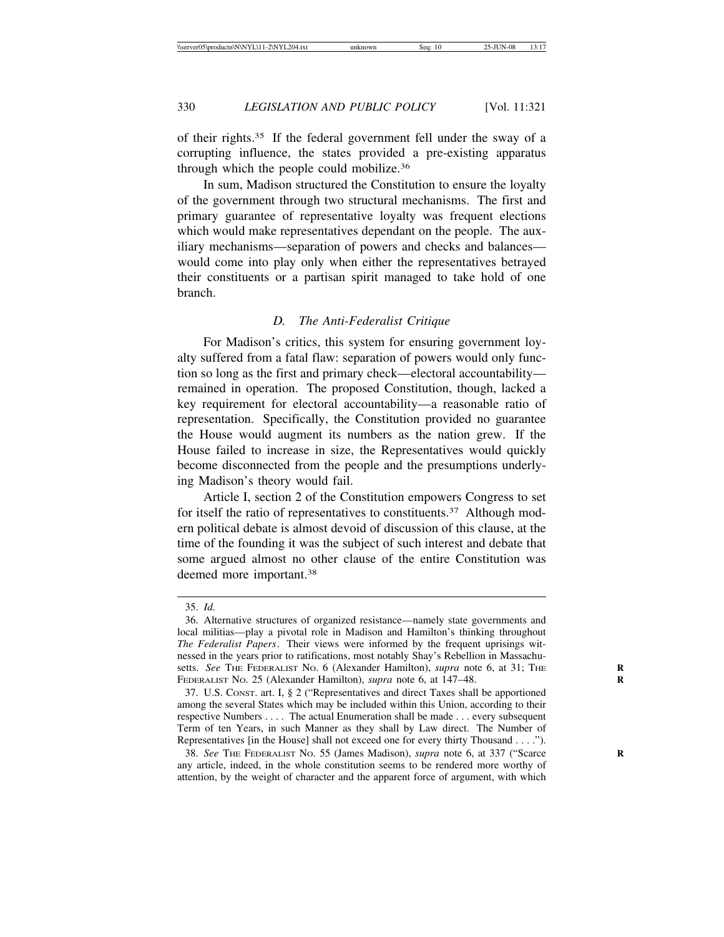of their rights.35 If the federal government fell under the sway of a corrupting influence, the states provided a pre-existing apparatus through which the people could mobilize.36

In sum, Madison structured the Constitution to ensure the loyalty of the government through two structural mechanisms. The first and primary guarantee of representative loyalty was frequent elections which would make representatives dependant on the people. The auxiliary mechanisms—separation of powers and checks and balances would come into play only when either the representatives betrayed their constituents or a partisan spirit managed to take hold of one branch.

### *D. The Anti-Federalist Critique*

For Madison's critics, this system for ensuring government loyalty suffered from a fatal flaw: separation of powers would only function so long as the first and primary check—electoral accountability remained in operation. The proposed Constitution, though, lacked a key requirement for electoral accountability—a reasonable ratio of representation. Specifically, the Constitution provided no guarantee the House would augment its numbers as the nation grew. If the House failed to increase in size, the Representatives would quickly become disconnected from the people and the presumptions underlying Madison's theory would fail.

Article I, section 2 of the Constitution empowers Congress to set for itself the ratio of representatives to constituents.<sup>37</sup> Although modern political debate is almost devoid of discussion of this clause, at the time of the founding it was the subject of such interest and debate that some argued almost no other clause of the entire Constitution was deemed more important.38

37. U.S. CONST. art. I, § 2 ("Representatives and direct Taxes shall be apportioned among the several States which may be included within this Union, according to their respective Numbers . . . . The actual Enumeration shall be made . . . every subsequent Term of ten Years, in such Manner as they shall by Law direct. The Number of Representatives [in the House] shall not exceed one for every thirty Thousand . . . .").

38. *See* THE FEDERALIST NO. 55 (James Madison), *supra* note 6, at 337 ("Scarce **R** any article, indeed, in the whole constitution seems to be rendered more worthy of attention, by the weight of character and the apparent force of argument, with which

<sup>35.</sup> *Id.*

<sup>36.</sup> Alternative structures of organized resistance—namely state governments and local militias—play a pivotal role in Madison and Hamilton's thinking throughout *The Federalist Papers*. Their views were informed by the frequent uprisings witnessed in the years prior to ratifications, most notably Shay's Rebellion in Massachusetts. See THE FEDERALIST No. 6 (Alexander Hamilton), *supra* note 6, at 31; THE FEDERALIST NO. 25 (Alexander Hamilton), *supra* note 6, at 147–48. **R**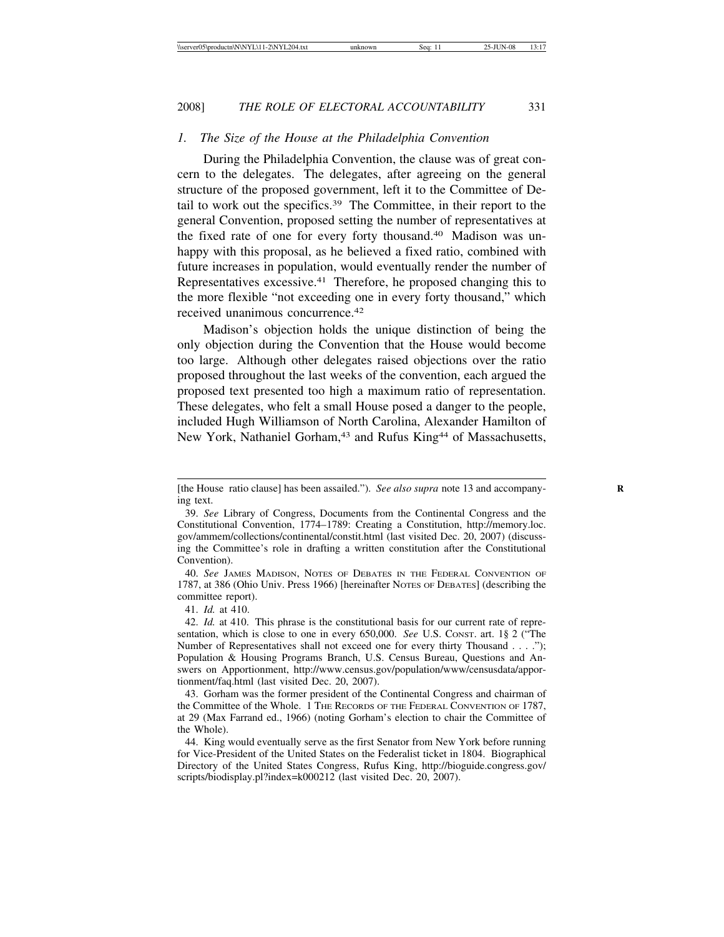### *1. The Size of the House at the Philadelphia Convention*

During the Philadelphia Convention, the clause was of great concern to the delegates. The delegates, after agreeing on the general structure of the proposed government, left it to the Committee of Detail to work out the specifics.39 The Committee, in their report to the general Convention, proposed setting the number of representatives at the fixed rate of one for every forty thousand.40 Madison was unhappy with this proposal, as he believed a fixed ratio, combined with future increases in population, would eventually render the number of Representatives excessive.41 Therefore, he proposed changing this to the more flexible "not exceeding one in every forty thousand," which received unanimous concurrence.42

Madison's objection holds the unique distinction of being the only objection during the Convention that the House would become too large. Although other delegates raised objections over the ratio proposed throughout the last weeks of the convention, each argued the proposed text presented too high a maximum ratio of representation. These delegates, who felt a small House posed a danger to the people, included Hugh Williamson of North Carolina, Alexander Hamilton of New York, Nathaniel Gorham,<sup>43</sup> and Rufus King<sup>44</sup> of Massachusetts,

41. *Id.* at 410.

<sup>[</sup>the House ratio clause] has been assailed."). *See also supra* note 13 and accompanying text.

<sup>39.</sup> *See* Library of Congress, Documents from the Continental Congress and the Constitutional Convention, 1774–1789: Creating a Constitution, http://memory.loc. gov/ammem/collections/continental/constit.html (last visited Dec. 20, 2007) (discussing the Committee's role in drafting a written constitution after the Constitutional Convention).

<sup>40.</sup> *See* JAMES MADISON, NOTES OF DEBATES IN THE FEDERAL CONVENTION OF 1787, at 386 (Ohio Univ. Press 1966) [hereinafter NOTES OF DEBATES] (describing the committee report).

<sup>42.</sup> *Id.* at 410. This phrase is the constitutional basis for our current rate of representation, which is close to one in every 650,000. *See U.S. CONST. art.* 1§ 2 ("The Number of Representatives shall not exceed one for every thirty Thousand . . . ."); Population & Housing Programs Branch, U.S. Census Bureau, Questions and Answers on Apportionment, http://www.census.gov/population/www/censusdata/apportionment/faq.html (last visited Dec. 20, 2007).

<sup>43.</sup> Gorham was the former president of the Continental Congress and chairman of the Committee of the Whole. 1 THE RECORDS OF THE FEDERAL CONVENTION OF 1787, at 29 (Max Farrand ed., 1966) (noting Gorham's election to chair the Committee of the Whole).

<sup>44.</sup> King would eventually serve as the first Senator from New York before running for Vice-President of the United States on the Federalist ticket in 1804. Biographical Directory of the United States Congress, Rufus King, http://bioguide.congress.gov/ scripts/biodisplay.pl?index=k000212 (last visited Dec. 20, 2007).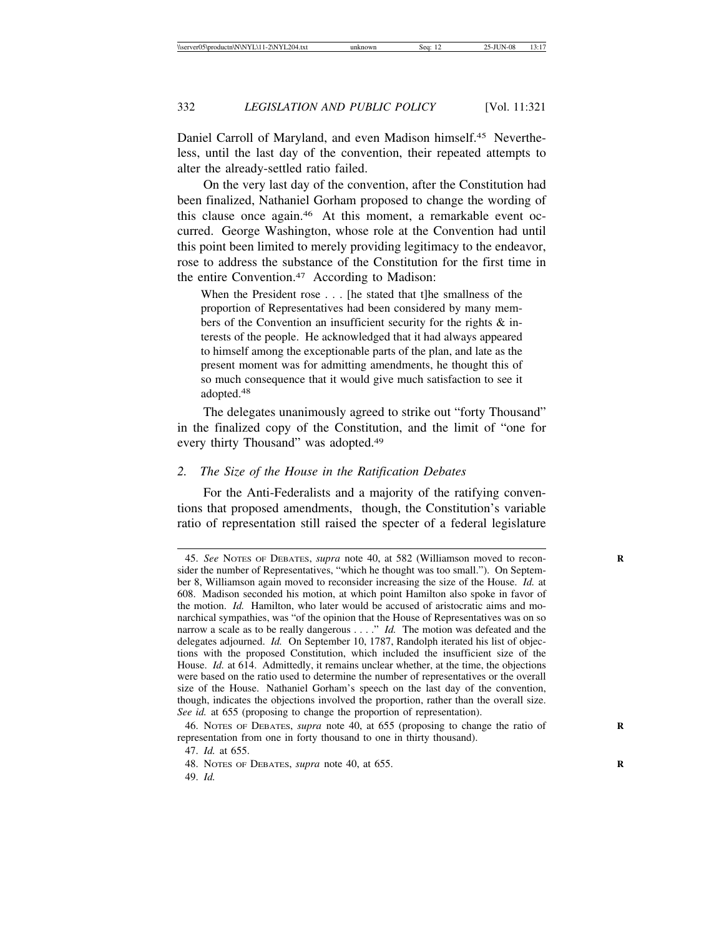Daniel Carroll of Maryland, and even Madison himself.45 Nevertheless, until the last day of the convention, their repeated attempts to alter the already-settled ratio failed.

On the very last day of the convention, after the Constitution had been finalized, Nathaniel Gorham proposed to change the wording of this clause once again.46 At this moment, a remarkable event occurred. George Washington, whose role at the Convention had until this point been limited to merely providing legitimacy to the endeavor, rose to address the substance of the Constitution for the first time in the entire Convention.47 According to Madison:

When the President rose . . . [he stated that t]he smallness of the proportion of Representatives had been considered by many members of the Convention an insufficient security for the rights & interests of the people. He acknowledged that it had always appeared to himself among the exceptionable parts of the plan, and late as the present moment was for admitting amendments, he thought this of so much consequence that it would give much satisfaction to see it adopted.<sup>48</sup>

The delegates unanimously agreed to strike out "forty Thousand" in the finalized copy of the Constitution, and the limit of "one for every thirty Thousand" was adopted.49

### *2. The Size of the House in the Ratification Debates*

For the Anti-Federalists and a majority of the ratifying conventions that proposed amendments, though, the Constitution's variable ratio of representation still raised the specter of a federal legislature

<sup>45.</sup> *See* NOTES OF DEBATES, *supra* note 40, at 582 (Williamson moved to recon- **R** sider the number of Representatives, "which he thought was too small."). On September 8, Williamson again moved to reconsider increasing the size of the House. *Id.* at 608. Madison seconded his motion, at which point Hamilton also spoke in favor of the motion. *Id.* Hamilton, who later would be accused of aristocratic aims and monarchical sympathies, was "of the opinion that the House of Representatives was on so narrow a scale as to be really dangerous . . . ." *Id.* The motion was defeated and the delegates adjourned. *Id.* On September 10, 1787, Randolph iterated his list of objections with the proposed Constitution, which included the insufficient size of the House. *Id.* at 614. Admittedly, it remains unclear whether, at the time, the objections were based on the ratio used to determine the number of representatives or the overall size of the House. Nathaniel Gorham's speech on the last day of the convention, though, indicates the objections involved the proportion, rather than the overall size. *See id.* at 655 (proposing to change the proportion of representation).

<sup>46.</sup> NOTES OF DEBATES, *supra* note 40, at 655 (proposing to change the ratio of **R** representation from one in forty thousand to one in thirty thousand).

<sup>47.</sup> *Id.* at 655.

<sup>48.</sup> NOTES OF DEBATES, *supra* note 40, at 655. **R**

<sup>49.</sup> *Id.*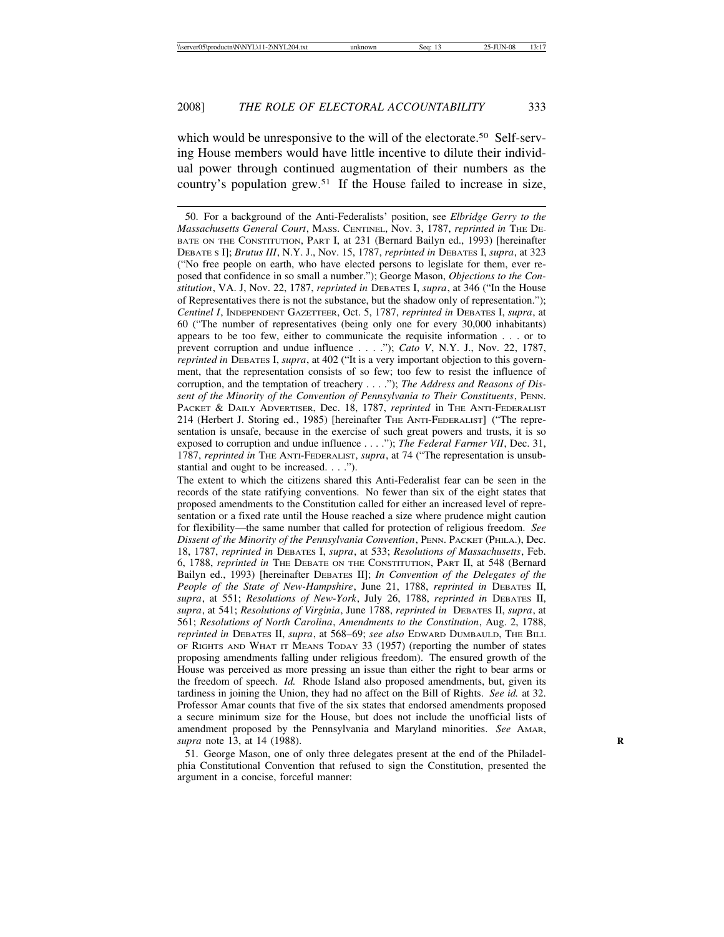which would be unresponsive to the will of the electorate.<sup>50</sup> Self-serving House members would have little incentive to dilute their individual power through continued augmentation of their numbers as the country's population grew.51 If the House failed to increase in size,

50. For a background of the Anti-Federalists' position, see *Elbridge Gerry to the Massachusetts General Court*, MASS. CENTINEL, Nov. 3, 1787, *reprinted in* THE DE-BATE ON THE CONSTITUTION, PART I, at 231 (Bernard Bailyn ed., 1993) [hereinafter DEBATE S I]; *Brutus III*, N.Y. J., Nov. 15, 1787, *reprinted in* DEBATES I, *supra*, at 323 ("No free people on earth, who have elected persons to legislate for them, ever reposed that confidence in so small a number."); George Mason, *Objections to the Constitution*, VA. J, Nov. 22, 1787, *reprinted in* DEBATES I, *supra*, at 346 ("In the House of Representatives there is not the substance, but the shadow only of representation."); *Centinel I*, INDEPENDENT GAZETTEER, Oct. 5, 1787, *reprinted in* DEBATES I, *supra*, at 60 ("The number of representatives (being only one for every 30,000 inhabitants) appears to be too few, either to communicate the requisite information . . . or to prevent corruption and undue influence . . . ."); *Cato V*, N.Y. J., Nov. 22, 1787, *reprinted in* DEBATES I, *supra*, at 402 ("It is a very important objection to this government, that the representation consists of so few; too few to resist the influence of corruption, and the temptation of treachery . . . ."); *The Address and Reasons of Dissent of the Minority of the Convention of Pennsylvania to Their Constituents*, PENN. PACKET & DAILY ADVERTISER, Dec. 18, 1787, *reprinted* in THE ANTI-FEDERALIST 214 (Herbert J. Storing ed., 1985) [hereinafter THE ANTI-FEDERALIST] ("The representation is unsafe, because in the exercise of such great powers and trusts, it is so exposed to corruption and undue influence . . . ."); *The Federal Farmer VII*, Dec. 31, 1787, *reprinted in* THE ANTI-FEDERALIST, *supra*, at 74 ("The representation is unsubstantial and ought to be increased. . . .").

The extent to which the citizens shared this Anti-Federalist fear can be seen in the records of the state ratifying conventions. No fewer than six of the eight states that proposed amendments to the Constitution called for either an increased level of representation or a fixed rate until the House reached a size where prudence might caution for flexibility—the same number that called for protection of religious freedom. *See Dissent of the Minority of the Pennsylvania Convention*, PENN. PACKET (PHILA.), Dec. 18, 1787, *reprinted in* DEBATES I, *supra*, at 533; *Resolutions of Massachusetts*, Feb. 6, 1788, *reprinted in* THE DEBATE ON THE CONSTITUTION, PART II, at 548 (Bernard Bailyn ed., 1993) [hereinafter DEBATES II]; *In Convention of the Delegates of the People of the State of New-Hampshire*, June 21, 1788, *reprinted in* DEBATES II, *supra*, at 551; *Resolutions of New-York*, July 26, 1788, *reprinted in* DEBATES II, *supra*, at 541; *Resolutions of Virginia*, June 1788, *reprinted in* DEBATES II, *supra*, at 561; *Resolutions of North Carolina*, *Amendments to the Constitution*, Aug. 2, 1788, *reprinted in* DEBATES II, *supra*, at 568–69; *see also* EDWARD DUMBAULD, THE BILL OF RIGHTS AND WHAT IT MEANS TODAY 33 (1957) (reporting the number of states proposing amendments falling under religious freedom). The ensured growth of the House was perceived as more pressing an issue than either the right to bear arms or the freedom of speech. *Id.* Rhode Island also proposed amendments, but, given its tardiness in joining the Union, they had no affect on the Bill of Rights. *See id.* at 32. Professor Amar counts that five of the six states that endorsed amendments proposed a secure minimum size for the House, but does not include the unofficial lists of amendment proposed by the Pennsylvania and Maryland minorities. *See* AMAR, *supra* note 13, at 14 (1988). **R**

51. George Mason, one of only three delegates present at the end of the Philadelphia Constitutional Convention that refused to sign the Constitution, presented the argument in a concise, forceful manner: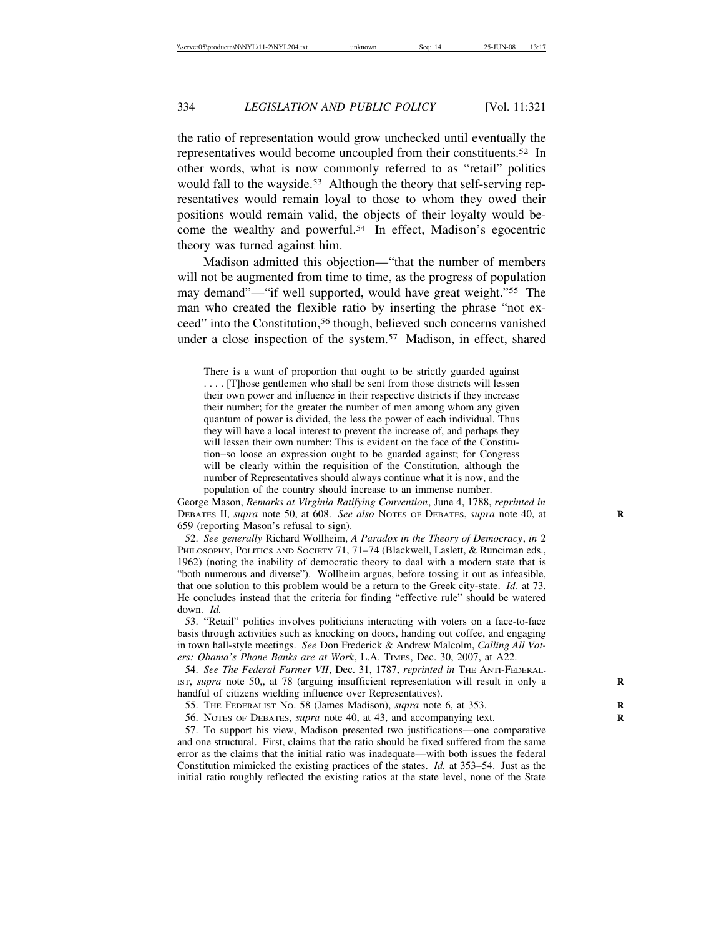the ratio of representation would grow unchecked until eventually the representatives would become uncoupled from their constituents.52 In other words, what is now commonly referred to as "retail" politics would fall to the wayside.<sup>53</sup> Although the theory that self-serving representatives would remain loyal to those to whom they owed their positions would remain valid, the objects of their loyalty would become the wealthy and powerful.54 In effect, Madison's egocentric theory was turned against him.

Madison admitted this objection—"that the number of members will not be augmented from time to time, as the progress of population may demand"—"if well supported, would have great weight."55 The man who created the flexible ratio by inserting the phrase "not exceed" into the Constitution,56 though, believed such concerns vanished under a close inspection of the system.<sup>57</sup> Madison, in effect, shared

George Mason, *Remarks at Virginia Ratifying Convention*, June 4, 1788, *reprinted in* DEBATES II, *supra* note 50, at 608. *See also* NOTES OF DEBATES, *supra* note 40, at **R** 659 (reporting Mason's refusal to sign).

52. *See generally* Richard Wollheim, *A Paradox in the Theory of Democracy*, *in* 2 PHILOSOPHY, POLITICS AND SOCIETY 71, 71-74 (Blackwell, Laslett, & Runciman eds., 1962) (noting the inability of democratic theory to deal with a modern state that is "both numerous and diverse"). Wollheim argues, before tossing it out as infeasible, that one solution to this problem would be a return to the Greek city-state. *Id.* at 73. He concludes instead that the criteria for finding "effective rule" should be watered down. *Id.*

53. "Retail" politics involves politicians interacting with voters on a face-to-face basis through activities such as knocking on doors, handing out coffee, and engaging in town hall-style meetings. *See* Don Frederick & Andrew Malcolm, *Calling All Voters: Obama's Phone Banks are at Work*, L.A. TIMES, Dec. 30, 2007, at A22.

54. *See The Federal Farmer VII*, Dec. 31, 1787, *reprinted in* THE ANTI-FEDERAL-IST, *supra* note 50,, at 78 (arguing insufficient representation will result in only a **R** handful of citizens wielding influence over Representatives).

55. THE FEDERALIST NO. 58 (James Madison), *supra* note 6, at 353. **R**

56. NOTES OF DEBATES, *supra* note 40, at 43, and accompanying text. **R**

57. To support his view, Madison presented two justifications—one comparative and one structural. First, claims that the ratio should be fixed suffered from the same error as the claims that the initial ratio was inadequate—with both issues the federal Constitution mimicked the existing practices of the states. *Id.* at 353–54. Just as the initial ratio roughly reflected the existing ratios at the state level, none of the State

There is a want of proportion that ought to be strictly guarded against . . . . [T]hose gentlemen who shall be sent from those districts will lessen their own power and influence in their respective districts if they increase their number; for the greater the number of men among whom any given quantum of power is divided, the less the power of each individual. Thus they will have a local interest to prevent the increase of, and perhaps they will lessen their own number: This is evident on the face of the Constitution–so loose an expression ought to be guarded against; for Congress will be clearly within the requisition of the Constitution, although the number of Representatives should always continue what it is now, and the population of the country should increase to an immense number.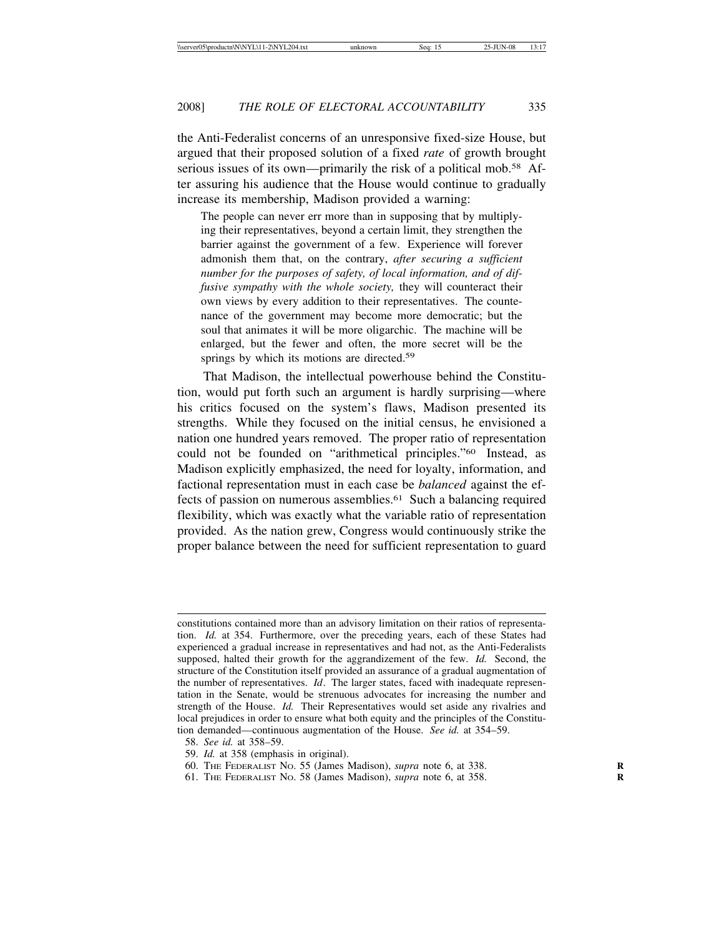the Anti-Federalist concerns of an unresponsive fixed-size House, but argued that their proposed solution of a fixed *rate* of growth brought serious issues of its own—primarily the risk of a political mob.<sup>58</sup> After assuring his audience that the House would continue to gradually increase its membership, Madison provided a warning:

The people can never err more than in supposing that by multiplying their representatives, beyond a certain limit, they strengthen the barrier against the government of a few. Experience will forever admonish them that, on the contrary, *after securing a sufficient number for the purposes of safety, of local information, and of diffusive sympathy with the whole society,* they will counteract their own views by every addition to their representatives. The countenance of the government may become more democratic; but the soul that animates it will be more oligarchic. The machine will be enlarged, but the fewer and often, the more secret will be the springs by which its motions are directed.<sup>59</sup>

That Madison, the intellectual powerhouse behind the Constitution, would put forth such an argument is hardly surprising—where his critics focused on the system's flaws, Madison presented its strengths. While they focused on the initial census, he envisioned a nation one hundred years removed. The proper ratio of representation could not be founded on "arithmetical principles."60 Instead, as Madison explicitly emphasized, the need for loyalty, information, and factional representation must in each case be *balanced* against the effects of passion on numerous assemblies.<sup>61</sup> Such a balancing required flexibility, which was exactly what the variable ratio of representation provided. As the nation grew, Congress would continuously strike the proper balance between the need for sufficient representation to guard

- 59. *Id.* at 358 (emphasis in original).
- 60. THE FEDERALIST NO. 55 (James Madison), *supra* note 6, at 338. **R**
- 61. THE FEDERALIST NO. 58 (James Madison), *supra* note 6, at 358. **R**

constitutions contained more than an advisory limitation on their ratios of representation. *Id.* at 354. Furthermore, over the preceding years, each of these States had experienced a gradual increase in representatives and had not, as the Anti-Federalists supposed, halted their growth for the aggrandizement of the few. *Id.* Second, the structure of the Constitution itself provided an assurance of a gradual augmentation of the number of representatives. *Id*. The larger states, faced with inadequate representation in the Senate, would be strenuous advocates for increasing the number and strength of the House. *Id.* Their Representatives would set aside any rivalries and local prejudices in order to ensure what both equity and the principles of the Constitution demanded—continuous augmentation of the House. *See id.* at 354–59.

<sup>58.</sup> *See id.* at 358–59.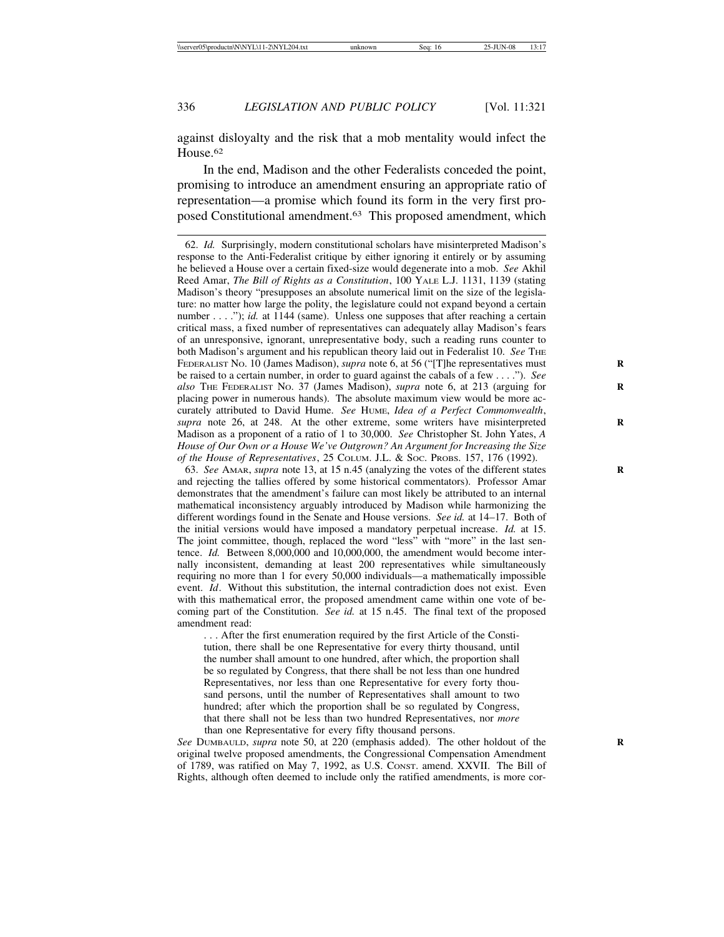against disloyalty and the risk that a mob mentality would infect the House<sup>62</sup>

In the end, Madison and the other Federalists conceded the point, promising to introduce an amendment ensuring an appropriate ratio of representation—a promise which found its form in the very first proposed Constitutional amendment.63 This proposed amendment, which

62. *Id.* Surprisingly, modern constitutional scholars have misinterpreted Madison's response to the Anti-Federalist critique by either ignoring it entirely or by assuming he believed a House over a certain fixed-size would degenerate into a mob. *See* Akhil Reed Amar, *The Bill of Rights as a Constitution*, 100 YALE L.J. 1131, 1139 (stating Madison's theory "presupposes an absolute numerical limit on the size of the legislature: no matter how large the polity, the legislature could not expand beyond a certain number . . . ."); *id.* at 1144 (same). Unless one supposes that after reaching a certain critical mass, a fixed number of representatives can adequately allay Madison's fears of an unresponsive, ignorant, unrepresentative body, such a reading runs counter to both Madison's argument and his republican theory laid out in Federalist 10. *See* THE FEDERALIST No. 10 (James Madison), *supra* note 6, at 56 ("T] he representatives must be raised to a certain number, in order to guard against the cabals of a few . . . ."). *See also* THE FEDERALIST NO. 37 (James Madison), *supra* note 6, at 213 (arguing for **R** placing power in numerous hands). The absolute maximum view would be more accurately attributed to David Hume. *See* HUME, *Idea of a Perfect Commonwealth*, supra note 26, at 248. At the other extreme, some writers have misinterpreted Madison as a proponent of a ratio of 1 to 30,000. *See* Christopher St. John Yates, *A House of Our Own or a House We've Outgrown? An Argument for Increasing the Size of the House of Representatives*, 25 COLUM. J.L. & SOC. PROBS. 157, 176 (1992).

63. *See* AMAR, *supra* note 13, at 15 n.45 (analyzing the votes of the different states **R** and rejecting the tallies offered by some historical commentators). Professor Amar demonstrates that the amendment's failure can most likely be attributed to an internal mathematical inconsistency arguably introduced by Madison while harmonizing the different wordings found in the Senate and House versions. *See id.* at 14–17. Both of the initial versions would have imposed a mandatory perpetual increase. *Id.* at 15. The joint committee, though, replaced the word "less" with "more" in the last sentence. *Id.* Between 8,000,000 and 10,000,000, the amendment would become internally inconsistent, demanding at least 200 representatives while simultaneously requiring no more than 1 for every 50,000 individuals—a mathematically impossible event. *Id*. Without this substitution, the internal contradiction does not exist. Even with this mathematical error, the proposed amendment came within one vote of becoming part of the Constitution. *See id.* at 15 n.45. The final text of the proposed amendment read:

. . . After the first enumeration required by the first Article of the Constitution, there shall be one Representative for every thirty thousand, until the number shall amount to one hundred, after which, the proportion shall be so regulated by Congress, that there shall be not less than one hundred Representatives, nor less than one Representative for every forty thousand persons, until the number of Representatives shall amount to two hundred; after which the proportion shall be so regulated by Congress, that there shall not be less than two hundred Representatives, nor *more* than one Representative for every fifty thousand persons.

*See* DUMBAULD, *supra* note 50, at 220 (emphasis added). The other holdout of the **R** original twelve proposed amendments, the Congressional Compensation Amendment of 1789, was ratified on May 7, 1992, as U.S. CONST. amend. XXVII. The Bill of Rights, although often deemed to include only the ratified amendments, is more cor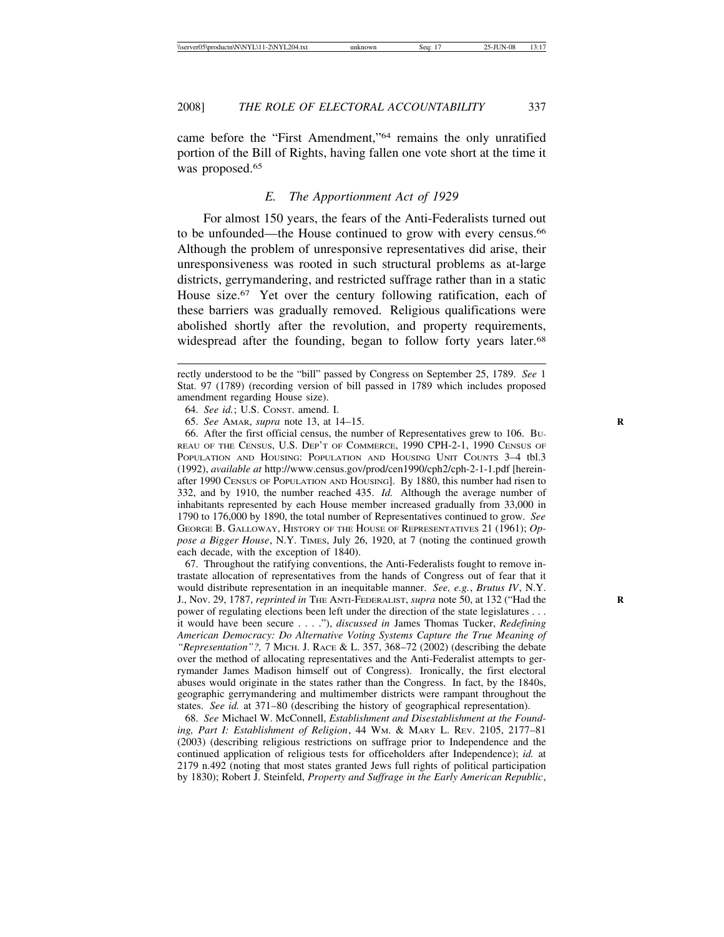came before the "First Amendment,"64 remains the only unratified portion of the Bill of Rights, having fallen one vote short at the time it was proposed.<sup>65</sup>

# *E. The Apportionment Act of 1929*

For almost 150 years, the fears of the Anti-Federalists turned out to be unfounded—the House continued to grow with every census.66 Although the problem of unresponsive representatives did arise, their unresponsiveness was rooted in such structural problems as at-large districts, gerrymandering, and restricted suffrage rather than in a static House size.<sup>67</sup> Yet over the century following ratification, each of these barriers was gradually removed. Religious qualifications were abolished shortly after the revolution, and property requirements, widespread after the founding, began to follow forty years later.<sup>68</sup>

64. *See id.*; U.S. CONST. amend. I.

65. *See* AMAR, *supra* note 13, at 14–15. **R**

66. After the first official census, the number of Representatives grew to 106. BU-REAU OF THE CENSUS, U.S. DEP'T OF COMMERCE, 1990 CPH-2-1, 1990 CENSUS OF POPULATION AND HOUSING: POPULATION AND HOUSING UNIT COUNTS 3-4 tbl.3 (1992), *available at* http://www.census.gov/prod/cen1990/cph2/cph-2-1-1.pdf [hereinafter 1990 CENSUS OF POPULATION AND HOUSING]. By 1880, this number had risen to 332, and by 1910, the number reached 435. *Id.* Although the average number of inhabitants represented by each House member increased gradually from 33,000 in 1790 to 176,000 by 1890, the total number of Representatives continued to grow. *See* GEORGE B. GALLOWAY, HISTORY OF THE HOUSE OF REPRESENTATIVES 21 (1961); *Oppose a Bigger House*, N.Y. TIMES, July 26, 1920, at 7 (noting the continued growth each decade, with the exception of 1840).

67. Throughout the ratifying conventions, the Anti-Federalists fought to remove intrastate allocation of representatives from the hands of Congress out of fear that it would distribute representation in an inequitable manner. *See, e.g.*, *Brutus IV*, N.Y. J., Nov. 29, 1787, *reprinted in* THE ANTI-FEDERALIST, *supra* note 50, at 132 ("Had the **R** power of regulating elections been left under the direction of the state legislatures . . . it would have been secure . . . ."), *discussed in* James Thomas Tucker, *Redefining American Democracy: Do Alternative Voting Systems Capture the True Meaning of "Representation"?,* 7 MICH. J. RACE & L. 357, 368–72 (2002) (describing the debate over the method of allocating representatives and the Anti-Federalist attempts to gerrymander James Madison himself out of Congress). Ironically, the first electoral abuses would originate in the states rather than the Congress. In fact, by the 1840s, geographic gerrymandering and multimember districts were rampant throughout the states. *See id.* at 371–80 (describing the history of geographical representation).

68. *See* Michael W. McConnell, *Establishment and Disestablishment at the Founding, Part I: Establishment of Religion*, 44 WM. & MARY L. REV. 2105, 2177–81 (2003) (describing religious restrictions on suffrage prior to Independence and the continued application of religious tests for officeholders after Independence); *id.* at 2179 n.492 (noting that most states granted Jews full rights of political participation by 1830); Robert J. Steinfeld, *Property and Suffrage in the Early American Republic*,

rectly understood to be the "bill" passed by Congress on September 25, 1789. *See* 1 Stat. 97 (1789) (recording version of bill passed in 1789 which includes proposed amendment regarding House size).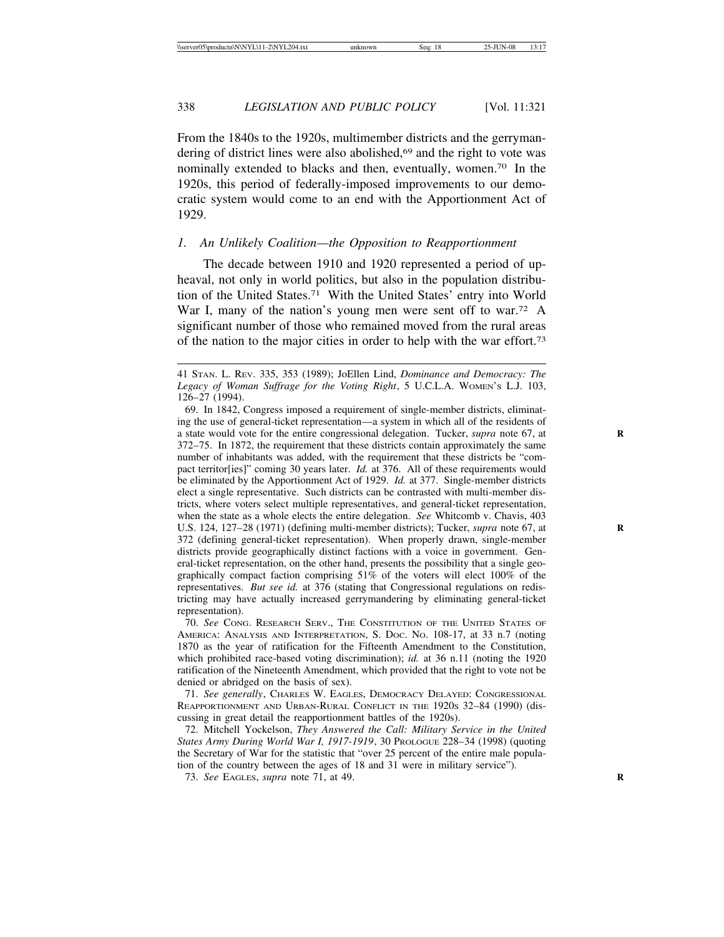From the 1840s to the 1920s, multimember districts and the gerrymandering of district lines were also abolished,<sup>69</sup> and the right to vote was nominally extended to blacks and then, eventually, women.70 In the 1920s, this period of federally-imposed improvements to our democratic system would come to an end with the Apportionment Act of 1929.

# *1. An Unlikely Coalition—the Opposition to Reapportionment*

The decade between 1910 and 1920 represented a period of upheaval, not only in world politics, but also in the population distribution of the United States.<sup>71</sup> With the United States' entry into World War I, many of the nation's young men were sent off to war.<sup>72</sup> A significant number of those who remained moved from the rural areas of the nation to the major cities in order to help with the war effort.73

70. *See* CONG. RESEARCH SERV., THE CONSTITUTION OF THE UNITED STATES OF AMERICA: ANALYSIS AND INTERPRETATION, S. DOC. NO. 108-17, at 33 n.7 (noting 1870 as the year of ratification for the Fifteenth Amendment to the Constitution, which prohibited race-based voting discrimination); *id.* at 36 n.11 (noting the 1920 ratification of the Nineteenth Amendment, which provided that the right to vote not be denied or abridged on the basis of sex).

71. *See generally*, CHARLES W. EAGLES, DEMOCRACY DELAYED: CONGRESSIONAL REAPPORTIONMENT AND URBAN-RURAL CONFLICT IN THE 1920S 32–84 (1990) (discussing in great detail the reapportionment battles of the 1920s).

72. Mitchell Yockelson, *They Answered the Call: Military Service in the United States Army During World War I, 1917-1919*, 30 PROLOGUE 228–34 (1998) (quoting the Secretary of War for the statistic that "over 25 percent of the entire male population of the country between the ages of 18 and 31 were in military service").

73. *See* EAGLES, *supra* note 71, at 49. **R**

<sup>41</sup> STAN. L. REV. 335, 353 (1989); JoEllen Lind, *Dominance and Democracy: The Legacy of Woman Suffrage for the Voting Right*, 5 U.C.L.A. WOMEN'S L.J. 103, 126–27 (1994).

<sup>69.</sup> In 1842, Congress imposed a requirement of single-member districts, eliminating the use of general-ticket representation—a system in which all of the residents of a state would vote for the entire congressional delegation. Tucker, *supra* note 67, at 372–75. In 1872, the requirement that these districts contain approximately the same number of inhabitants was added, with the requirement that these districts be "compact territor[ies]" coming 30 years later. *Id.* at 376. All of these requirements would be eliminated by the Apportionment Act of 1929. *Id.* at 377. Single-member districts elect a single representative. Such districts can be contrasted with multi-member districts, where voters select multiple representatives, and general-ticket representation, when the state as a whole elects the entire delegation. *See* Whitcomb v. Chavis, 403 U.S. 124, 127–28 (1971) (defining multi-member districts); Tucker, *supra* note 67, at 372 (defining general-ticket representation). When properly drawn, single-member districts provide geographically distinct factions with a voice in government. General-ticket representation, on the other hand, presents the possibility that a single geographically compact faction comprising 51% of the voters will elect 100% of the representatives. *But see id.* at 376 (stating that Congressional regulations on redistricting may have actually increased gerrymandering by eliminating general-ticket representation).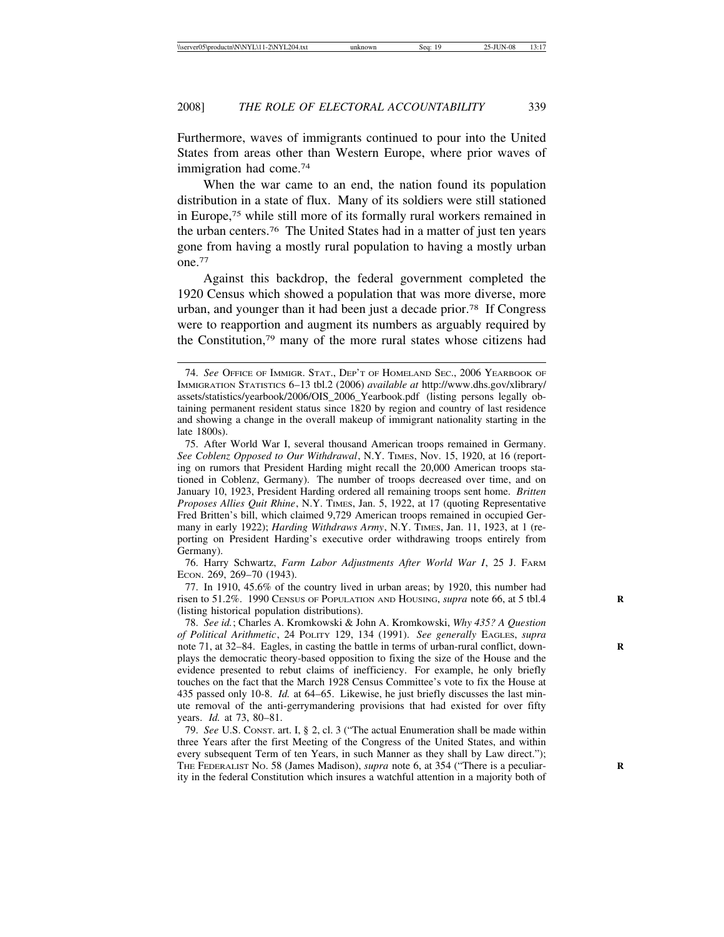Furthermore, waves of immigrants continued to pour into the United States from areas other than Western Europe, where prior waves of immigration had come.74

When the war came to an end, the nation found its population distribution in a state of flux. Many of its soldiers were still stationed in Europe,75 while still more of its formally rural workers remained in the urban centers.76 The United States had in a matter of just ten years gone from having a mostly rural population to having a mostly urban one.77

Against this backdrop, the federal government completed the 1920 Census which showed a population that was more diverse, more urban, and younger than it had been just a decade prior.78 If Congress were to reapportion and augment its numbers as arguably required by the Constitution,79 many of the more rural states whose citizens had

76. Harry Schwartz, *Farm Labor Adjustments After World War I*, 25 J. FARM ECON. 269, 269–70 (1943).

<sup>74.</sup> *See* OFFICE OF IMMIGR. STAT., DEP'T OF HOMELAND SEC., 2006 YEARBOOK OF IMMIGRATION STATISTICS 6–13 tbl.2 (2006) *available at* http://www.dhs.gov/xlibrary/ assets/statistics/yearbook/2006/OIS\_2006\_Yearbook.pdf (listing persons legally obtaining permanent resident status since 1820 by region and country of last residence and showing a change in the overall makeup of immigrant nationality starting in the late 1800s).

<sup>75.</sup> After World War I, several thousand American troops remained in Germany. *See Coblenz Opposed to Our Withdrawal*, N.Y. TIMES, Nov. 15, 1920, at 16 (reporting on rumors that President Harding might recall the 20,000 American troops stationed in Coblenz, Germany). The number of troops decreased over time, and on January 10, 1923, President Harding ordered all remaining troops sent home. *Britten Proposes Allies Quit Rhine*, N.Y. TIMES, Jan. 5, 1922, at 17 (quoting Representative Fred Britten's bill, which claimed 9,729 American troops remained in occupied Germany in early 1922); *Harding Withdraws Army*, N.Y. TIMES, Jan. 11, 1923, at 1 (reporting on President Harding's executive order withdrawing troops entirely from Germany).

<sup>77.</sup> In 1910, 45.6% of the country lived in urban areas; by 1920, this number had risen to 51.2%. 1990 CENSUS OF POPULATION AND HOUSING, *supra* note 66, at 5 tbl.4 **R** (listing historical population distributions).

<sup>78.</sup> *See id.*; Charles A. Kromkowski & John A. Kromkowski, *Why 435? A Question of Political Arithmetic*, 24 POLITY 129, 134 (1991). *See generally* EAGLES, *supra* note 71, at 32–84. Eagles, in casting the battle in terms of urban-rural conflict, downplays the democratic theory-based opposition to fixing the size of the House and the evidence presented to rebut claims of inefficiency. For example, he only briefly touches on the fact that the March 1928 Census Committee's vote to fix the House at 435 passed only 10-8. *Id.* at 64–65. Likewise, he just briefly discusses the last minute removal of the anti-gerrymandering provisions that had existed for over fifty years. *Id.* at 73, 80–81.

<sup>79.</sup> *See* U.S. CONST. art. I, § 2, cl. 3 ("The actual Enumeration shall be made within three Years after the first Meeting of the Congress of the United States, and within every subsequent Term of ten Years, in such Manner as they shall by Law direct."); THE FEDERALIST No. 58 (James Madison), *supra* note 6, at 354 ("There is a peculiarity in the federal Constitution which insures a watchful attention in a majority both of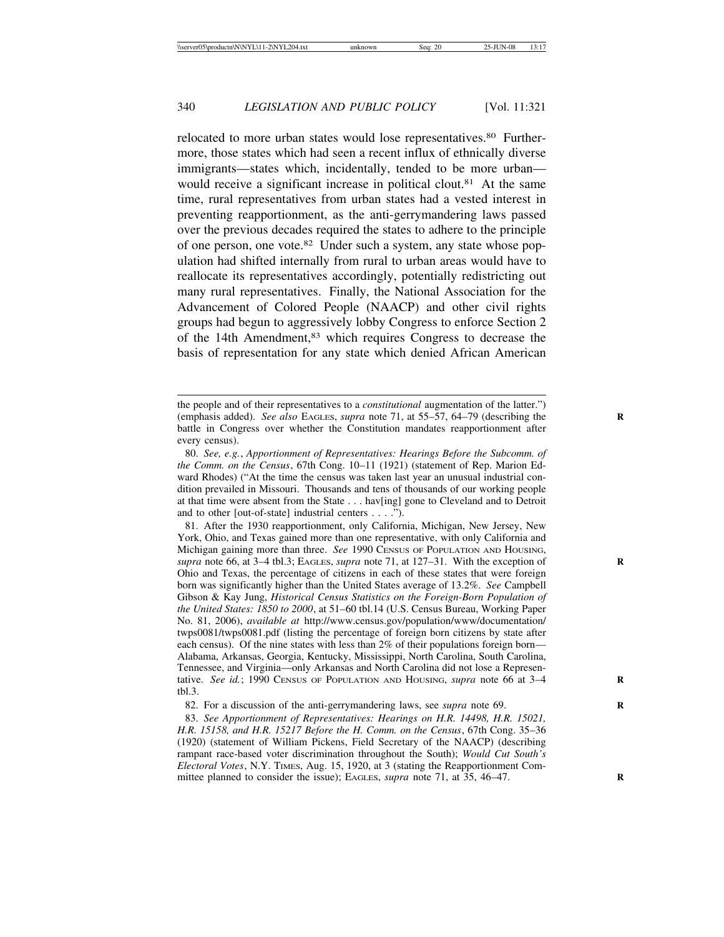relocated to more urban states would lose representatives.<sup>80</sup> Furthermore, those states which had seen a recent influx of ethnically diverse immigrants—states which, incidentally, tended to be more urban would receive a significant increase in political clout.<sup>81</sup> At the same time, rural representatives from urban states had a vested interest in preventing reapportionment, as the anti-gerrymandering laws passed over the previous decades required the states to adhere to the principle of one person, one vote.82 Under such a system, any state whose population had shifted internally from rural to urban areas would have to reallocate its representatives accordingly, potentially redistricting out many rural representatives. Finally, the National Association for the Advancement of Colored People (NAACP) and other civil rights groups had begun to aggressively lobby Congress to enforce Section 2 of the 14th Amendment,83 which requires Congress to decrease the basis of representation for any state which denied African American

81. After the 1930 reapportionment, only California, Michigan, New Jersey, New York, Ohio, and Texas gained more than one representative, with only California and Michigan gaining more than three. *See* 1990 CENSUS OF POPULATION AND HOUSING, *supra* note 66, at  $3-4$  tbl.3; EAGLES, *supra* note 71, at  $127-31$ . With the exception of Ohio and Texas, the percentage of citizens in each of these states that were foreign born was significantly higher than the United States average of 13.2%. *See* Campbell Gibson & Kay Jung, *Historical Census Statistics on the Foreign-Born Population of the United States: 1850 to 2000*, at 51–60 tbl.14 (U.S. Census Bureau, Working Paper No. 81, 2006), *available at* http://www.census.gov/population/www/documentation/ twps0081/twps0081.pdf (listing the percentage of foreign born citizens by state after each census). Of the nine states with less than 2% of their populations foreign born— Alabama, Arkansas, Georgia, Kentucky, Mississippi, North Carolina, South Carolina, Tennessee, and Virginia—only Arkansas and North Carolina did not lose a Representative. *See id.*; 1990 CENSUS OF POPULATION AND HOUSING, *supra* note 66 at 3–4 **R** tbl.3.

82. For a discussion of the anti-gerrymandering laws, see *supra* note 69. **R**

83. *See Apportionment of Representatives: Hearings on H.R. 14498, H.R. 15021, H.R. 15158, and H.R. 15217 Before the H. Comm. on the Census*, 67th Cong. 35–36 (1920) (statement of William Pickens, Field Secretary of the NAACP) (describing rampant race-based voter discrimination throughout the South); *Would Cut South's Electoral Votes*, N.Y. TIMES, Aug. 15, 1920, at 3 (stating the Reapportionment Committee planned to consider the issue); EAGLES, *supra* note 71, at 35, 46–47.

the people and of their representatives to a *constitutional* augmentation of the latter.") (emphasis added). *See also* EAGLES, *supra* note 71, at 55–57, 64–79 (describing the battle in Congress over whether the Constitution mandates reapportionment after every census).

<sup>80.</sup> *See, e.g.*, *Apportionment of Representatives: Hearings Before the Subcomm. of the Comm. on the Census*, 67th Cong. 10–11 (1921) (statement of Rep. Marion Edward Rhodes) ("At the time the census was taken last year an unusual industrial condition prevailed in Missouri. Thousands and tens of thousands of our working people at that time were absent from the State . . . hav[ing] gone to Cleveland and to Detroit and to other [out-of-state] industrial centers . . . .").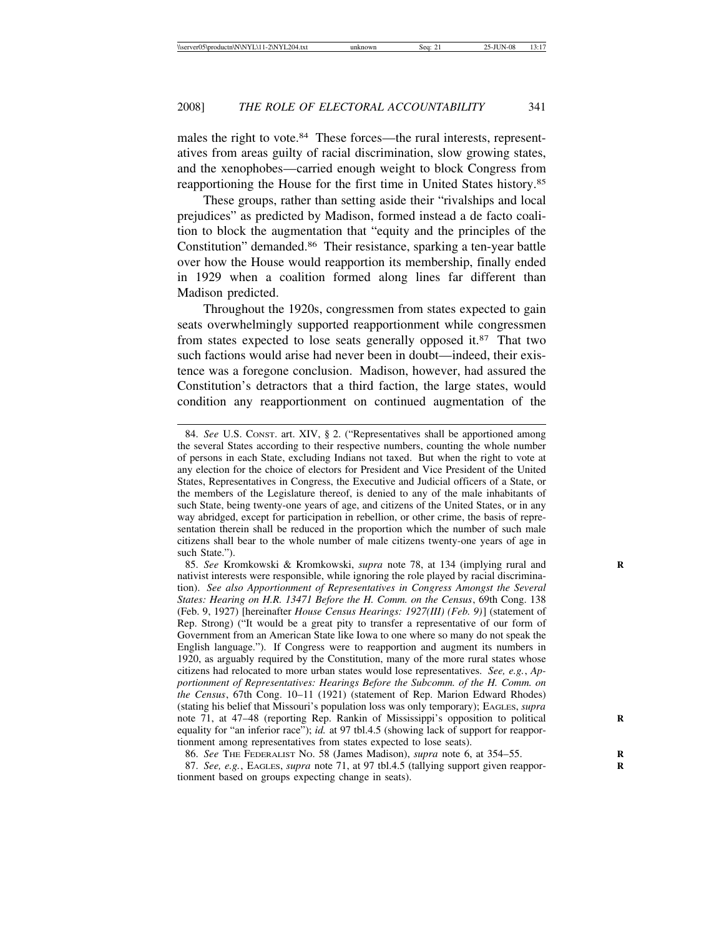males the right to vote.<sup>84</sup> These forces—the rural interests, representatives from areas guilty of racial discrimination, slow growing states, and the xenophobes—carried enough weight to block Congress from reapportioning the House for the first time in United States history.85

These groups, rather than setting aside their "rivalships and local prejudices" as predicted by Madison, formed instead a de facto coalition to block the augmentation that "equity and the principles of the Constitution" demanded.86 Their resistance, sparking a ten-year battle over how the House would reapportion its membership, finally ended in 1929 when a coalition formed along lines far different than Madison predicted.

Throughout the 1920s, congressmen from states expected to gain seats overwhelmingly supported reapportionment while congressmen from states expected to lose seats generally opposed it.87 That two such factions would arise had never been in doubt—indeed, their existence was a foregone conclusion. Madison, however, had assured the Constitution's detractors that a third faction, the large states, would condition any reapportionment on continued augmentation of the

<sup>84.</sup> *See* U.S. CONST. art. XIV, § 2. ("Representatives shall be apportioned among the several States according to their respective numbers, counting the whole number of persons in each State, excluding Indians not taxed. But when the right to vote at any election for the choice of electors for President and Vice President of the United States, Representatives in Congress, the Executive and Judicial officers of a State, or the members of the Legislature thereof, is denied to any of the male inhabitants of such State, being twenty-one years of age, and citizens of the United States, or in any way abridged, except for participation in rebellion, or other crime, the basis of representation therein shall be reduced in the proportion which the number of such male citizens shall bear to the whole number of male citizens twenty-one years of age in such State.").

<sup>85.</sup> *See* Kromkowski & Kromkowski, *supra* note 78, at 134 (implying rural and **R** nativist interests were responsible, while ignoring the role played by racial discrimination). *See also Apportionment of Representatives in Congress Amongst the Several States: Hearing on H.R. 13471 Before the H. Comm. on the Census*, 69th Cong. 138 (Feb. 9, 1927) [hereinafter *House Census Hearings: 1927(III) (Feb. 9)*] (statement of Rep. Strong) ("It would be a great pity to transfer a representative of our form of Government from an American State like Iowa to one where so many do not speak the English language."). If Congress were to reapportion and augment its numbers in 1920, as arguably required by the Constitution, many of the more rural states whose citizens had relocated to more urban states would lose representatives. *See, e.g.*, *Apportionment of Representatives: Hearings Before the Subcomm. of the H. Comm. on the Census*, 67th Cong. 10–11 (1921) (statement of Rep. Marion Edward Rhodes) (stating his belief that Missouri's population loss was only temporary); EAGLES, *supra* note 71, at 47–48 (reporting Rep. Rankin of Mississippi's opposition to political equality for "an inferior race"); *id.* at 97 tbl.4.5 (showing lack of support for reapportionment among representatives from states expected to lose seats).

<sup>86.</sup> *See* THE FEDERALIST NO. 58 (James Madison), *supra* note 6, at 354–55. **R**

<sup>87.</sup> *See, e.g.*, EAGLES, *supra* note 71, at 97 tbl.4.5 (tallying support given reappor- **R** tionment based on groups expecting change in seats).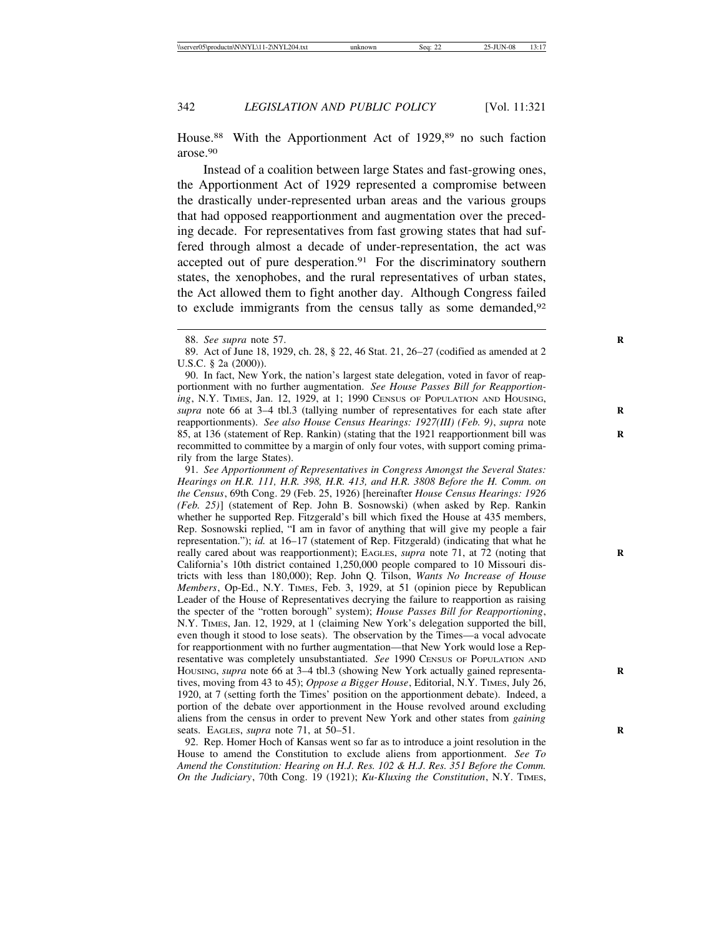House.<sup>88</sup> With the Apportionment Act of 1929,<sup>89</sup> no such faction arose.90

Instead of a coalition between large States and fast-growing ones, the Apportionment Act of 1929 represented a compromise between the drastically under-represented urban areas and the various groups that had opposed reapportionment and augmentation over the preceding decade. For representatives from fast growing states that had suffered through almost a decade of under-representation, the act was accepted out of pure desperation.<sup>91</sup> For the discriminatory southern states, the xenophobes, and the rural representatives of urban states, the Act allowed them to fight another day. Although Congress failed to exclude immigrants from the census tally as some demanded,<sup>92</sup>

90. In fact, New York, the nation's largest state delegation, voted in favor of reapportionment with no further augmentation. *See House Passes Bill for Reapportioning*, N.Y. TIMES, Jan. 12, 1929, at 1; 1990 CENSUS OF POPULATION AND HOUSING, *supra* note 66 at 3–4 tbl.3 (tallying number of representatives for each state after reapportionments). *See also House Census Hearings: 1927(III) (Feb. 9)*, *supra* note 85, at 136 (statement of Rep. Rankin) (stating that the 1921 reapportionment bill was **R** recommitted to committee by a margin of only four votes, with support coming primarily from the large States).

91. *See Apportionment of Representatives in Congress Amongst the Several States: Hearings on H.R. 111, H.R. 398, H.R. 413, and H.R. 3808 Before the H. Comm. on the Census*, 69th Cong. 29 (Feb. 25, 1926) [hereinafter *House Census Hearings: 1926 (Feb. 25)*] (statement of Rep. John B. Sosnowski) (when asked by Rep. Rankin whether he supported Rep. Fitzgerald's bill which fixed the House at 435 members, Rep. Sosnowski replied, "I am in favor of anything that will give my people a fair representation."); *id.* at 16–17 (statement of Rep. Fitzgerald) (indicating that what he really cared about was reapportionment); EAGLES, *supra* note 71, at 72 (noting that California's 10th district contained 1,250,000 people compared to 10 Missouri districts with less than 180,000); Rep. John Q. Tilson, *Wants No Increase of House Members*, Op-Ed., N.Y. TIMES, Feb. 3, 1929, at 51 (opinion piece by Republican Leader of the House of Representatives decrying the failure to reapportion as raising the specter of the "rotten borough" system); *House Passes Bill for Reapportioning*, N.Y. TIMES, Jan. 12, 1929, at 1 (claiming New York's delegation supported the bill, even though it stood to lose seats). The observation by the Times—a vocal advocate for reapportionment with no further augmentation—that New York would lose a Representative was completely unsubstantiated. *See* 1990 CENSUS OF POPULATION AND Housing, *supra* note 66 at 3-4 tbl.3 (showing New York actually gained representatives, moving from 43 to 45); *Oppose a Bigger House*, Editorial, N.Y. TIMES, July 26, 1920, at 7 (setting forth the Times' position on the apportionment debate). Indeed, a portion of the debate over apportionment in the House revolved around excluding aliens from the census in order to prevent New York and other states from *gaining* seats. EAGLES, *supra* note 71, at 50–51. **R**

92. Rep. Homer Hoch of Kansas went so far as to introduce a joint resolution in the House to amend the Constitution to exclude aliens from apportionment. *See To Amend the Constitution: Hearing on H.J. Res. 102 & H.J. Res. 351 Before the Comm. On the Judiciary*, 70th Cong. 19 (1921); *Ku-Kluxing the Constitution*, N.Y. TIMES,

<sup>88.</sup> *See supra* note 57. **R**

<sup>89.</sup> Act of June 18, 1929, ch. 28, § 22, 46 Stat. 21, 26–27 (codified as amended at 2 U.S.C. § 2a (2000)).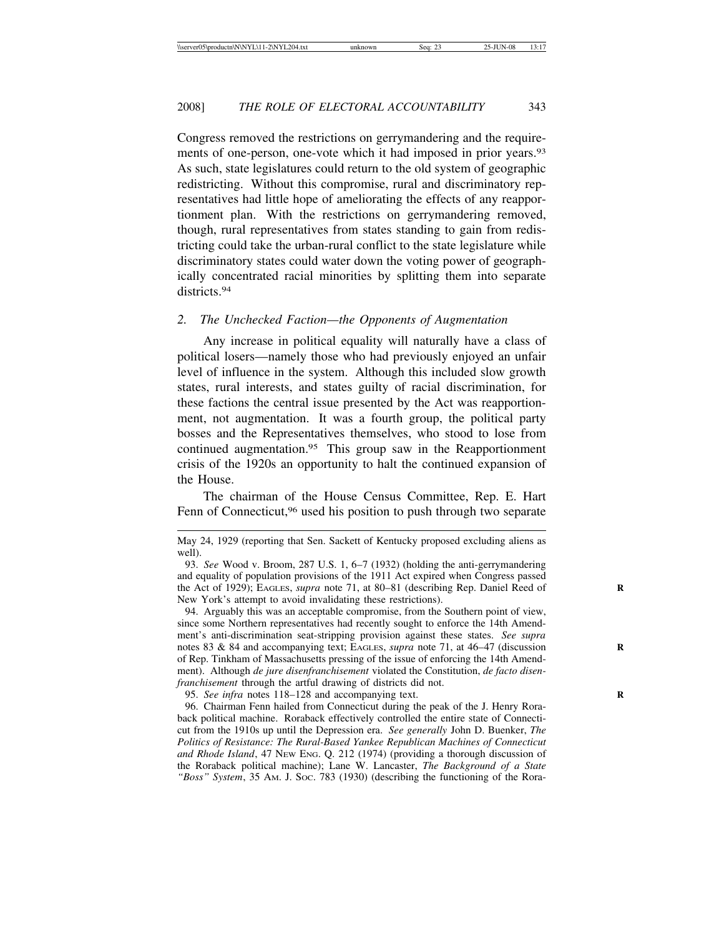Congress removed the restrictions on gerrymandering and the requirements of one-person, one-vote which it had imposed in prior years.<sup>93</sup> As such, state legislatures could return to the old system of geographic redistricting. Without this compromise, rural and discriminatory representatives had little hope of ameliorating the effects of any reapportionment plan. With the restrictions on gerrymandering removed, though, rural representatives from states standing to gain from redistricting could take the urban-rural conflict to the state legislature while discriminatory states could water down the voting power of geographically concentrated racial minorities by splitting them into separate districts<sup>94</sup>

# *2. The Unchecked Faction—the Opponents of Augmentation*

Any increase in political equality will naturally have a class of political losers—namely those who had previously enjoyed an unfair level of influence in the system. Although this included slow growth states, rural interests, and states guilty of racial discrimination, for these factions the central issue presented by the Act was reapportionment, not augmentation. It was a fourth group, the political party bosses and the Representatives themselves, who stood to lose from continued augmentation.95 This group saw in the Reapportionment crisis of the 1920s an opportunity to halt the continued expansion of the House.

The chairman of the House Census Committee, Rep. E. Hart Fenn of Connecticut,<sup>96</sup> used his position to push through two separate

94. Arguably this was an acceptable compromise, from the Southern point of view, since some Northern representatives had recently sought to enforce the 14th Amendment's anti-discrimination seat-stripping provision against these states. *See supra* notes 83 & 84 and accompanying text; EAGLES, *supra* note 71, at 46–47 (discussion of Rep. Tinkham of Massachusetts pressing of the issue of enforcing the 14th Amendment). Although *de jure disenfranchisement* violated the Constitution, *de facto disenfranchisement* through the artful drawing of districts did not.

95. *See infra* notes 118–128 and accompanying text.

96. Chairman Fenn hailed from Connecticut during the peak of the J. Henry Roraback political machine. Roraback effectively controlled the entire state of Connecticut from the 1910s up until the Depression era. *See generally* John D. Buenker, *The Politics of Resistance: The Rural-Based Yankee Republican Machines of Connecticut and Rhode Island*, 47 NEW ENG. Q. 212 (1974) (providing a thorough discussion of the Roraback political machine); Lane W. Lancaster, *The Background of a State "Boss" System*, 35 AM. J. SOC. 783 (1930) (describing the functioning of the Rora-

May 24, 1929 (reporting that Sen. Sackett of Kentucky proposed excluding aliens as well).

<sup>93.</sup> *See* Wood v. Broom, 287 U.S. 1, 6–7 (1932) (holding the anti-gerrymandering and equality of population provisions of the 1911 Act expired when Congress passed the Act of 1929); EAGLES, *supra* note 71, at 80–81 (describing Rep. Daniel Reed of **R** New York's attempt to avoid invalidating these restrictions).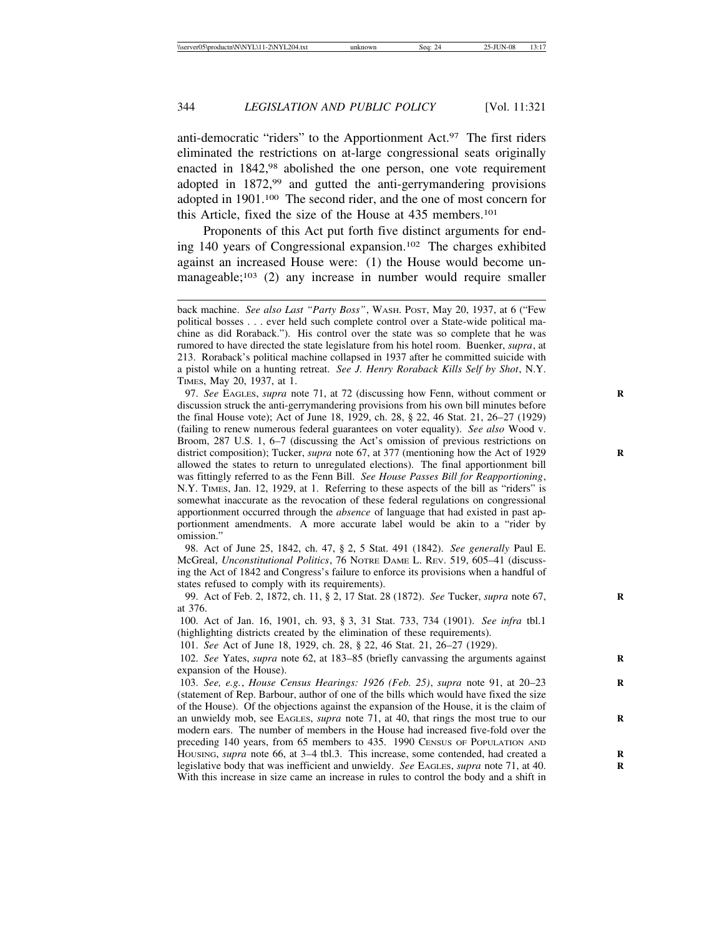anti-democratic "riders" to the Apportionment Act.<sup>97</sup> The first riders eliminated the restrictions on at-large congressional seats originally enacted in 1842,<sup>98</sup> abolished the one person, one vote requirement adopted in 1872,99 and gutted the anti-gerrymandering provisions adopted in 1901.100 The second rider, and the one of most concern for this Article, fixed the size of the House at 435 members.101

Proponents of this Act put forth five distinct arguments for ending 140 years of Congressional expansion.102 The charges exhibited against an increased House were: (1) the House would become unmanageable;<sup>103</sup> (2) any increase in number would require smaller

97. *See* EAGLES, *supra* note 71, at 72 (discussing how Fenn, without comment or **R** discussion struck the anti-gerrymandering provisions from his own bill minutes before the final House vote); Act of June 18, 1929, ch. 28, § 22, 46 Stat. 21, 26–27 (1929) (failing to renew numerous federal guarantees on voter equality). *See also* Wood v. Broom, 287 U.S. 1, 6–7 (discussing the Act's omission of previous restrictions on district composition); Tucker, *supra* note 67, at 377 (mentioning how the Act of 1929 allowed the states to return to unregulated elections). The final apportionment bill was fittingly referred to as the Fenn Bill. *See House Passes Bill for Reapportioning*, N.Y. TIMES, Jan. 12, 1929, at 1. Referring to these aspects of the bill as "riders" is somewhat inaccurate as the revocation of these federal regulations on congressional apportionment occurred through the *absence* of language that had existed in past apportionment amendments. A more accurate label would be akin to a "rider by omission."

98. Act of June 25, 1842, ch. 47, § 2, 5 Stat. 491 (1842). *See generally* Paul E. McGreal, *Unconstitutional Politics*, 76 NOTRE DAME L. REV. 519, 605–41 (discussing the Act of 1842 and Congress's failure to enforce its provisions when a handful of states refused to comply with its requirements).

99. Act of Feb. 2, 1872, ch. 11, § 2, 17 Stat. 28 (1872). *See* Tucker, *supra* note 67, **R** at 376.

100. Act of Jan. 16, 1901, ch. 93, § 3, 31 Stat. 733, 734 (1901). *See infra* tbl.1 (highlighting districts created by the elimination of these requirements).

101. *See* Act of June 18, 1929, ch. 28, § 22, 46 Stat. 21, 26–27 (1929).

102. *See* Yates, *supra* note 62, at 183–85 (briefly canvassing the arguments against **R** expansion of the House).

103. *See, e.g.*, *House Census Hearings: 1926 (Feb. 25)*, *supra* note 91, at 20–23 **R** (statement of Rep. Barbour, author of one of the bills which would have fixed the size of the House). Of the objections against the expansion of the House, it is the claim of an unwieldy mob, see EAGLES, *supra* note 71, at 40, that rings the most true to our modern ears. The number of members in the House had increased five-fold over the preceding 140 years, from 65 members to 435. 1990 CENSUS OF POPULATION AND HOUSING, *supra* note 66, at 3-4 tbl.3. This increase, some contended, had created a legislative body that was inefficient and unwieldy. *See EAGLES*, *supra* note 71, at 40. With this increase in size came an increase in rules to control the body and a shift in

back machine. *See also Last "Party Boss"*, WASH. POST, May 20, 1937, at 6 ("Few political bosses . . . ever held such complete control over a State-wide political machine as did Roraback."). His control over the state was so complete that he was rumored to have directed the state legislature from his hotel room. Buenker, *supra*, at 213. Roraback's political machine collapsed in 1937 after he committed suicide with a pistol while on a hunting retreat. *See J. Henry Roraback Kills Self by Shot*, N.Y. TIMES, May 20, 1937, at 1.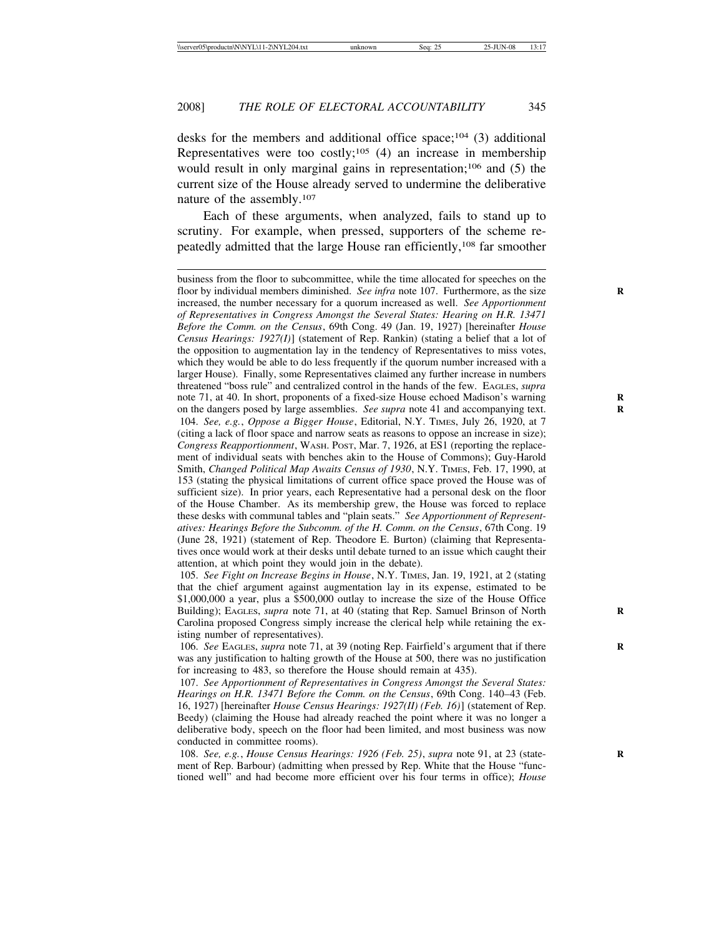desks for the members and additional office space;<sup>104</sup> (3) additional Representatives were too costly;<sup>105</sup> (4) an increase in membership would result in only marginal gains in representation;<sup>106</sup> and (5) the current size of the House already served to undermine the deliberative nature of the assembly.107

Each of these arguments, when analyzed, fails to stand up to scrutiny. For example, when pressed, supporters of the scheme repeatedly admitted that the large House ran efficiently,108 far smoother

business from the floor to subcommittee, while the time allocated for speeches on the floor by individual members diminished. *See infra* note 107. Furthermore, as the size increased, the number necessary for a quorum increased as well. *See Apportionment of Representatives in Congress Amongst the Several States: Hearing on H.R. 13471 Before the Comm. on the Census*, 69th Cong. 49 (Jan. 19, 1927) [hereinafter *House Census Hearings: 1927(I)*] (statement of Rep. Rankin) (stating a belief that a lot of the opposition to augmentation lay in the tendency of Representatives to miss votes, which they would be able to do less frequently if the quorum number increased with a larger House). Finally, some Representatives claimed any further increase in numbers threatened "boss rule" and centralized control in the hands of the few. EAGLES, *supra* note 71, at 40. In short, proponents of a fixed-size House echoed Madison's warning on the dangers posed by large assemblies. *See supra* note 41 and accompanying text. 104. *See, e.g.*, *Oppose a Bigger House*, Editorial, N.Y. TIMES, July 26, 1920, at 7 (citing a lack of floor space and narrow seats as reasons to oppose an increase in size); *Congress Reapportionment*, WASH. POST, Mar. 7, 1926, at ES1 (reporting the replacement of individual seats with benches akin to the House of Commons); Guy-Harold Smith, *Changed Political Map Awaits Census of 1930*, N.Y. TIMES, Feb. 17, 1990, at 153 (stating the physical limitations of current office space proved the House was of sufficient size). In prior years, each Representative had a personal desk on the floor of the House Chamber. As its membership grew, the House was forced to replace these desks with communal tables and "plain seats." *See Apportionment of Representatives: Hearings Before the Subcomm. of the H. Comm. on the Census*, 67th Cong. 19 (June 28, 1921) (statement of Rep. Theodore E. Burton) (claiming that Representatives once would work at their desks until debate turned to an issue which caught their attention, at which point they would join in the debate).

105. *See Fight on Increase Begins in House*, N.Y. TIMES, Jan. 19, 1921, at 2 (stating that the chief argument against augmentation lay in its expense, estimated to be \$1,000,000 a year, plus a \$500,000 outlay to increase the size of the House Office Building); EAGLES, *supra* note 71, at 40 (stating that Rep. Samuel Brinson of North Carolina proposed Congress simply increase the clerical help while retaining the existing number of representatives).

106. *See EAGLES, supra* note 71, at 39 (noting Rep. Fairfield's argument that if there was any justification to halting growth of the House at 500, there was no justification for increasing to 483, so therefore the House should remain at 435).

107. *See Apportionment of Representatives in Congress Amongst the Several States: Hearings on H.R. 13471 Before the Comm. on the Census*, 69th Cong. 140–43 (Feb. 16, 1927) [hereinafter *House Census Hearings: 1927(II) (Feb. 16)*] (statement of Rep. Beedy) (claiming the House had already reached the point where it was no longer a deliberative body, speech on the floor had been limited, and most business was now conducted in committee rooms).

108. *See, e.g.*, *House Census Hearings: 1926 (Feb. 25)*, *supra* note 91, at 23 (state- **R** ment of Rep. Barbour) (admitting when pressed by Rep. White that the House "functioned well" and had become more efficient over his four terms in office); *House*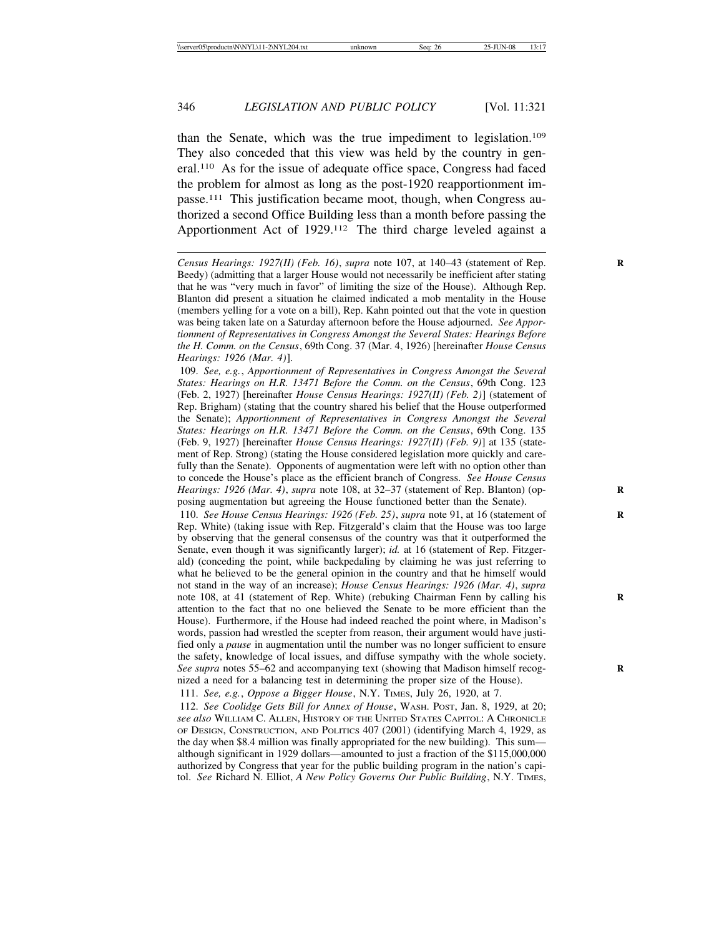than the Senate, which was the true impediment to legislation.109 They also conceded that this view was held by the country in general.110 As for the issue of adequate office space, Congress had faced the problem for almost as long as the post-1920 reapportionment impasse.111 This justification became moot, though, when Congress authorized a second Office Building less than a month before passing the Apportionment Act of 1929.112 The third charge leveled against a

109. *See, e.g.*, *Apportionment of Representatives in Congress Amongst the Several States: Hearings on H.R. 13471 Before the Comm. on the Census*, 69th Cong. 123 (Feb. 2, 1927) [hereinafter *House Census Hearings: 1927(II) (Feb. 2)*] (statement of Rep. Brigham) (stating that the country shared his belief that the House outperformed the Senate); *Apportionment of Representatives in Congress Amongst the Several States: Hearings on H.R. 13471 Before the Comm. on the Census*, 69th Cong. 135 (Feb. 9, 1927) [hereinafter *House Census Hearings: 1927(II) (Feb. 9)*] at 135 (statement of Rep. Strong) (stating the House considered legislation more quickly and carefully than the Senate). Opponents of augmentation were left with no option other than to concede the House's place as the efficient branch of Congress. *See House Census Hearings: 1926 (Mar. 4), supra* note 108, at 32–37 (statement of Rep. Blanton) (opposing augmentation but agreeing the House functioned better than the Senate).

110. *See House Census Hearings: 1926 (Feb. 25)*, *supra* note 91, at 16 (statement of **R** Rep. White) (taking issue with Rep. Fitzgerald's claim that the House was too large by observing that the general consensus of the country was that it outperformed the Senate, even though it was significantly larger); *id.* at 16 (statement of Rep. Fitzgerald) (conceding the point, while backpedaling by claiming he was just referring to what he believed to be the general opinion in the country and that he himself would not stand in the way of an increase); *House Census Hearings: 1926 (Mar. 4)*, *supra* note 108, at 41 (statement of Rep. White) (rebuking Chairman Fenn by calling his attention to the fact that no one believed the Senate to be more efficient than the House). Furthermore, if the House had indeed reached the point where, in Madison's words, passion had wrestled the scepter from reason, their argument would have justified only a *pause* in augmentation until the number was no longer sufficient to ensure the safety, knowledge of local issues, and diffuse sympathy with the whole society. *See supra* notes 55–62 and accompanying text (showing that Madison himself recognized a need for a balancing test in determining the proper size of the House).

111. *See, e.g.*, *Oppose a Bigger House*, N.Y. TIMES, July 26, 1920, at 7.

112. *See Coolidge Gets Bill for Annex of House*, WASH. POST, Jan. 8, 1929, at 20; *see also* WILLIAM C. ALLEN, HISTORY OF THE UNITED STATES CAPITOL: A CHRONICLE OF DESIGN, CONSTRUCTION, AND POLITICS 407 (2001) (identifying March 4, 1929, as the day when \$8.4 million was finally appropriated for the new building). This sum although significant in 1929 dollars—amounted to just a fraction of the \$115,000,000 authorized by Congress that year for the public building program in the nation's capitol. *See* Richard N. Elliot, *A New Policy Governs Our Public Building*, N.Y. TIMES,

*Census Hearings: 1927(II) (Feb. 16), supra* note 107, at 140–43 (statement of Rep. Beedy) (admitting that a larger House would not necessarily be inefficient after stating that he was "very much in favor" of limiting the size of the House). Although Rep. Blanton did present a situation he claimed indicated a mob mentality in the House (members yelling for a vote on a bill), Rep. Kahn pointed out that the vote in question was being taken late on a Saturday afternoon before the House adjourned. *See Apportionment of Representatives in Congress Amongst the Several States: Hearings Before the H. Comm. on the Census*, 69th Cong. 37 (Mar. 4, 1926) [hereinafter *House Census Hearings: 1926 (Mar. 4)*].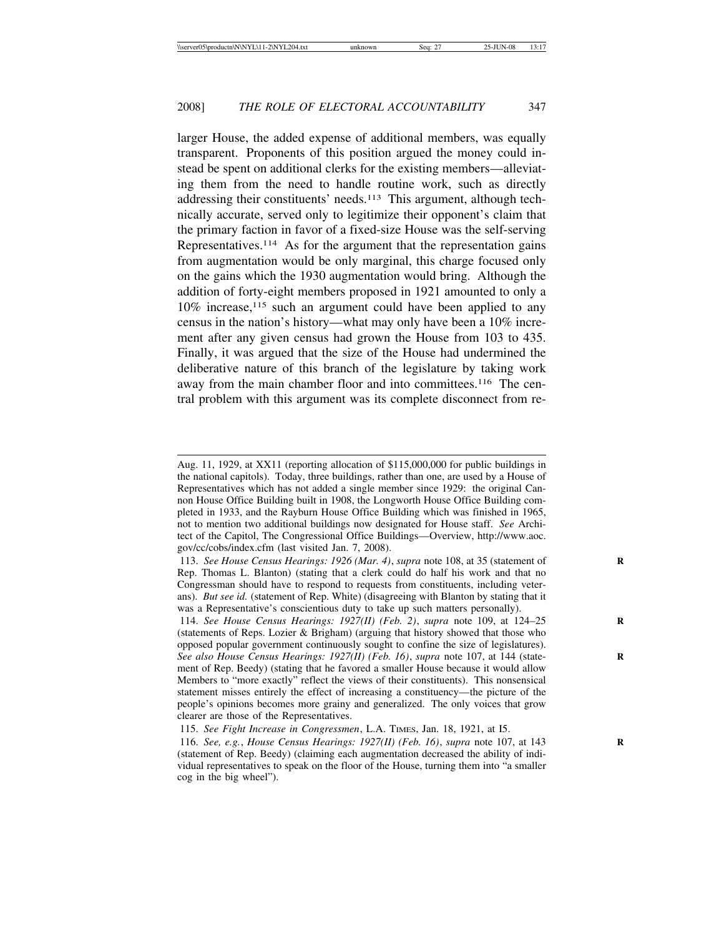larger House, the added expense of additional members, was equally transparent. Proponents of this position argued the money could instead be spent on additional clerks for the existing members—alleviating them from the need to handle routine work, such as directly addressing their constituents' needs.<sup>113</sup> This argument, although technically accurate, served only to legitimize their opponent's claim that the primary faction in favor of a fixed-size House was the self-serving Representatives.114 As for the argument that the representation gains from augmentation would be only marginal, this charge focused only on the gains which the 1930 augmentation would bring. Although the addition of forty-eight members proposed in 1921 amounted to only a 10% increase,115 such an argument could have been applied to any census in the nation's history—what may only have been a 10% increment after any given census had grown the House from 103 to 435. Finally, it was argued that the size of the House had undermined the deliberative nature of this branch of the legislature by taking work away from the main chamber floor and into committees.<sup>116</sup> The central problem with this argument was its complete disconnect from re-

114. *See House Census Hearings: 1927(II) (Feb. 2)*, *supra* note 109, at 124–25 **R** (statements of Reps. Lozier & Brigham) (arguing that history showed that those who opposed popular government continuously sought to confine the size of legislatures). *See also House Census Hearings: 1927(II) (Feb. 16), supra* note 107, at 144 (statement of Rep. Beedy) (stating that he favored a smaller House because it would allow Members to "more exactly" reflect the views of their constituents). This nonsensical statement misses entirely the effect of increasing a constituency—the picture of the people's opinions becomes more grainy and generalized. The only voices that grow clearer are those of the Representatives.

115. *See Fight Increase in Congressmen*, L.A. TIMES, Jan. 18, 1921, at I5.

116. *See, e.g.*, *House Census Hearings: 1927(II) (Feb. 16)*, *supra* note 107, at 143 **R** (statement of Rep. Beedy) (claiming each augmentation decreased the ability of individual representatives to speak on the floor of the House, turning them into "a smaller cog in the big wheel").

Aug. 11, 1929, at XX11 (reporting allocation of \$115,000,000 for public buildings in the national capitols). Today, three buildings, rather than one, are used by a House of Representatives which has not added a single member since 1929: the original Cannon House Office Building built in 1908, the Longworth House Office Building completed in 1933, and the Rayburn House Office Building which was finished in 1965, not to mention two additional buildings now designated for House staff. *See* Architect of the Capitol, The Congressional Office Buildings—Overview, http://www.aoc. gov/cc/cobs/index.cfm (last visited Jan. 7, 2008).

<sup>113.</sup> *See House Census Hearings: 1926 (Mar. 4)*, *supra* note 108, at 35 (statement of **R** Rep. Thomas L. Blanton) (stating that a clerk could do half his work and that no Congressman should have to respond to requests from constituents, including veterans). *But see id.* (statement of Rep. White) (disagreeing with Blanton by stating that it was a Representative's conscientious duty to take up such matters personally).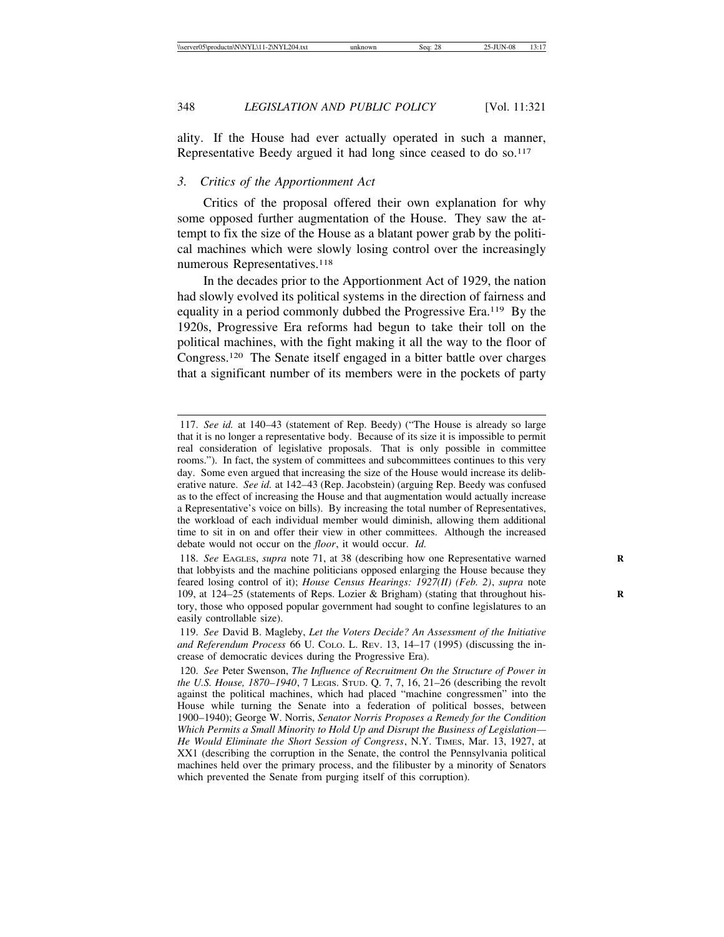ality. If the House had ever actually operated in such a manner, Representative Beedy argued it had long since ceased to do so.<sup>117</sup>

# *3. Critics of the Apportionment Act*

Critics of the proposal offered their own explanation for why some opposed further augmentation of the House. They saw the attempt to fix the size of the House as a blatant power grab by the political machines which were slowly losing control over the increasingly numerous Representatives.<sup>118</sup>

In the decades prior to the Apportionment Act of 1929, the nation had slowly evolved its political systems in the direction of fairness and equality in a period commonly dubbed the Progressive Era.119 By the 1920s, Progressive Era reforms had begun to take their toll on the political machines, with the fight making it all the way to the floor of Congress.120 The Senate itself engaged in a bitter battle over charges that a significant number of its members were in the pockets of party

<sup>117.</sup> *See id.* at 140–43 (statement of Rep. Beedy) ("The House is already so large that it is no longer a representative body. Because of its size it is impossible to permit real consideration of legislative proposals. That is only possible in committee rooms."). In fact, the system of committees and subcommittees continues to this very day. Some even argued that increasing the size of the House would increase its deliberative nature. *See id.* at 142–43 (Rep. Jacobstein) (arguing Rep. Beedy was confused as to the effect of increasing the House and that augmentation would actually increase a Representative's voice on bills). By increasing the total number of Representatives, the workload of each individual member would diminish, allowing them additional time to sit in on and offer their view in other committees. Although the increased debate would not occur on the *floor*, it would occur. *Id.*

<sup>118.</sup> *See* EAGLES, *supra* note 71, at 38 (describing how one Representative warned that lobbyists and the machine politicians opposed enlarging the House because they feared losing control of it); *House Census Hearings: 1927(II) (Feb. 2)*, *supra* note 109, at 124–25 (statements of Reps. Lozier & Brigham) (stating that throughout his- **R** tory, those who opposed popular government had sought to confine legislatures to an easily controllable size).

<sup>119.</sup> *See* David B. Magleby, *Let the Voters Decide? An Assessment of the Initiative and Referendum Process* 66 U. COLO. L. REV. 13, 14–17 (1995) (discussing the increase of democratic devices during the Progressive Era).

<sup>120.</sup> *See* Peter Swenson, *The Influence of Recruitment On the Structure of Power in the U.S. House, 1870–1940*, 7 LEGIS. STUD. Q. 7, 7, 16, 21–26 (describing the revolt against the political machines, which had placed "machine congressmen" into the House while turning the Senate into a federation of political bosses, between 1900–1940); George W. Norris, *Senator Norris Proposes a Remedy for the Condition Which Permits a Small Minority to Hold Up and Disrupt the Business of Legislation— He Would Eliminate the Short Session of Congress*, N.Y. TIMES, Mar. 13, 1927, at XX1 (describing the corruption in the Senate, the control the Pennsylvania political machines held over the primary process, and the filibuster by a minority of Senators which prevented the Senate from purging itself of this corruption).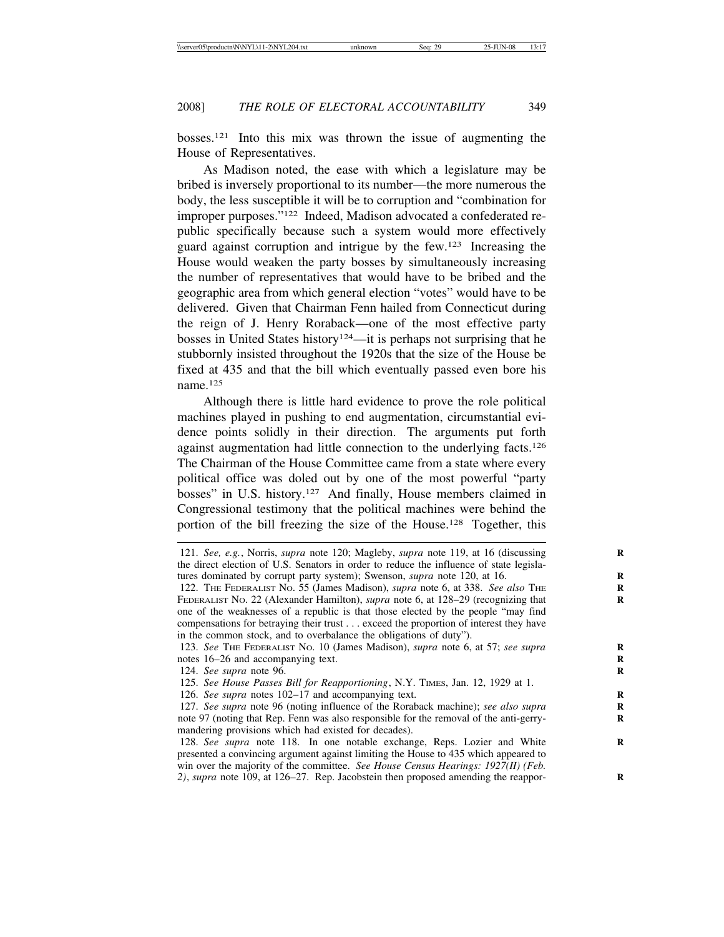bosses.121 Into this mix was thrown the issue of augmenting the House of Representatives.

As Madison noted, the ease with which a legislature may be bribed is inversely proportional to its number—the more numerous the body, the less susceptible it will be to corruption and "combination for improper purposes."122 Indeed, Madison advocated a confederated republic specifically because such a system would more effectively guard against corruption and intrigue by the few.123 Increasing the House would weaken the party bosses by simultaneously increasing the number of representatives that would have to be bribed and the geographic area from which general election "votes" would have to be delivered. Given that Chairman Fenn hailed from Connecticut during the reign of J. Henry Roraback—one of the most effective party bosses in United States history<sup>124</sup>—it is perhaps not surprising that he stubbornly insisted throughout the 1920s that the size of the House be fixed at 435 and that the bill which eventually passed even bore his name.125

Although there is little hard evidence to prove the role political machines played in pushing to end augmentation, circumstantial evidence points solidly in their direction. The arguments put forth against augmentation had little connection to the underlying facts.126 The Chairman of the House Committee came from a state where every political office was doled out by one of the most powerful "party bosses" in U.S. history.127 And finally, House members claimed in Congressional testimony that the political machines were behind the portion of the bill freezing the size of the House.128 Together, this

123. *See* THE FEDERALIST No. 10 (James Madison), *supra* note 6, at 57; *see supra* notes 16–26 and accompanying text.

124. *See supra* note 96. **R**

125. *See House Passes Bill for Reapportioning*, N.Y. TIMES, Jan. 12, 1929 at 1.

126. *See supra* notes 102–17 and accompanying text.

<sup>121.</sup> *See, e.g.*, Norris, *supra* note 120; Magleby, *supra* note 119, at 16 (discussing the direct election of U.S. Senators in order to reduce the influence of state legislatures dominated by corrupt party system); Swenson, *supra* note 120, at 16.

<sup>122.</sup> THE FEDERALIST NO. 55 (James Madison), *supra* note 6, at 338. *See also* THE FEDERALIST No. 22 (Alexander Hamilton), *supra* note 6, at 128–29 (recognizing that one of the weaknesses of a republic is that those elected by the people "may find compensations for betraying their trust . . . exceed the proportion of interest they have in the common stock, and to overbalance the obligations of duty").

<sup>127.</sup> *See supra* note 96 (noting influence of the Roraback machine); *see also supra* note 97 (noting that Rep. Fenn was also responsible for the removal of the anti-gerrymandering provisions which had existed for decades).

<sup>128.</sup> See supra note 118. In one notable exchange, Reps. Lozier and White presented a convincing argument against limiting the House to 435 which appeared to win over the majority of the committee. *See House Census Hearings: 1927(II) (Feb. 2)*, *supra* note 109, at 126–27. Rep. Jacobstein then proposed amending the reappor- **R**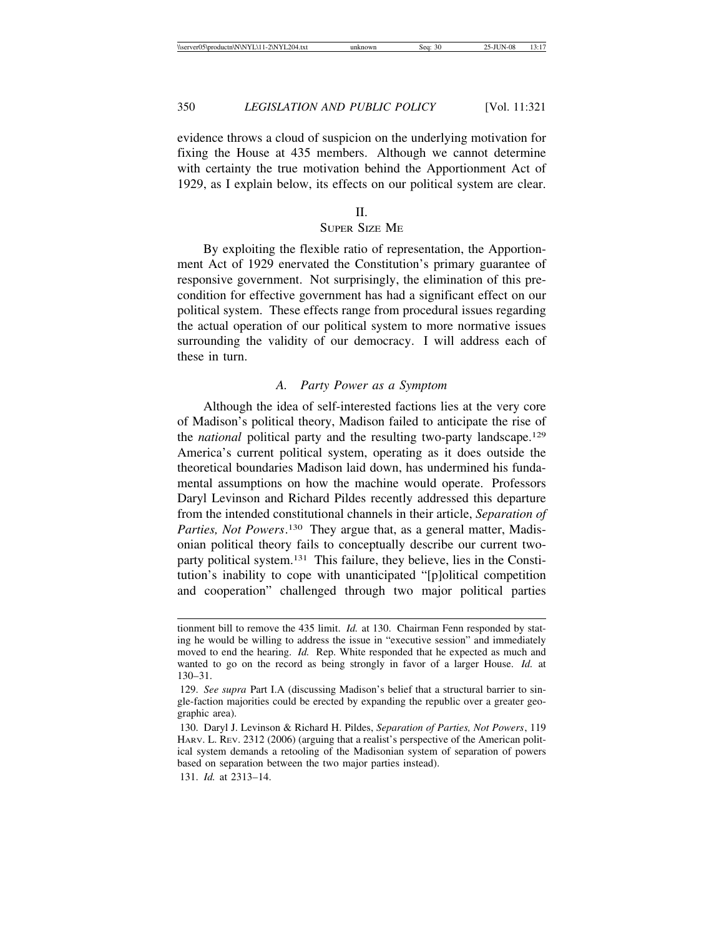evidence throws a cloud of suspicion on the underlying motivation for fixing the House at 435 members. Although we cannot determine with certainty the true motivation behind the Apportionment Act of 1929, as I explain below, its effects on our political system are clear.

### $II$ .

# SUPER SIZE ME

By exploiting the flexible ratio of representation, the Apportionment Act of 1929 enervated the Constitution's primary guarantee of responsive government. Not surprisingly, the elimination of this precondition for effective government has had a significant effect on our political system. These effects range from procedural issues regarding the actual operation of our political system to more normative issues surrounding the validity of our democracy. I will address each of these in turn.

### *A. Party Power as a Symptom*

Although the idea of self-interested factions lies at the very core of Madison's political theory, Madison failed to anticipate the rise of the *national* political party and the resulting two-party landscape.129 America's current political system, operating as it does outside the theoretical boundaries Madison laid down, has undermined his fundamental assumptions on how the machine would operate. Professors Daryl Levinson and Richard Pildes recently addressed this departure from the intended constitutional channels in their article, *Separation of* Parties, Not Powers.<sup>130</sup> They argue that, as a general matter, Madisonian political theory fails to conceptually describe our current twoparty political system.131 This failure, they believe, lies in the Constitution's inability to cope with unanticipated "[p]olitical competition and cooperation" challenged through two major political parties

131. *Id.* at 2313–14.

tionment bill to remove the 435 limit. *Id.* at 130. Chairman Fenn responded by stating he would be willing to address the issue in "executive session" and immediately moved to end the hearing. *Id.* Rep. White responded that he expected as much and wanted to go on the record as being strongly in favor of a larger House. *Id.* at 130–31.

<sup>129.</sup> *See supra* Part I.A (discussing Madison's belief that a structural barrier to single-faction majorities could be erected by expanding the republic over a greater geographic area).

<sup>130.</sup> Daryl J. Levinson & Richard H. Pildes, *Separation of Parties, Not Powers*, 119 HARV. L. REV. 2312 (2006) (arguing that a realist's perspective of the American political system demands a retooling of the Madisonian system of separation of powers based on separation between the two major parties instead).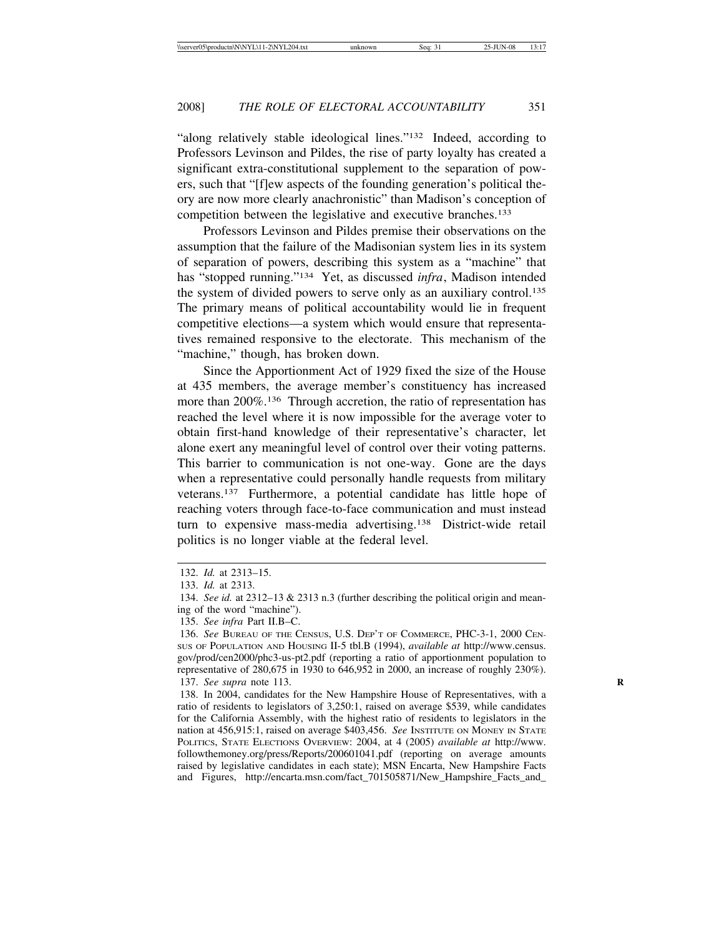"along relatively stable ideological lines."132 Indeed, according to Professors Levinson and Pildes, the rise of party loyalty has created a significant extra-constitutional supplement to the separation of powers, such that "[f]ew aspects of the founding generation's political theory are now more clearly anachronistic" than Madison's conception of competition between the legislative and executive branches.133

Professors Levinson and Pildes premise their observations on the assumption that the failure of the Madisonian system lies in its system of separation of powers, describing this system as a "machine" that has "stopped running."134 Yet, as discussed *infra*, Madison intended the system of divided powers to serve only as an auxiliary control.<sup>135</sup> The primary means of political accountability would lie in frequent competitive elections—a system which would ensure that representatives remained responsive to the electorate. This mechanism of the "machine," though, has broken down.

Since the Apportionment Act of 1929 fixed the size of the House at 435 members, the average member's constituency has increased more than 200%.136 Through accretion, the ratio of representation has reached the level where it is now impossible for the average voter to obtain first-hand knowledge of their representative's character, let alone exert any meaningful level of control over their voting patterns. This barrier to communication is not one-way. Gone are the days when a representative could personally handle requests from military veterans.137 Furthermore, a potential candidate has little hope of reaching voters through face-to-face communication and must instead turn to expensive mass-media advertising.138 District-wide retail politics is no longer viable at the federal level.

<sup>132.</sup> *Id.* at 2313–15.

<sup>133.</sup> *Id.* at 2313.

<sup>134.</sup> *See id.* at 2312–13 & 2313 n.3 (further describing the political origin and meaning of the word "machine").

<sup>135.</sup> *See infra* Part II.B–C.

<sup>136.</sup> *See* BUREAU OF THE CENSUS, U.S. DEP'T OF COMMERCE, PHC-3-1, 2000 CEN-SUS OF POPULATION AND HOUSING II-5 tbl.B (1994), *available at* http://www.census. gov/prod/cen2000/phc3-us-pt2.pdf (reporting a ratio of apportionment population to representative of 280,675 in 1930 to 646,952 in 2000, an increase of roughly 230%). 137. *See supra* note 113. **R**

<sup>138.</sup> In 2004, candidates for the New Hampshire House of Representatives, with a ratio of residents to legislators of 3,250:1, raised on average \$539, while candidates for the California Assembly, with the highest ratio of residents to legislators in the nation at 456,915:1, raised on average \$403,456. *See* INSTITUTE ON MONEY IN STATE POLITICS, STATE ELECTIONS OVERVIEW: 2004, at 4 (2005) *available at* http://www. followthemoney.org/press/Reports/200601041.pdf (reporting on average amounts raised by legislative candidates in each state); MSN Encarta, New Hampshire Facts and Figures, http://encarta.msn.com/fact\_701505871/New\_Hampshire\_Facts\_and\_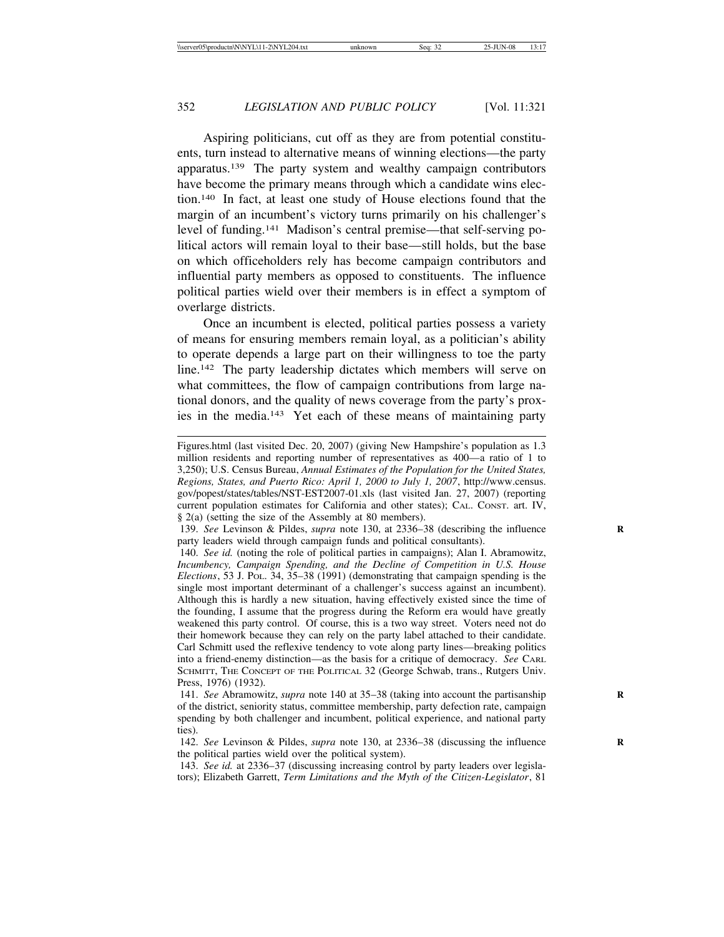Aspiring politicians, cut off as they are from potential constituents, turn instead to alternative means of winning elections—the party apparatus.139 The party system and wealthy campaign contributors have become the primary means through which a candidate wins election.140 In fact, at least one study of House elections found that the margin of an incumbent's victory turns primarily on his challenger's level of funding.141 Madison's central premise—that self-serving political actors will remain loyal to their base—still holds, but the base on which officeholders rely has become campaign contributors and influential party members as opposed to constituents. The influence political parties wield over their members is in effect a symptom of overlarge districts.

Once an incumbent is elected, political parties possess a variety of means for ensuring members remain loyal, as a politician's ability to operate depends a large part on their willingness to toe the party line.142 The party leadership dictates which members will serve on what committees, the flow of campaign contributions from large national donors, and the quality of news coverage from the party's proxies in the media.143 Yet each of these means of maintaining party

Figures.html (last visited Dec. 20, 2007) (giving New Hampshire's population as 1.3 million residents and reporting number of representatives as 400—a ratio of 1 to 3,250); U.S. Census Bureau, *Annual Estimates of the Population for the United States, Regions, States, and Puerto Rico: April 1, 2000 to July 1, 2007*, http://www.census. gov/popest/states/tables/NST-EST2007-01.xls (last visited Jan. 27, 2007) (reporting current population estimates for California and other states); CAL. CONST. art. IV, § 2(a) (setting the size of the Assembly at 80 members).

<sup>139.</sup> *See* Levinson & Pildes, *supra* note 130, at 2336–38 (describing the influence **R** party leaders wield through campaign funds and political consultants).

<sup>140.</sup> *See id.* (noting the role of political parties in campaigns); Alan I. Abramowitz, *Incumbency, Campaign Spending, and the Decline of Competition in U.S. House Elections*, 53 J. POL. 34, 35–38 (1991) (demonstrating that campaign spending is the single most important determinant of a challenger's success against an incumbent). Although this is hardly a new situation, having effectively existed since the time of the founding, I assume that the progress during the Reform era would have greatly weakened this party control. Of course, this is a two way street. Voters need not do their homework because they can rely on the party label attached to their candidate. Carl Schmitt used the reflexive tendency to vote along party lines—breaking politics into a friend-enemy distinction—as the basis for a critique of democracy. *See* CARL SCHMITT, THE CONCEPT OF THE POLITICAL 32 (George Schwab, trans., Rutgers Univ. Press, 1976) (1932).

<sup>141.</sup> *See* Abramowitz, *supra* note 140 at 35–38 (taking into account the partisanship **R** of the district, seniority status, committee membership, party defection rate, campaign spending by both challenger and incumbent, political experience, and national party ties).

<sup>142.</sup> *See* Levinson & Pildes, *supra* note 130, at 2336–38 (discussing the influence **R** the political parties wield over the political system).

<sup>143.</sup> *See id.* at 2336–37 (discussing increasing control by party leaders over legislators); Elizabeth Garrett, *Term Limitations and the Myth of the Citizen-Legislator*, 81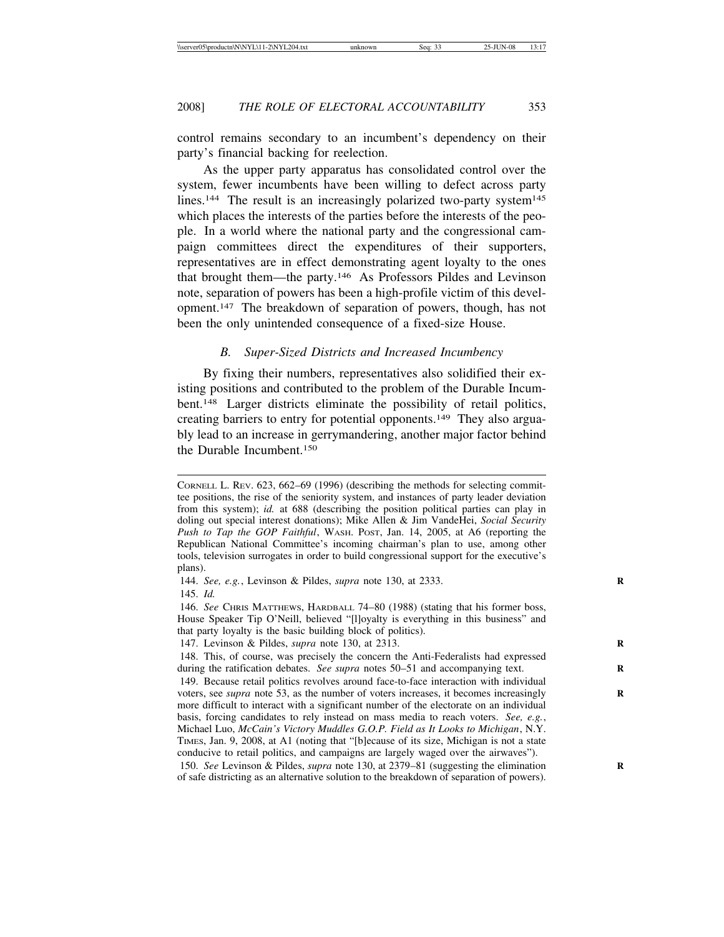control remains secondary to an incumbent's dependency on their party's financial backing for reelection.

As the upper party apparatus has consolidated control over the system, fewer incumbents have been willing to defect across party lines.<sup>144</sup> The result is an increasingly polarized two-party system<sup>145</sup> which places the interests of the parties before the interests of the people. In a world where the national party and the congressional campaign committees direct the expenditures of their supporters, representatives are in effect demonstrating agent loyalty to the ones that brought them—the party.146 As Professors Pildes and Levinson note, separation of powers has been a high-profile victim of this development.147 The breakdown of separation of powers, though, has not been the only unintended consequence of a fixed-size House.

# *B. Super-Sized Districts and Increased Incumbency*

By fixing their numbers, representatives also solidified their existing positions and contributed to the problem of the Durable Incumbent.148 Larger districts eliminate the possibility of retail politics, creating barriers to entry for potential opponents.149 They also arguably lead to an increase in gerrymandering, another major factor behind the Durable Incumbent.150

145. *Id.*

CORNELL L. REV. 623, 662–69 (1996) (describing the methods for selecting committee positions, the rise of the seniority system, and instances of party leader deviation from this system); *id.* at 688 (describing the position political parties can play in doling out special interest donations); Mike Allen & Jim VandeHei, *Social Security Push to Tap the GOP Faithful*, WASH. POST, Jan. 14, 2005, at A6 (reporting the Republican National Committee's incoming chairman's plan to use, among other tools, television surrogates in order to build congressional support for the executive's plans).

<sup>144.</sup> *See, e.g.*, Levinson & Pildes, *supra* note 130, at 2333. **R**

<sup>146.</sup> *See* CHRIS MATTHEWS, HARDBALL 74–80 (1988) (stating that his former boss, House Speaker Tip O'Neill, believed "[l]oyalty is everything in this business" and that party loyalty is the basic building block of politics).

<sup>147.</sup> Levinson & Pildes, *supra* note 130, at 2313. **R**

<sup>148.</sup> This, of course, was precisely the concern the Anti-Federalists had expressed during the ratification debates. *See supra* notes 50–51 and accompanying text.

<sup>149.</sup> Because retail politics revolves around face-to-face interaction with individual voters, see *supra* note 53, as the number of voters increases, it becomes increasingly more difficult to interact with a significant number of the electorate on an individual basis, forcing candidates to rely instead on mass media to reach voters. *See, e.g.*, Michael Luo, *McCain's Victory Muddles G.O.P. Field as It Looks to Michigan*, N.Y. TIMES, Jan. 9, 2008, at A1 (noting that "[b]ecause of its size, Michigan is not a state conducive to retail politics, and campaigns are largely waged over the airwaves").

<sup>150.</sup> *See* Levinson & Pildes, *supra* note 130, at 2379–81 (suggesting the elimination **R** of safe districting as an alternative solution to the breakdown of separation of powers).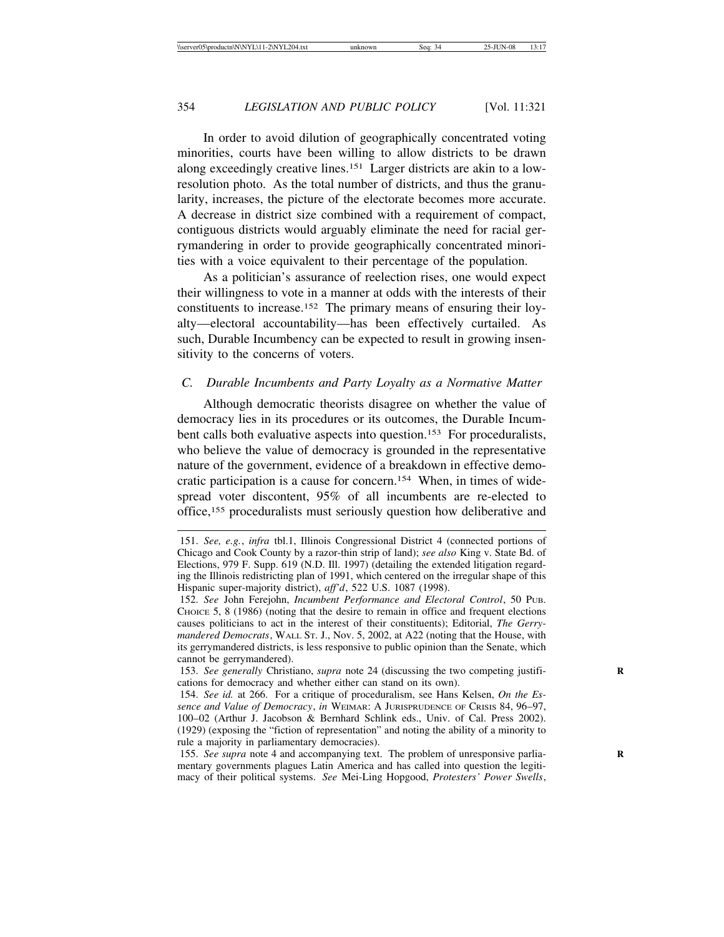In order to avoid dilution of geographically concentrated voting minorities, courts have been willing to allow districts to be drawn along exceedingly creative lines.151 Larger districts are akin to a lowresolution photo. As the total number of districts, and thus the granularity, increases, the picture of the electorate becomes more accurate. A decrease in district size combined with a requirement of compact, contiguous districts would arguably eliminate the need for racial gerrymandering in order to provide geographically concentrated minorities with a voice equivalent to their percentage of the population.

As a politician's assurance of reelection rises, one would expect their willingness to vote in a manner at odds with the interests of their constituents to increase.152 The primary means of ensuring their loyalty—electoral accountability—has been effectively curtailed. As such, Durable Incumbency can be expected to result in growing insensitivity to the concerns of voters.

# *C. Durable Incumbents and Party Loyalty as a Normative Matter*

Although democratic theorists disagree on whether the value of democracy lies in its procedures or its outcomes, the Durable Incumbent calls both evaluative aspects into question.<sup>153</sup> For proceduralists, who believe the value of democracy is grounded in the representative nature of the government, evidence of a breakdown in effective democratic participation is a cause for concern.154 When, in times of widespread voter discontent, 95% of all incumbents are re-elected to office,155 proceduralists must seriously question how deliberative and

<sup>151.</sup> *See, e.g.*, *infra* tbl.1, Illinois Congressional District 4 (connected portions of Chicago and Cook County by a razor-thin strip of land); *see also* King v. State Bd. of Elections, 979 F. Supp. 619 (N.D. Ill. 1997) (detailing the extended litigation regarding the Illinois redistricting plan of 1991, which centered on the irregular shape of this Hispanic super-majority district), *aff'd*, 522 U.S. 1087 (1998).

<sup>152.</sup> *See* John Ferejohn, *Incumbent Performance and Electoral Control*, 50 PUB. CHOICE 5, 8 (1986) (noting that the desire to remain in office and frequent elections causes politicians to act in the interest of their constituents); Editorial, *The Gerrymandered Democrats*, WALL ST. J., Nov. 5, 2002, at A22 (noting that the House, with its gerrymandered districts, is less responsive to public opinion than the Senate, which cannot be gerrymandered).

<sup>153.</sup> See generally Christiano, *supra* note 24 (discussing the two competing justifications for democracy and whether either can stand on its own).

<sup>154.</sup> *See id.* at 266. For a critique of proceduralism, see Hans Kelsen, *On the Essence and Value of Democracy*, *in* WEIMAR: A JURISPRUDENCE OF CRISIS 84, 96–97, 100–02 (Arthur J. Jacobson & Bernhard Schlink eds., Univ. of Cal. Press 2002). (1929) (exposing the "fiction of representation" and noting the ability of a minority to rule a majority in parliamentary democracies).

<sup>155.</sup> *See supra* note 4 and accompanying text. The problem of unresponsive parliamentary governments plagues Latin America and has called into question the legitimacy of their political systems. *See* Mei-Ling Hopgood, *Protesters' Power Swells*,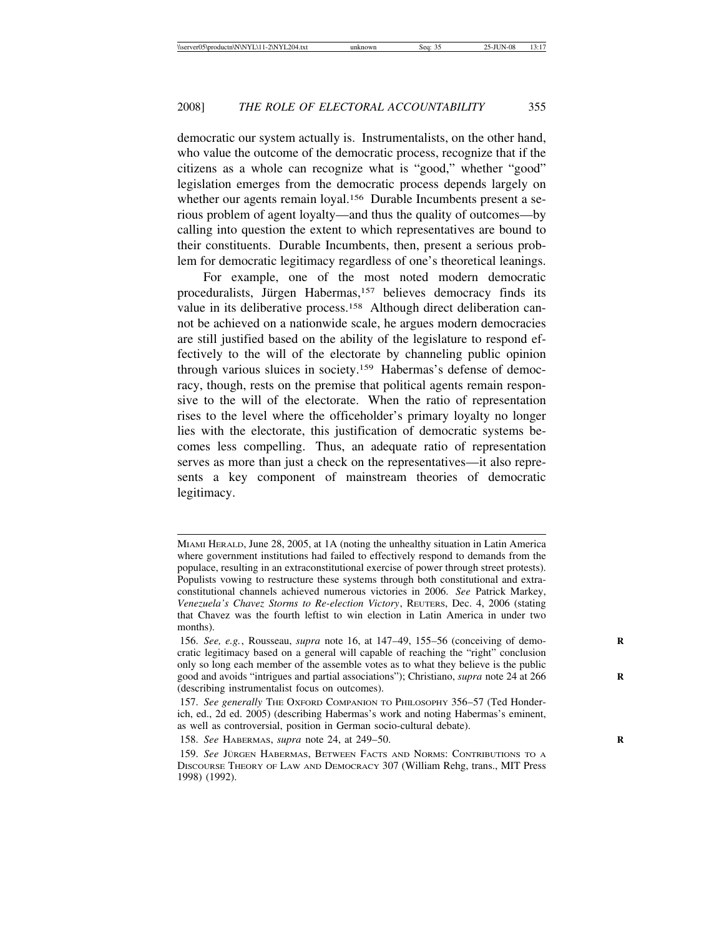democratic our system actually is. Instrumentalists, on the other hand, who value the outcome of the democratic process, recognize that if the citizens as a whole can recognize what is "good," whether "good" legislation emerges from the democratic process depends largely on whether our agents remain loyal.<sup>156</sup> Durable Incumbents present a serious problem of agent loyalty—and thus the quality of outcomes—by calling into question the extent to which representatives are bound to their constituents. Durable Incumbents, then, present a serious problem for democratic legitimacy regardless of one's theoretical leanings.

For example, one of the most noted modern democratic proceduralists, Jürgen Habermas,<sup>157</sup> believes democracy finds its value in its deliberative process.158 Although direct deliberation cannot be achieved on a nationwide scale, he argues modern democracies are still justified based on the ability of the legislature to respond effectively to the will of the electorate by channeling public opinion through various sluices in society.159 Habermas's defense of democracy, though, rests on the premise that political agents remain responsive to the will of the electorate. When the ratio of representation rises to the level where the officeholder's primary loyalty no longer lies with the electorate, this justification of democratic systems becomes less compelling. Thus, an adequate ratio of representation serves as more than just a check on the representatives—it also represents a key component of mainstream theories of democratic legitimacy.

MIAMI HERALD, June 28, 2005, at 1A (noting the unhealthy situation in Latin America where government institutions had failed to effectively respond to demands from the populace, resulting in an extraconstitutional exercise of power through street protests). Populists vowing to restructure these systems through both constitutional and extraconstitutional channels achieved numerous victories in 2006. *See* Patrick Markey, *Venezuela's Chavez Storms to Re-election Victory*, REUTERS, Dec. 4, 2006 (stating that Chavez was the fourth leftist to win election in Latin America in under two months).

<sup>156.</sup> *See, e.g.*, Rousseau, *supra* note 16, at 147–49, 155–56 (conceiving of demo- **R** cratic legitimacy based on a general will capable of reaching the "right" conclusion only so long each member of the assemble votes as to what they believe is the public good and avoids "intrigues and partial associations"); Christiano, *supra* note 24 at 266 **R** (describing instrumentalist focus on outcomes).

<sup>157.</sup> *See generally* THE OXFORD COMPANION TO PHILOSOPHY 356–57 (Ted Honderich, ed., 2d ed. 2005) (describing Habermas's work and noting Habermas's eminent, as well as controversial, position in German socio-cultural debate).

<sup>158.</sup> *See* HABERMAS, *supra* note 24, at 249–50. **R**

<sup>159.</sup> See Jürgen Habermas, Between Facts and Norms: Contributions to a DISCOURSE THEORY OF LAW AND DEMOCRACY 307 (William Rehg, trans., MIT Press 1998) (1992).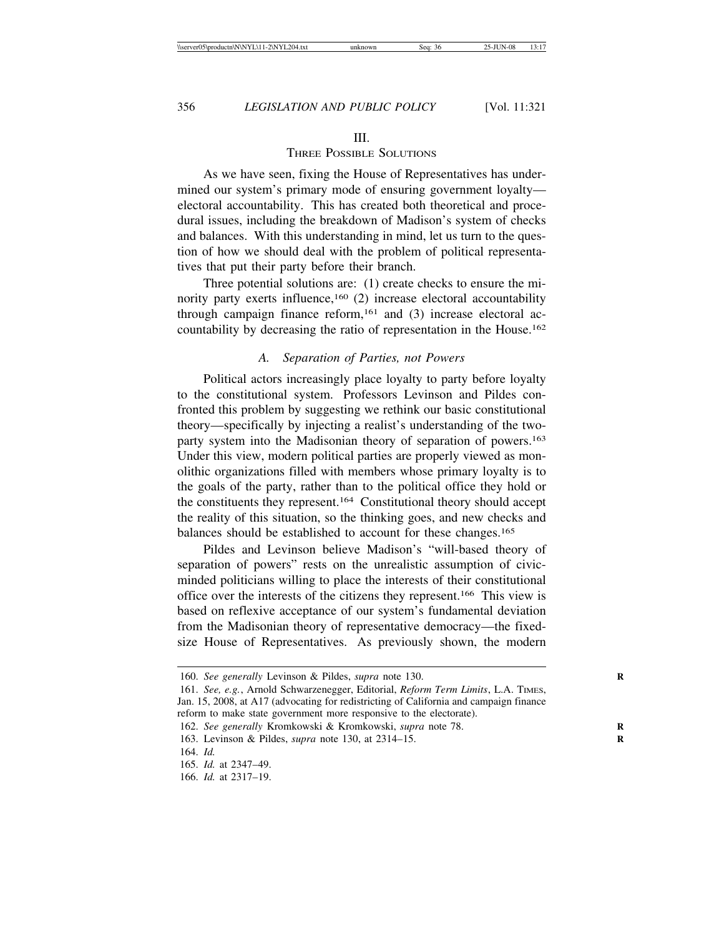#### III.

# THREE POSSIBLE SOLUTIONS

As we have seen, fixing the House of Representatives has undermined our system's primary mode of ensuring government loyalty electoral accountability. This has created both theoretical and procedural issues, including the breakdown of Madison's system of checks and balances. With this understanding in mind, let us turn to the question of how we should deal with the problem of political representatives that put their party before their branch.

Three potential solutions are: (1) create checks to ensure the minority party exerts influence,<sup>160</sup> (2) increase electoral accountability through campaign finance reform,  $161$  and (3) increase electoral accountability by decreasing the ratio of representation in the House.162

### *A. Separation of Parties, not Powers*

Political actors increasingly place loyalty to party before loyalty to the constitutional system. Professors Levinson and Pildes confronted this problem by suggesting we rethink our basic constitutional theory—specifically by injecting a realist's understanding of the twoparty system into the Madisonian theory of separation of powers.163 Under this view, modern political parties are properly viewed as monolithic organizations filled with members whose primary loyalty is to the goals of the party, rather than to the political office they hold or the constituents they represent.164 Constitutional theory should accept the reality of this situation, so the thinking goes, and new checks and balances should be established to account for these changes.165

Pildes and Levinson believe Madison's "will-based theory of separation of powers" rests on the unrealistic assumption of civicminded politicians willing to place the interests of their constitutional office over the interests of the citizens they represent.166 This view is based on reflexive acceptance of our system's fundamental deviation from the Madisonian theory of representative democracy—the fixedsize House of Representatives. As previously shown, the modern

<sup>160.</sup> *See generally* Levinson & Pildes, *supra* note 130. **R**

<sup>161.</sup> *See, e.g.*, Arnold Schwarzenegger, Editorial, *Reform Term Limits*, L.A. TIMES, Jan. 15, 2008, at A17 (advocating for redistricting of California and campaign finance reform to make state government more responsive to the electorate).

<sup>162.</sup> *See generally* Kromkowski & Kromkowski, *supra* note 78.

<sup>163.</sup> Levinson & Pildes, *supra* note 130, at 2314–15. **R**

<sup>164.</sup> *Id.*

<sup>165.</sup> *Id.* at 2347–49.

<sup>166.</sup> *Id.* at 2317–19.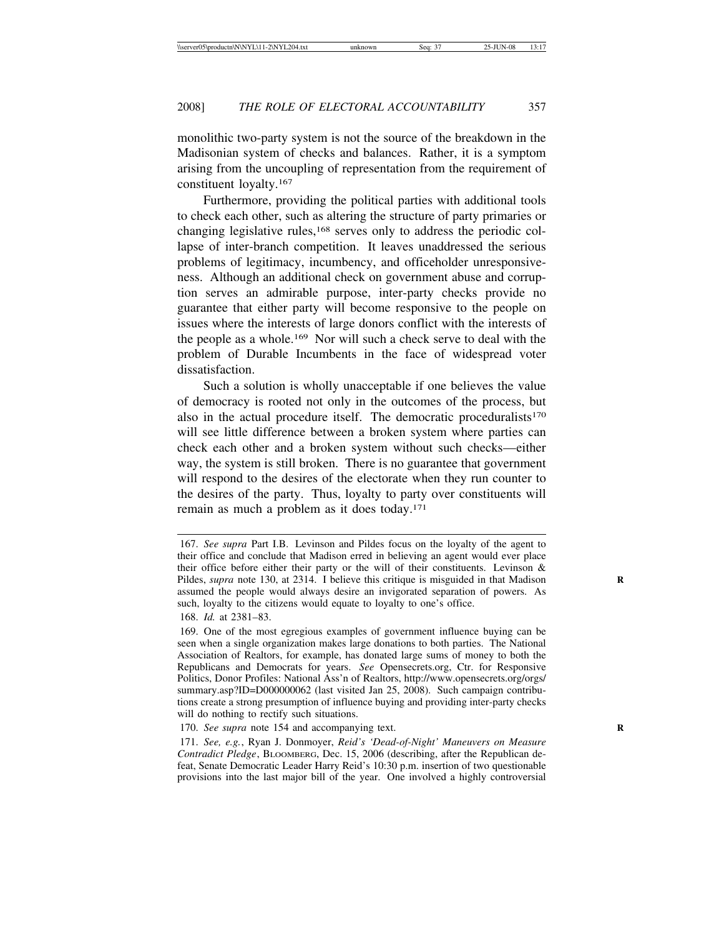monolithic two-party system is not the source of the breakdown in the Madisonian system of checks and balances. Rather, it is a symptom arising from the uncoupling of representation from the requirement of constituent loyalty.167

Furthermore, providing the political parties with additional tools to check each other, such as altering the structure of party primaries or changing legislative rules,168 serves only to address the periodic collapse of inter-branch competition. It leaves unaddressed the serious problems of legitimacy, incumbency, and officeholder unresponsiveness. Although an additional check on government abuse and corruption serves an admirable purpose, inter-party checks provide no guarantee that either party will become responsive to the people on issues where the interests of large donors conflict with the interests of the people as a whole.169 Nor will such a check serve to deal with the problem of Durable Incumbents in the face of widespread voter dissatisfaction.

Such a solution is wholly unacceptable if one believes the value of democracy is rooted not only in the outcomes of the process, but also in the actual procedure itself. The democratic proceduralists<sup>170</sup> will see little difference between a broken system where parties can check each other and a broken system without such checks—either way, the system is still broken. There is no guarantee that government will respond to the desires of the electorate when they run counter to the desires of the party. Thus, loyalty to party over constituents will remain as much a problem as it does today.171

<sup>167.</sup> *See supra* Part I.B. Levinson and Pildes focus on the loyalty of the agent to their office and conclude that Madison erred in believing an agent would ever place their office before either their party or the will of their constituents. Levinson & Pildes, *supra* note 130, at 2314. I believe this critique is misguided in that Madison **R** assumed the people would always desire an invigorated separation of powers. As such, loyalty to the citizens would equate to loyalty to one's office.

<sup>168.</sup> *Id.* at 2381–83.

<sup>169.</sup> One of the most egregious examples of government influence buying can be seen when a single organization makes large donations to both parties. The National Association of Realtors, for example, has donated large sums of money to both the Republicans and Democrats for years. *See* Opensecrets.org, Ctr. for Responsive Politics, Donor Profiles: National Ass'n of Realtors, http://www.opensecrets.org/orgs/ summary.asp?ID=D000000062 (last visited Jan 25, 2008). Such campaign contributions create a strong presumption of influence buying and providing inter-party checks will do nothing to rectify such situations.

<sup>170.</sup> *See supra* note 154 and accompanying text.

<sup>171.</sup> *See, e.g.*, Ryan J. Donmoyer, *Reid's 'Dead-of-Night' Maneuvers on Measure Contradict Pledge*, BLOOMBERG, Dec. 15, 2006 (describing, after the Republican defeat, Senate Democratic Leader Harry Reid's 10:30 p.m. insertion of two questionable provisions into the last major bill of the year. One involved a highly controversial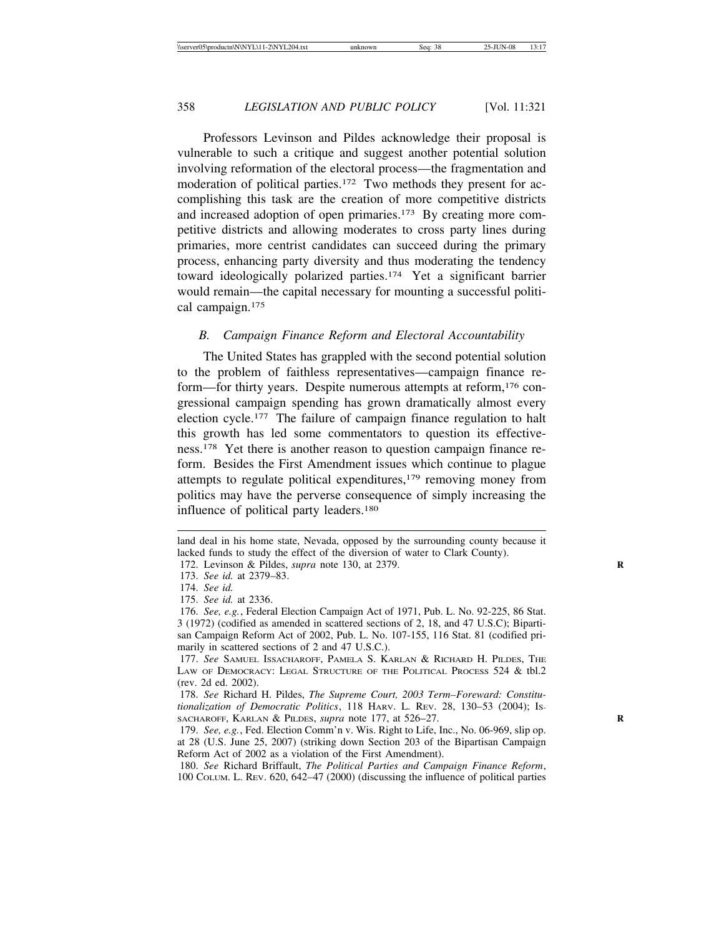Professors Levinson and Pildes acknowledge their proposal is vulnerable to such a critique and suggest another potential solution involving reformation of the electoral process—the fragmentation and moderation of political parties.<sup>172</sup> Two methods they present for accomplishing this task are the creation of more competitive districts and increased adoption of open primaries.<sup>173</sup> By creating more competitive districts and allowing moderates to cross party lines during primaries, more centrist candidates can succeed during the primary process, enhancing party diversity and thus moderating the tendency toward ideologically polarized parties.174 Yet a significant barrier would remain—the capital necessary for mounting a successful political campaign.175

# *B. Campaign Finance Reform and Electoral Accountability*

The United States has grappled with the second potential solution to the problem of faithless representatives—campaign finance reform—for thirty years. Despite numerous attempts at reform, <sup>176</sup> congressional campaign spending has grown dramatically almost every election cycle.177 The failure of campaign finance regulation to halt this growth has led some commentators to question its effectiveness.178 Yet there is another reason to question campaign finance reform. Besides the First Amendment issues which continue to plague attempts to regulate political expenditures,179 removing money from politics may have the perverse consequence of simply increasing the influence of political party leaders.180

land deal in his home state, Nevada, opposed by the surrounding county because it lacked funds to study the effect of the diversion of water to Clark County).

<sup>172.</sup> Levinson & Pildes, *supra* note 130, at 2379. **R**

<sup>173.</sup> *See id.* at 2379–83.

<sup>174.</sup> *See id.*

<sup>175.</sup> *See id.* at 2336.

<sup>176.</sup> *See, e.g.*, Federal Election Campaign Act of 1971, Pub. L. No. 92-225, 86 Stat. 3 (1972) (codified as amended in scattered sections of 2, 18, and 47 U.S.C); Bipartisan Campaign Reform Act of 2002, Pub. L. No. 107-155, 116 Stat. 81 (codified primarily in scattered sections of 2 and 47 U.S.C.).

<sup>177.</sup> *See* SAMUEL ISSACHAROFF, PAMELA S. KARLAN & RICHARD H. PILDES, THE LAW OF DEMOCRACY: LEGAL STRUCTURE OF THE POLITICAL PROCESS 524 & tbl.2 (rev. 2d ed. 2002).

<sup>178.</sup> *See* Richard H. Pildes, *The Supreme Court, 2003 Term–Foreward: Constitutionalization of Democratic Politics*, 118 HARV. L. REV. 28, 130–53 (2004); IS-SACHAROFF, KARLAN & PILDES, *supra* note 177, at 526–27. **R**

<sup>179.</sup> *See, e.g.*, Fed. Election Comm'n v. Wis. Right to Life, Inc., No. 06-969, slip op. at 28 (U.S. June 25, 2007) (striking down Section 203 of the Bipartisan Campaign Reform Act of 2002 as a violation of the First Amendment).

<sup>180.</sup> *See* Richard Briffault, *The Political Parties and Campaign Finance Reform*, 100 COLUM. L. REV. 620, 642–47 (2000) (discussing the influence of political parties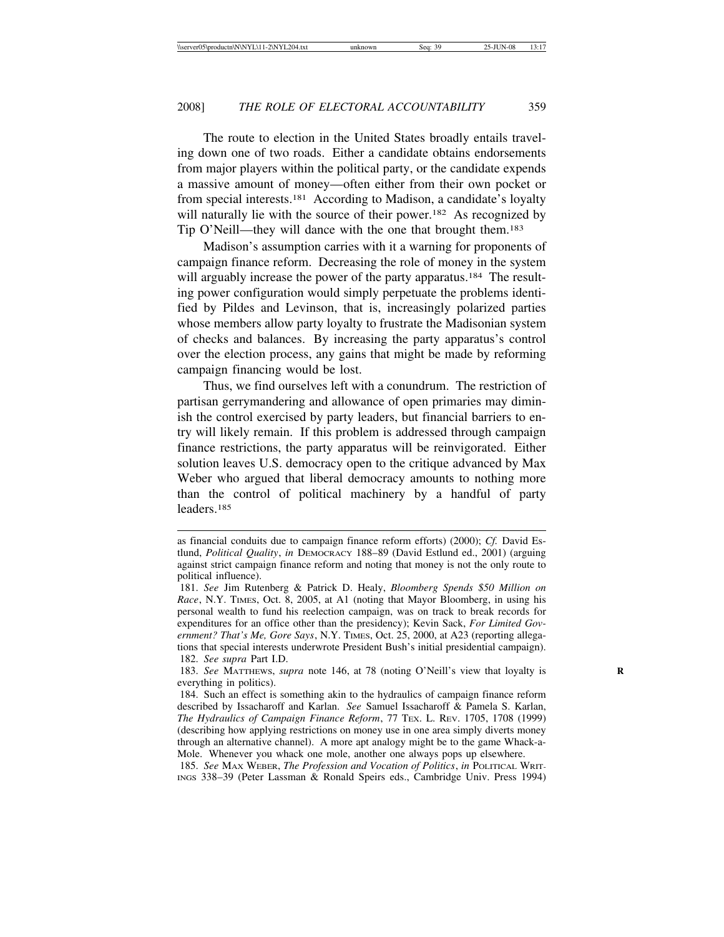The route to election in the United States broadly entails traveling down one of two roads. Either a candidate obtains endorsements from major players within the political party, or the candidate expends a massive amount of money—often either from their own pocket or from special interests.181 According to Madison, a candidate's loyalty will naturally lie with the source of their power.<sup>182</sup> As recognized by Tip O'Neill—they will dance with the one that brought them.183

Madison's assumption carries with it a warning for proponents of campaign finance reform. Decreasing the role of money in the system will arguably increase the power of the party apparatus.<sup>184</sup> The resulting power configuration would simply perpetuate the problems identified by Pildes and Levinson, that is, increasingly polarized parties whose members allow party loyalty to frustrate the Madisonian system of checks and balances. By increasing the party apparatus's control over the election process, any gains that might be made by reforming campaign financing would be lost.

Thus, we find ourselves left with a conundrum. The restriction of partisan gerrymandering and allowance of open primaries may diminish the control exercised by party leaders, but financial barriers to entry will likely remain. If this problem is addressed through campaign finance restrictions, the party apparatus will be reinvigorated. Either solution leaves U.S. democracy open to the critique advanced by Max Weber who argued that liberal democracy amounts to nothing more than the control of political machinery by a handful of party leaders.185

as financial conduits due to campaign finance reform efforts) (2000); *Cf.* David Estlund, *Political Quality*, *in* DEMOCRACY 188–89 (David Estlund ed., 2001) (arguing against strict campaign finance reform and noting that money is not the only route to political influence).

<sup>181.</sup> *See* Jim Rutenberg & Patrick D. Healy, *Bloomberg Spends \$50 Million on Race*, N.Y. TIMES, Oct. 8, 2005, at A1 (noting that Mayor Bloomberg, in using his personal wealth to fund his reelection campaign, was on track to break records for expenditures for an office other than the presidency); Kevin Sack, *For Limited Government? That's Me, Gore Says*, N.Y. TIMES, Oct. 25, 2000, at A23 (reporting allegations that special interests underwrote President Bush's initial presidential campaign). 182. *See supra* Part I.D.

<sup>183.</sup> *See* MATTHEWS, *supra* note 146, at 78 (noting O'Neill's view that loyalty is **R** everything in politics).

<sup>184.</sup> Such an effect is something akin to the hydraulics of campaign finance reform described by Issacharoff and Karlan. *See* Samuel Issacharoff & Pamela S. Karlan, *The Hydraulics of Campaign Finance Reform*, 77 TEX. L. REV. 1705, 1708 (1999) (describing how applying restrictions on money use in one area simply diverts money through an alternative channel). A more apt analogy might be to the game Whack-a-Mole. Whenever you whack one mole, another one always pops up elsewhere.

<sup>185.</sup> *See* MAX WEBER, *The Profession and Vocation of Politics*, *in* POLITICAL WRIT-INGS 338–39 (Peter Lassman & Ronald Speirs eds., Cambridge Univ. Press 1994)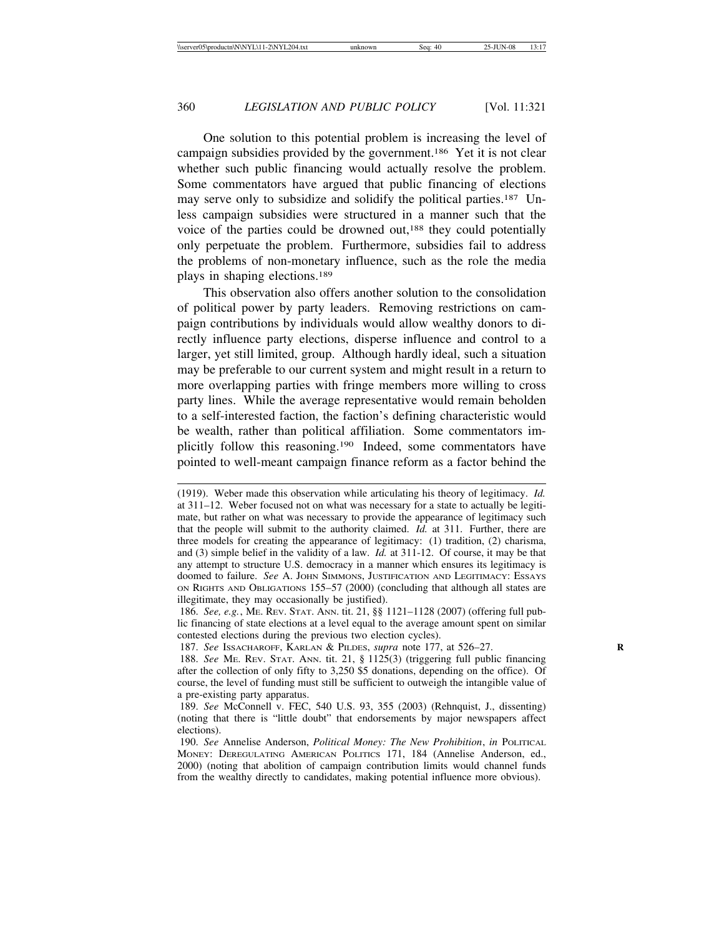One solution to this potential problem is increasing the level of campaign subsidies provided by the government.186 Yet it is not clear whether such public financing would actually resolve the problem. Some commentators have argued that public financing of elections may serve only to subsidize and solidify the political parties.<sup>187</sup> Unless campaign subsidies were structured in a manner such that the voice of the parties could be drowned out,188 they could potentially only perpetuate the problem. Furthermore, subsidies fail to address the problems of non-monetary influence, such as the role the media plays in shaping elections.189

This observation also offers another solution to the consolidation of political power by party leaders. Removing restrictions on campaign contributions by individuals would allow wealthy donors to directly influence party elections, disperse influence and control to a larger, yet still limited, group. Although hardly ideal, such a situation may be preferable to our current system and might result in a return to more overlapping parties with fringe members more willing to cross party lines. While the average representative would remain beholden to a self-interested faction, the faction's defining characteristic would be wealth, rather than political affiliation. Some commentators implicitly follow this reasoning.190 Indeed, some commentators have pointed to well-meant campaign finance reform as a factor behind the

<sup>(1919).</sup> Weber made this observation while articulating his theory of legitimacy. *Id.* at 311–12. Weber focused not on what was necessary for a state to actually be legitimate, but rather on what was necessary to provide the appearance of legitimacy such that the people will submit to the authority claimed. *Id.* at 311. Further, there are three models for creating the appearance of legitimacy: (1) tradition, (2) charisma, and (3) simple belief in the validity of a law. *Id.* at 311-12. Of course, it may be that any attempt to structure U.S. democracy in a manner which ensures its legitimacy is doomed to failure. *See* A. JOHN SIMMONS, JUSTIFICATION AND LEGITIMACY: ESSAYS ON RIGHTS AND OBLIGATIONS 155–57 (2000) (concluding that although all states are illegitimate, they may occasionally be justified).

<sup>186.</sup> *See, e.g.*, ME. REV. STAT. ANN. tit. 21, §§ 1121–1128 (2007) (offering full public financing of state elections at a level equal to the average amount spent on similar contested elections during the previous two election cycles).

<sup>187.</sup> *See* ISSACHAROFF, KARLAN & PILDES, *supra* note 177, at 526–27. **R**

<sup>188.</sup> *See* ME. REV. STAT. ANN. tit. 21, § 1125(3) (triggering full public financing after the collection of only fifty to 3,250 \$5 donations, depending on the office). Of course, the level of funding must still be sufficient to outweigh the intangible value of a pre-existing party apparatus.

<sup>189.</sup> *See* McConnell v. FEC, 540 U.S. 93, 355 (2003) (Rehnquist, J., dissenting) (noting that there is "little doubt" that endorsements by major newspapers affect elections).

<sup>190.</sup> *See* Annelise Anderson, *Political Money: The New Prohibition*, *in* POLITICAL MONEY: DEREGULATING AMERICAN POLITICS 171, 184 (Annelise Anderson, ed., 2000) (noting that abolition of campaign contribution limits would channel funds from the wealthy directly to candidates, making potential influence more obvious).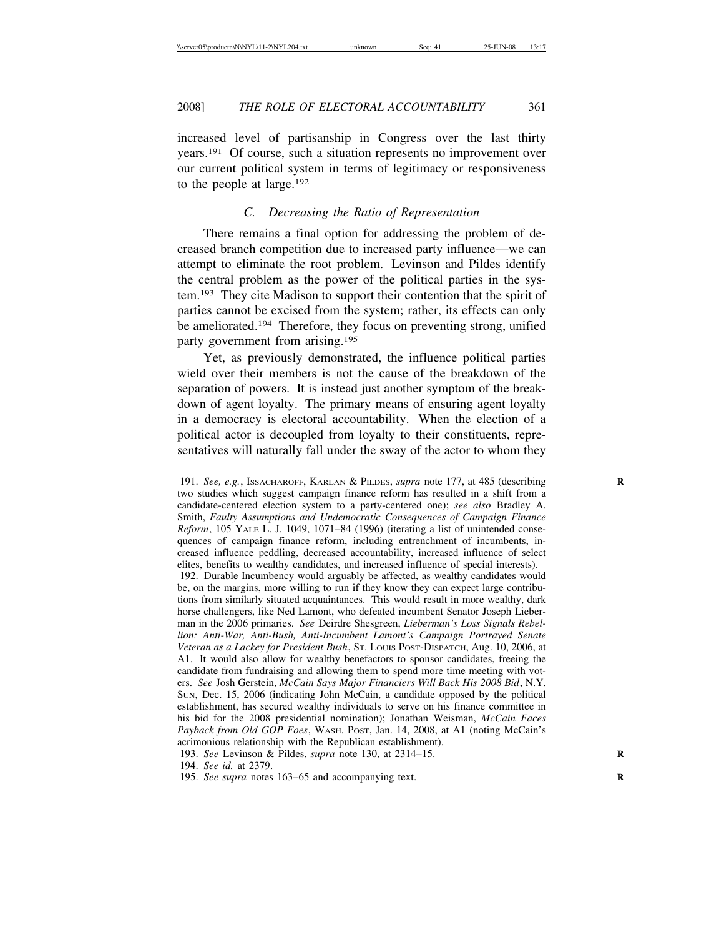increased level of partisanship in Congress over the last thirty years.191 Of course, such a situation represents no improvement over our current political system in terms of legitimacy or responsiveness to the people at large.192

# *C. Decreasing the Ratio of Representation*

There remains a final option for addressing the problem of decreased branch competition due to increased party influence—we can attempt to eliminate the root problem. Levinson and Pildes identify the central problem as the power of the political parties in the system.193 They cite Madison to support their contention that the spirit of parties cannot be excised from the system; rather, its effects can only be ameliorated.<sup>194</sup> Therefore, they focus on preventing strong, unified party government from arising.195

Yet, as previously demonstrated, the influence political parties wield over their members is not the cause of the breakdown of the separation of powers. It is instead just another symptom of the breakdown of agent loyalty. The primary means of ensuring agent loyalty in a democracy is electoral accountability. When the election of a political actor is decoupled from loyalty to their constituents, representatives will naturally fall under the sway of the actor to whom they

192. Durable Incumbency would arguably be affected, as wealthy candidates would be, on the margins, more willing to run if they know they can expect large contributions from similarly situated acquaintances. This would result in more wealthy, dark horse challengers, like Ned Lamont, who defeated incumbent Senator Joseph Lieberman in the 2006 primaries. *See* Deirdre Shesgreen, *Lieberman's Loss Signals Rebellion: Anti-War, Anti-Bush, Anti-Incumbent Lamont's Campaign Portrayed Senate Veteran as a Lackey for President Bush*, ST. LOUIS POST-DISPATCH, Aug. 10, 2006, at A1. It would also allow for wealthy benefactors to sponsor candidates, freeing the candidate from fundraising and allowing them to spend more time meeting with voters. *See* Josh Gerstein, *McCain Says Major Financiers Will Back His 2008 Bid*, N.Y. SUN, Dec. 15, 2006 (indicating John McCain, a candidate opposed by the political establishment, has secured wealthy individuals to serve on his finance committee in his bid for the 2008 presidential nomination); Jonathan Weisman, *McCain Faces Payback from Old GOP Foes*, WASH. POST, Jan. 14, 2008, at A1 (noting McCain's acrimonious relationship with the Republican establishment).

193. *See* Levinson & Pildes, *supra* note 130, at 2314–15. **R**

194. *See id.* at 2379.

195. *See supra* notes 163–65 and accompanying text. **R**

<sup>191.</sup> *See, e.g.*, ISSACHAROFF, KARLAN & PILDES, *supra* note 177, at 485 (describing **R** two studies which suggest campaign finance reform has resulted in a shift from a candidate-centered election system to a party-centered one); *see also* Bradley A. Smith, *Faulty Assumptions and Undemocratic Consequences of Campaign Finance Reform*, 105 YALE L. J. 1049, 1071–84 (1996) (iterating a list of unintended consequences of campaign finance reform, including entrenchment of incumbents, increased influence peddling, decreased accountability, increased influence of select elites, benefits to wealthy candidates, and increased influence of special interests).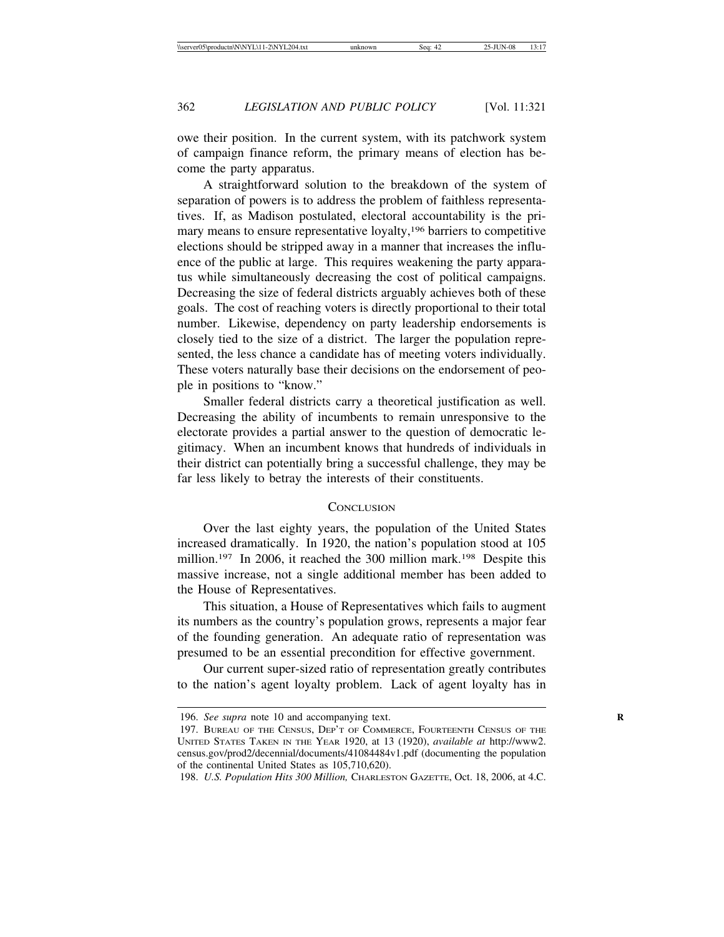owe their position. In the current system, with its patchwork system of campaign finance reform, the primary means of election has become the party apparatus.

A straightforward solution to the breakdown of the system of separation of powers is to address the problem of faithless representatives. If, as Madison postulated, electoral accountability is the primary means to ensure representative loyalty,196 barriers to competitive elections should be stripped away in a manner that increases the influence of the public at large. This requires weakening the party apparatus while simultaneously decreasing the cost of political campaigns. Decreasing the size of federal districts arguably achieves both of these goals. The cost of reaching voters is directly proportional to their total number. Likewise, dependency on party leadership endorsements is closely tied to the size of a district. The larger the population represented, the less chance a candidate has of meeting voters individually. These voters naturally base their decisions on the endorsement of people in positions to "know."

Smaller federal districts carry a theoretical justification as well. Decreasing the ability of incumbents to remain unresponsive to the electorate provides a partial answer to the question of democratic legitimacy. When an incumbent knows that hundreds of individuals in their district can potentially bring a successful challenge, they may be far less likely to betray the interests of their constituents.

### **CONCLUSION**

Over the last eighty years, the population of the United States increased dramatically. In 1920, the nation's population stood at 105 million.<sup>197</sup> In 2006, it reached the 300 million mark.<sup>198</sup> Despite this massive increase, not a single additional member has been added to the House of Representatives.

This situation, a House of Representatives which fails to augment its numbers as the country's population grows, represents a major fear of the founding generation. An adequate ratio of representation was presumed to be an essential precondition for effective government.

Our current super-sized ratio of representation greatly contributes to the nation's agent loyalty problem. Lack of agent loyalty has in

<sup>196.</sup> *See supra* note 10 and accompanying text. **R**

<sup>197.</sup> BUREAU OF THE CENSUS, DEP'T OF COMMERCE, FOURTEENTH CENSUS OF THE UNITED STATES TAKEN IN THE YEAR 1920, at 13 (1920), *available at* http://www2. census.gov/prod2/decennial/documents/41084484v1.pdf (documenting the population of the continental United States as 105,710,620).

<sup>198.</sup> *U.S. Population Hits 300 Million,* CHARLESTON GAZETTE, Oct. 18, 2006, at 4.C.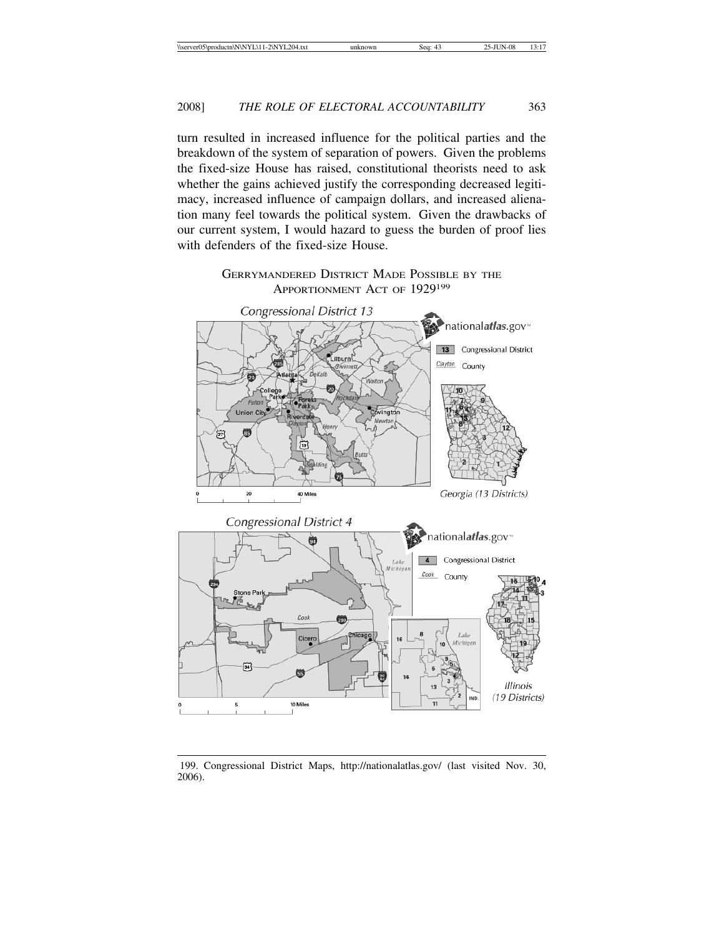turn resulted in increased influence for the political parties and the breakdown of the system of separation of powers. Given the problems the fixed-size House has raised, constitutional theorists need to ask whether the gains achieved justify the corresponding decreased legitimacy, increased influence of campaign dollars, and increased alienation many feel towards the political system. Given the drawbacks of our current system, I would hazard to guess the burden of proof lies with defenders of the fixed-size House.





199. Congressional District Maps, http://nationalatlas.gov/ (last visited Nov. 30, 2006).